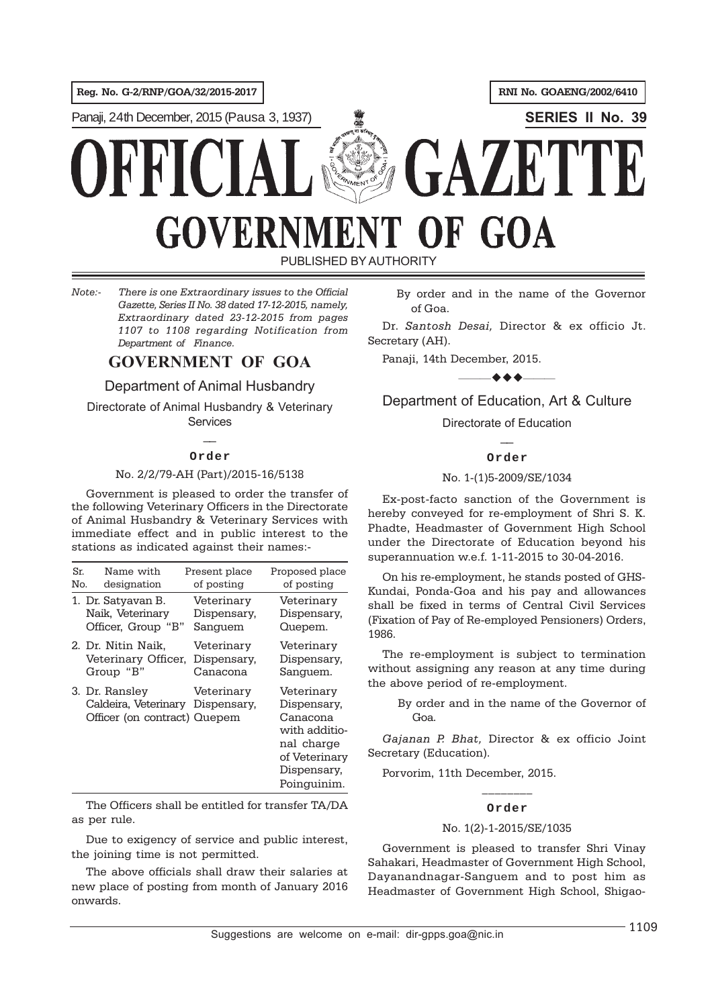**Reg. No. G-2/RNP/GOA/32/2015-2017 RNI No. GOAENG/2002/6410**

Panaji, 24th December, 2015 (Pausa 3, 1937) **SERIES II No. 39**

# AZ K OF GOA GOVERNM

PUBLISHED BY AUTHORITY

*Note:- There is one Extraordinary issues to the Official Gazette, Series II No. 38 dated 17-12-2015, namely, Extraordinary dated 23-12-2015 from pages 1107 to 1108 regarding Notification from Department of Finance.*

## **GOVERNMENT OF GOA**

Department of Animal Husbandry

Directorate of Animal Husbandry & Veterinary **Services** 

## $\overline{\phantom{a}}$ **Order**

### No. 2/2/79-AH (Part)/2015-16/5138

Government is pleased to order the transfer of the following Veterinary Officers in the Directorate of Animal Husbandry & Veterinary Services with immediate effect and in public interest to the stations as indicated against their names:-

| Sr. | Name with                                                              | Present place             | Proposed place                                                                                                      |
|-----|------------------------------------------------------------------------|---------------------------|---------------------------------------------------------------------------------------------------------------------|
| No. | designation                                                            | of posting                | of posting                                                                                                          |
|     | 1. Dr. Satyavan B.                                                     | Veterinary                | Veterinary                                                                                                          |
|     | Naik, Veterinary                                                       | Dispensary,               | Dispensary,                                                                                                         |
|     | Officer, Group "B"                                                     | Sanguem                   | Quepem.                                                                                                             |
|     | 2. Dr. Nitin Naik,                                                     | Veterinary                | Veterinary                                                                                                          |
|     | Veterinary Officer,                                                    | Dispensary.               | Dispensary,                                                                                                         |
|     | Group "B"                                                              | Canacona                  | Sanguem.                                                                                                            |
|     | 3. Dr. Ransley<br>Caldeira, Veterinary<br>Officer (on contract) Quepem | Veterinary<br>Dispensary. | Veterinary<br>Dispensary,<br>Canacona<br>with additio-<br>nal charge<br>of Veterinary<br>Dispensary.<br>Poinguinim. |

The Officers shall be entitled for transfer TA/DA as per rule.

Due to exigency of service and public interest, the joining time is not permitted.

The above officials shall draw their salaries at new place of posting from month of January 2016 onwards.

By order and in the name of the Governor of Goa.

Dr. *Santosh Desai,* Director & ex officio Jt. Secretary (AH).

Panaji, 14th December, 2015.

 $\rightarrow$   $\rightarrow$   $\rightarrow$   $\rightarrow$ Department of Education, Art & Culture

> Directorate of Education  $\mathbb{Z}$

### **Order**

### No. 1-(1)5-2009/SE/1034

Ex-post-facto sanction of the Government is hereby conveyed for re-employment of Shri S. K. Phadte, Headmaster of Government High School under the Directorate of Education beyond his superannuation w.e.f. 1-11-2015 to 30-04-2016.

On his re-employment, he stands posted of GHS-Kundai, Ponda-Goa and his pay and allowances shall be fixed in terms of Central Civil Services (Fixation of Pay of Re-employed Pensioners) Orders, 1986.

The re-employment is subject to termination without assigning any reason at any time during the above period of re-employment.

> By order and in the name of the Governor of Goa.

*Gajanan P. Bhat,* Director & ex officio Joint Secretary (Education).

Porvorim, 11th December, 2015.

## $\frac{1}{2}$ **Order**

### No. 1(2)-1-2015/SE/1035

Government is pleased to transfer Shri Vinay Sahakari, Headmaster of Government High School, Dayanandnagar-Sanguem and to post him as Headmaster of Government High School, Shigao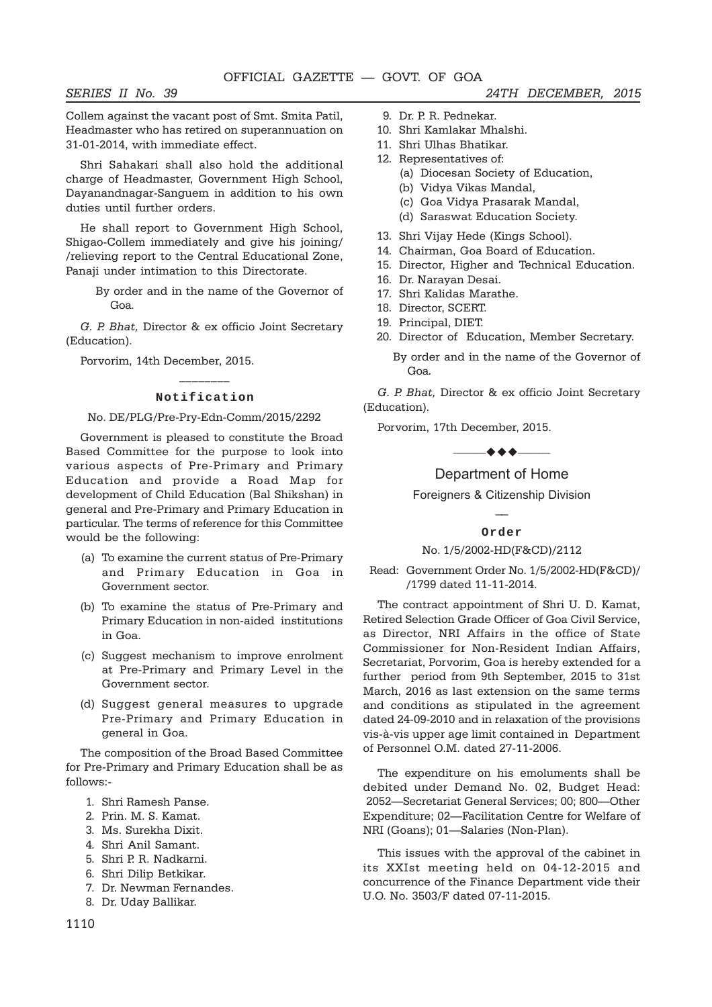Collem against the vacant post of Smt. Smita Patil, Headmaster who has retired on superannuation on 31-01-2014, with immediate effect.

Shri Sahakari shall also hold the additional charge of Headmaster, Government High School, Dayanandnagar-Sanguem in addition to his own duties until further orders.

He shall report to Government High School, Shigao-Collem immediately and give his joining/ /relieving report to the Central Educational Zone, Panaji under intimation to this Directorate.

> By order and in the name of the Governor of Goa.

*G. P. Bhat,* Director & ex officio Joint Secretary (Education).

Porvorim, 14th December, 2015.

## $\frac{1}{2}$ **Notification**

### No. DE/PLG/Pre-Pry-Edn-Comm/2015/2292

Government is pleased to constitute the Broad Based Committee for the purpose to look into various aspects of Pre-Primary and Primary Education and provide a Road Map for development of Child Education (Bal Shikshan) in general and Pre-Primary and Primary Education in particular. The terms of reference for this Committee would be the following:

- (a) To examine the current status of Pre-Primary and Primary Education in Goa in Government sector.
- (b) To examine the status of Pre-Primary and Primary Education in non-aided institutions in Goa.
- (c) Suggest mechanism to improve enrolment at Pre-Primary and Primary Level in the Government sector.
- (d) Suggest general measures to upgrade Pre-Primary and Primary Education in general in Goa.

The composition of the Broad Based Committee for Pre-Primary and Primary Education shall be as follows:-

- 1. Shri Ramesh Panse.
- 2. Prin. M. S. Kamat.
- 3. Ms. Surekha Dixit.
- 4. Shri Anil Samant.
- 5. Shri P. R. Nadkarni.
- 6. Shri Dilip Betkikar.
- 7. Dr. Newman Fernandes.
- 8. Dr. Uday Ballikar.
- 9. Dr. P. R. Pednekar.
- 10. Shri Kamlakar Mhalshi.
- 11. Shri Ulhas Bhatikar.
- 12. Representatives of:
	- (a) Diocesan Society of Education,
	- (b) Vidya Vikas Mandal,
	- (c) Goa Vidya Prasarak Mandal,
	- (d) Saraswat Education Society.
- 13. Shri Vijay Hede (Kings School).
- 14. Chairman, Goa Board of Education.
- 15. Director, Higher and Technical Education.
- 16. Dr. Narayan Desai.
- 17. Shri Kalidas Marathe.
- 18. Director, SCERT.
- 19. Principal, DIET.
- 20. Director of Education, Member Secretary.
	- By order and in the name of the Governor of Goa.

*G. P. Bhat,* Director & ex officio Joint Secretary (Education).

Porvorim, 17th December, 2015.

——————

## Department of Home

Foreigners & Citizenship Division  $\overline{\phantom{a}}$ 

#### **Order**

#### No. 1/5/2002-HD(F&CD)/2112

Read: Government Order No. 1/5/2002-HD(F&CD)/ /1799 dated 11-11-2014.

The contract appointment of Shri U. D. Kamat, Retired Selection Grade Officer of Goa Civil Service, as Director, NRI Affairs in the office of State Commissioner for Non-Resident Indian Affairs, Secretariat, Porvorim, Goa is hereby extended for a further period from 9th September, 2015 to 31st March, 2016 as last extension on the same terms and conditions as stipulated in the agreement dated 24-09-2010 and in relaxation of the provisions vis-à-vis upper age limit contained in Department of Personnel O.M. dated 27-11-2006.

The expenditure on his emoluments shall be debited under Demand No. 02, Budget Head: 2052—Secretariat General Services; 00; 800—Other Expenditure; 02—Facilitation Centre for Welfare of NRI (Goans); 01—Salaries (Non-Plan).

This issues with the approval of the cabinet in its XXIst meeting held on 04-12-2015 and concurrence of the Finance Department vide their U.O. No. 3503/F dated 07-11-2015.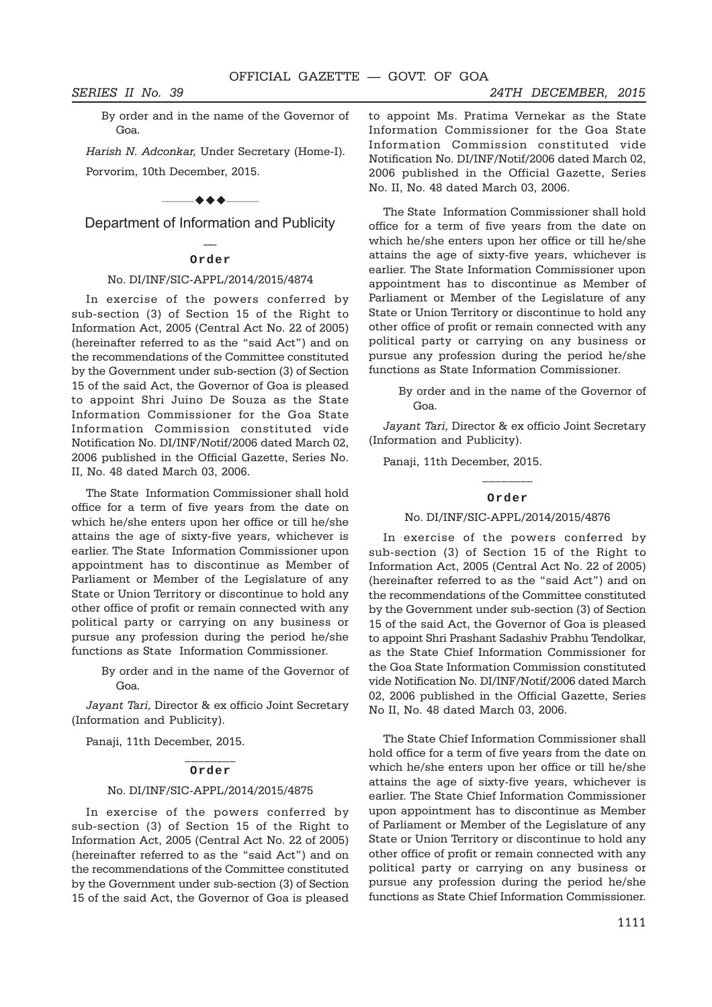By order and in the name of the Governor of Goa.

*Harish N. Adconkar,* Under Secretary (Home-I). Porvorim, 10th December, 2015.

#### $-$  + +  $-$

Department of Information and Publicity  $\overline{a}$ 

#### **Order**

### No. DI/INF/SIC-APPL/2014/2015/4874

In exercise of the powers conferred by sub-section (3) of Section 15 of the Right to Information Act, 2005 (Central Act No. 22 of 2005) (hereinafter referred to as the "said Act") and on the recommendations of the Committee constituted by the Government under sub-section (3) of Section 15 of the said Act, the Governor of Goa is pleased to appoint Shri Juino De Souza as the State Information Commissioner for the Goa State Information Commission constituted vide Notification No. DI/INF/Notif/2006 dated March 02, 2006 published in the Official Gazette, Series No. II, No. 48 dated March 03, 2006.

The State Information Commissioner shall hold office for a term of five years from the date on which he/she enters upon her office or till he/she attains the age of sixty-five years, whichever is earlier. The State Information Commissioner upon appointment has to discontinue as Member of Parliament or Member of the Legislature of any State or Union Territory or discontinue to hold any other office of profit or remain connected with any political party or carrying on any business or pursue any profession during the period he/she functions as State Information Commissioner.

> By order and in the name of the Governor of Goa.

*Jayant Tari,* Director & ex officio Joint Secretary (Information and Publicity).

Panaji, 11th December, 2015.

#### $\frac{1}{2}$ **Order**

### No. DI/INF/SIC-APPL/2014/2015/4875

In exercise of the powers conferred by sub-section (3) of Section 15 of the Right to Information Act, 2005 (Central Act No. 22 of 2005) (hereinafter referred to as the "said Act") and on the recommendations of the Committee constituted by the Government under sub-section (3) of Section 15 of the said Act, the Governor of Goa is pleased

*SERIES II No. 39 24TH DECEMBER, 2015*

to appoint Ms. Pratima Vernekar as the State Information Commissioner for the Goa State Information Commission constituted vide Notification No. DI/INF/Notif/2006 dated March 02, 2006 published in the Official Gazette, Series No. II, No. 48 dated March 03, 2006.

The State Information Commissioner shall hold office for a term of five years from the date on which he/she enters upon her office or till he/she attains the age of sixty-five years, whichever is earlier. The State Information Commissioner upon appointment has to discontinue as Member of Parliament or Member of the Legislature of any State or Union Territory or discontinue to hold any other office of profit or remain connected with any political party or carrying on any business or pursue any profession during the period he/she functions as State Information Commissioner.

> By order and in the name of the Governor of Goa.

*Jayant Tari,* Director & ex officio Joint Secretary (Information and Publicity).

Panaji, 11th December, 2015.

## $\mathcal{L}_\text{max}$ **Order**

#### No. DI/INF/SIC-APPL/2014/2015/4876

In exercise of the powers conferred by sub-section (3) of Section 15 of the Right to Information Act, 2005 (Central Act No. 22 of 2005) (hereinafter referred to as the "said Act") and on the recommendations of the Committee constituted by the Government under sub-section (3) of Section 15 of the said Act, the Governor of Goa is pleased to appoint Shri Prashant Sadashiv Prabhu Tendolkar, as the State Chief Information Commissioner for the Goa State Information Commission constituted vide Notification No. DI/INF/Notif/2006 dated March 02, 2006 published in the Official Gazette, Series No II, No. 48 dated March 03, 2006.

The State Chief Information Commissioner shall hold office for a term of five years from the date on which he/she enters upon her office or till he/she attains the age of sixty-five years, whichever is earlier. The State Chief Information Commissioner upon appointment has to discontinue as Member of Parliament or Member of the Legislature of any State or Union Territory or discontinue to hold any other office of profit or remain connected with any political party or carrying on any business or pursue any profession during the period he/she functions as State Chief Information Commissioner.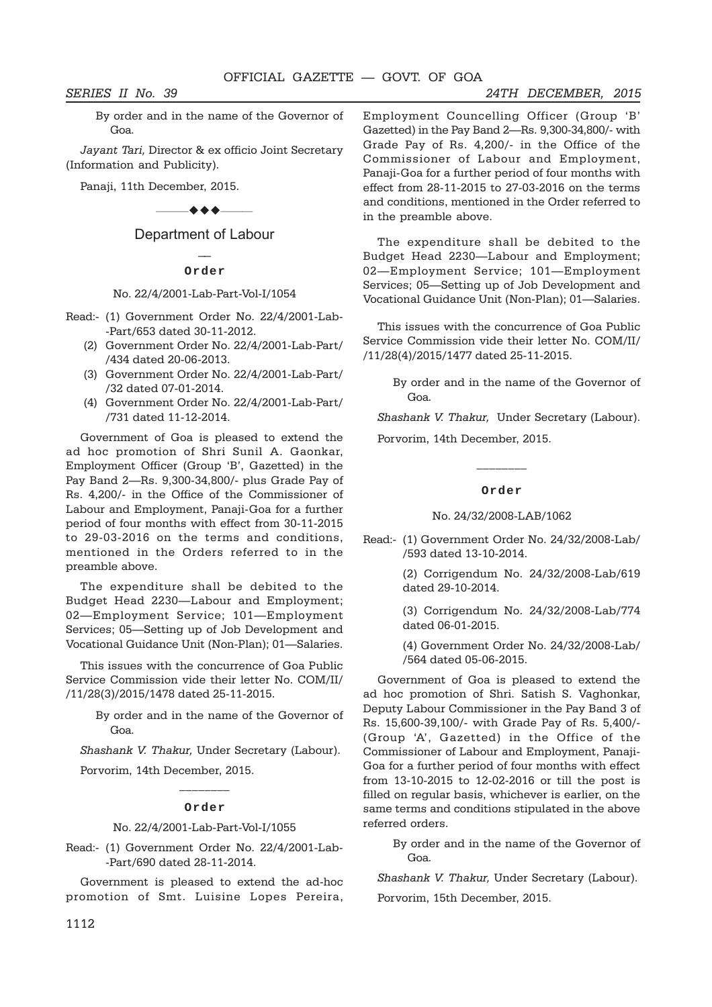By order and in the name of the Governor of Goa.

*Jayant Tari,* Director & ex officio Joint Secretary (Information and Publicity).

Panaji, 11th December, 2015.

 $\bullet\bullet\bullet$ —

Department of Labour  $\mathbb{Z}$ 

**Order**

#### No. 22/4/2001-Lab-Part-Vol-I/1054

- Read:- (1) Government Order No. 22/4/2001-Lab- -Part/653 dated 30-11-2012.
	- (2) Government Order No. 22/4/2001-Lab-Part/ /434 dated 20-06-2013.
	- (3) Government Order No. 22/4/2001-Lab-Part/ /32 dated 07-01-2014.
	- (4) Government Order No. 22/4/2001-Lab-Part/ /731 dated 11-12-2014.

Government of Goa is pleased to extend the ad hoc promotion of Shri Sunil A. Gaonkar, Employment Officer (Group 'B', Gazetted) in the Pay Band 2—Rs. 9,300-34,800/- plus Grade Pay of Rs. 4,200/- in the Office of the Commissioner of Labour and Employment, Panaji-Goa for a further period of four months with effect from 30-11-2015 to 29-03-2016 on the terms and conditions, mentioned in the Orders referred to in the preamble above.

The expenditure shall be debited to the Budget Head 2230—Labour and Employment; 02—Employment Service; 101—Employment Services; 05—Setting up of Job Development and Vocational Guidance Unit (Non-Plan); 01—Salaries.

This issues with the concurrence of Goa Public Service Commission vide their letter No. COM/II/ /11/28(3)/2015/1478 dated 25-11-2015.

> By order and in the name of the Governor of Goa.

*Shashank V. Thakur,* Under Secretary (Labour).

Porvorim, 14th December, 2015.

## $\frac{1}{2}$ **Order**

#### No. 22/4/2001-Lab-Part-Vol-I/1055

Read:- (1) Government Order No. 22/4/2001-Lab- -Part/690 dated 28-11-2014.

Government is pleased to extend the ad-hoc promotion of Smt. Luisine Lopes Pereira, Employment Councelling Officer (Group 'B' Gazetted) in the Pay Band 2—Rs. 9,300-34,800/- with Grade Pay of Rs. 4,200/- in the Office of the Commissioner of Labour and Employment, Panaji-Goa for a further period of four months with effect from 28-11-2015 to 27-03-2016 on the terms and conditions, mentioned in the Order referred to in the preamble above.

The expenditure shall be debited to the Budget Head 2230—Labour and Employment; 02—Employment Service; 101—Employment Services; 05—Setting up of Job Development and Vocational Guidance Unit (Non-Plan); 01—Salaries.

This issues with the concurrence of Goa Public Service Commission vide their letter No. COM/II/ /11/28(4)/2015/1477 dated 25-11-2015.

By order and in the name of the Governor of Goa.

*Shashank V. Thakur,* Under Secretary (Labour).

Porvorim, 14th December, 2015.

#### **Order**

 $\frac{1}{2}$ 

#### No. 24/32/2008-LAB/1062

Read:- (1) Government Order No. 24/32/2008-Lab/ /593 dated 13-10-2014.

> (2) Corrigendum No. 24/32/2008-Lab/619 dated 29-10-2014.

> (3) Corrigendum No. 24/32/2008-Lab/774 dated 06-01-2015.

> (4) Government Order No. 24/32/2008-Lab/ /564 dated 05-06-2015.

Government of Goa is pleased to extend the ad hoc promotion of Shri. Satish S. Vaghonkar, Deputy Labour Commissioner in the Pay Band 3 of Rs. 15,600-39,100/- with Grade Pay of Rs. 5,400/- (Group 'A', Gazetted) in the Office of the Commissioner of Labour and Employment, Panaji-Goa for a further period of four months with effect from 13-10-2015 to 12-02-2016 or till the post is filled on regular basis, whichever is earlier, on the same terms and conditions stipulated in the above referred orders.

By order and in the name of the Governor of Goa.

*Shashank V. Thakur,* Under Secretary (Labour).

Porvorim, 15th December, 2015.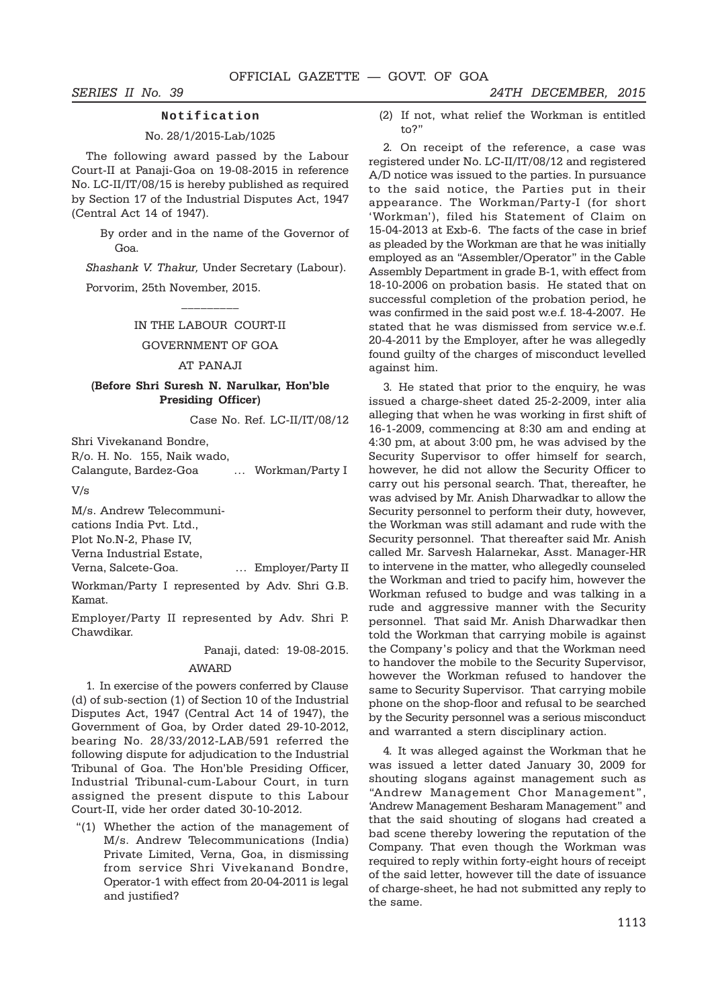#### **Notification**

#### No. 28/1/2015-Lab/1025

The following award passed by the Labour Court-II at Panaji-Goa on 19-08-2015 in reference No. LC-II/IT/08/15 is hereby published as required by Section 17 of the Industrial Disputes Act, 1947 (Central Act 14 of 1947).

> By order and in the name of the Governor of Goa.

*Shashank V. Thakur,* Under Secretary (Labour).

Porvorim, 25th November, 2015.

#### IN THE LABOUR COURT-II

### GOVERNMENT OF GOA

#### AT PANAJI

### **(Before Shri Suresh N. Narulkar, Hon'ble Presiding Officer)**

Case No. Ref. LC-II/IT/08/12

Shri Vivekanand Bondre,

R/o. H. No. 155, Naik wado,

Calangute, Bardez-Goa … Workman/Party I

V/s

M/s. Andrew Telecommuni-

cations India Pvt. Ltd.,

Plot No.N-2, Phase IV,

Verna Industrial Estate,

Verna, Salcete-Goa. … Employer/Party II

Workman/Party I represented by Adv. Shri G.B. Kamat.

Employer/Party II represented by Adv. Shri P. Chawdikar.

Panaji, dated: 19-08-2015.

#### AWARD

1. In exercise of the powers conferred by Clause (d) of sub-section (1) of Section 10 of the Industrial Disputes Act, 1947 (Central Act 14 of 1947), the Government of Goa, by Order dated 29-10-2012, bearing No. 28/33/2012-LAB/591 referred the following dispute for adjudication to the Industrial Tribunal of Goa. The Hon'ble Presiding Officer, Industrial Tribunal-cum-Labour Court, in turn assigned the present dispute to this Labour Court-II, vide her order dated 30-10-2012.

"(1) Whether the action of the management of M/s. Andrew Telecommunications (India) Private Limited, Verna, Goa, in dismissing from service Shri Vivekanand Bondre, Operator-1 with effect from 20-04-2011 is legal and justified?

(2) If not, what relief the Workman is entitled to?"

2. On receipt of the reference, a case was registered under No. LC-II/IT/08/12 and registered A/D notice was issued to the parties. In pursuance to the said notice, the Parties put in their appearance. The Workman/Party-I (for short 'Workman'), filed his Statement of Claim on 15-04-2013 at Exb-6. The facts of the case in brief as pleaded by the Workman are that he was initially employed as an "Assembler/Operator" in the Cable Assembly Department in grade B-1, with effect from 18-10-2006 on probation basis. He stated that on successful completion of the probation period, he was confirmed in the said post w.e.f. 18-4-2007. He stated that he was dismissed from service w.e.f. 20-4-2011 by the Employer, after he was allegedly found guilty of the charges of misconduct levelled against him.

3. He stated that prior to the enquiry, he was issued a charge-sheet dated 25-2-2009, inter alia alleging that when he was working in first shift of 16-1-2009, commencing at 8:30 am and ending at 4:30 pm, at about 3:00 pm, he was advised by the Security Supervisor to offer himself for search, however, he did not allow the Security Officer to carry out his personal search. That, thereafter, he was advised by Mr. Anish Dharwadkar to allow the Security personnel to perform their duty, however, the Workman was still adamant and rude with the Security personnel. That thereafter said Mr. Anish called Mr. Sarvesh Halarnekar, Asst. Manager-HR to intervene in the matter, who allegedly counseled the Workman and tried to pacify him, however the Workman refused to budge and was talking in a rude and aggressive manner with the Security personnel. That said Mr. Anish Dharwadkar then told the Workman that carrying mobile is against the Company's policy and that the Workman need to handover the mobile to the Security Supervisor, however the Workman refused to handover the same to Security Supervisor. That carrying mobile phone on the shop-floor and refusal to be searched by the Security personnel was a serious misconduct and warranted a stern disciplinary action.

4. It was alleged against the Workman that he was issued a letter dated January 30, 2009 for shouting slogans against management such as "Andrew Management Chor Management", 'Andrew Management Besharam Management" and that the said shouting of slogans had created a bad scene thereby lowering the reputation of the Company. That even though the Workman was required to reply within forty-eight hours of receipt of the said letter, however till the date of issuance of charge-sheet, he had not submitted any reply to the same.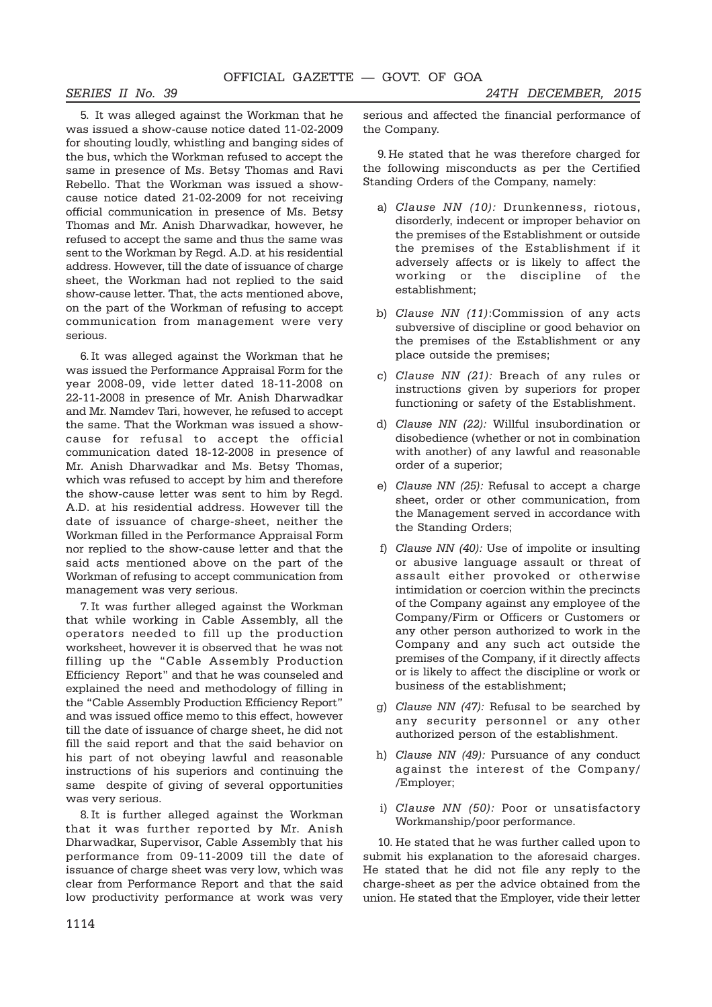*SERIES II No. 39 24TH DECEMBER, 2015*

5. It was alleged against the Workman that he was issued a show-cause notice dated 11-02-2009 for shouting loudly, whistling and banging sides of the bus, which the Workman refused to accept the same in presence of Ms. Betsy Thomas and Ravi Rebello. That the Workman was issued a showcause notice dated 21-02-2009 for not receiving official communication in presence of Ms. Betsy Thomas and Mr. Anish Dharwadkar, however, he refused to accept the same and thus the same was sent to the Workman by Regd. A.D. at his residential address. However, till the date of issuance of charge sheet, the Workman had not replied to the said show-cause letter. That, the acts mentioned above, on the part of the Workman of refusing to accept communication from management were very serious.

6. It was alleged against the Workman that he was issued the Performance Appraisal Form for the year 2008-09, vide letter dated 18-11-2008 on 22-11-2008 in presence of Mr. Anish Dharwadkar and Mr. Namdev Tari, however, he refused to accept the same. That the Workman was issued a showcause for refusal to accept the official communication dated 18-12-2008 in presence of Mr. Anish Dharwadkar and Ms. Betsy Thomas, which was refused to accept by him and therefore the show-cause letter was sent to him by Regd. A.D. at his residential address. However till the date of issuance of charge-sheet, neither the Workman filled in the Performance Appraisal Form nor replied to the show-cause letter and that the said acts mentioned above on the part of the Workman of refusing to accept communication from management was very serious.

7. It was further alleged against the Workman that while working in Cable Assembly, all the operators needed to fill up the production worksheet, however it is observed that he was not filling up the "Cable Assembly Production Efficiency Report" and that he was counseled and explained the need and methodology of filling in the "Cable Assembly Production Efficiency Report" and was issued office memo to this effect, however till the date of issuance of charge sheet, he did not fill the said report and that the said behavior on his part of not obeying lawful and reasonable instructions of his superiors and continuing the same despite of giving of several opportunities was very serious.

8. It is further alleged against the Workman that it was further reported by Mr. Anish Dharwadkar, Supervisor, Cable Assembly that his performance from 09-11-2009 till the date of issuance of charge sheet was very low, which was clear from Performance Report and that the said low productivity performance at work was very

serious and affected the financial performance of the Company.

9. He stated that he was therefore charged for the following misconducts as per the Certified Standing Orders of the Company, namely:

- a) *Clause NN (10):* Drunkenness, riotous, disorderly, indecent or improper behavior on the premises of the Establishment or outside the premises of the Establishment if it adversely affects or is likely to affect the working or the discipline of the establishment;
- b) *Clause NN (11)*:Commission of any acts subversive of discipline or good behavior on the premises of the Establishment or any place outside the premises;
- c) *Clause NN (21):* Breach of any rules or instructions given by superiors for proper functioning or safety of the Establishment.
- d) *Clause NN (22):* Willful insubordination or disobedience (whether or not in combination with another) of any lawful and reasonable order of a superior;
- e) *Clause NN (25):* Refusal to accept a charge sheet, order or other communication, from the Management served in accordance with the Standing Orders;
- f) *Clause NN (40):* Use of impolite or insulting or abusive language assault or threat of assault either provoked or otherwise intimidation or coercion within the precincts of the Company against any employee of the Company/Firm or Officers or Customers or any other person authorized to work in the Company and any such act outside the premises of the Company, if it directly affects or is likely to affect the discipline or work or business of the establishment;
- g) *Clause NN (47):* Refusal to be searched by any security personnel or any other authorized person of the establishment.
- h) *Clause NN (49):* Pursuance of any conduct against the interest of the Company/ /Employer;
- i) *Clause NN (50):* Poor or unsatisfactory Workmanship/poor performance.

10. He stated that he was further called upon to submit his explanation to the aforesaid charges. He stated that he did not file any reply to the charge-sheet as per the advice obtained from the union. He stated that the Employer, vide their letter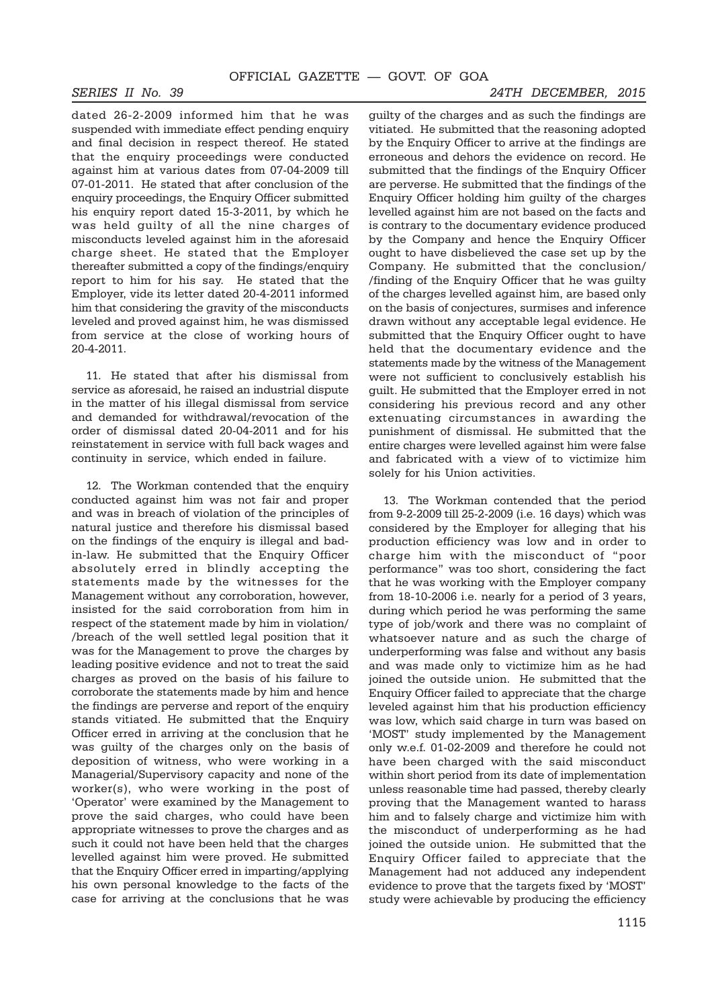dated 26-2-2009 informed him that he was suspended with immediate effect pending enquiry and final decision in respect thereof. He stated that the enquiry proceedings were conducted against him at various dates from 07-04-2009 till 07-01-2011. He stated that after conclusion of the enquiry proceedings, the Enquiry Officer submitted his enquiry report dated 15-3-2011, by which he was held guilty of all the nine charges of misconducts leveled against him in the aforesaid charge sheet. He stated that the Employer thereafter submitted a copy of the findings/enquiry report to him for his say. He stated that the Employer, vide its letter dated 20-4-2011 informed him that considering the gravity of the misconducts leveled and proved against him, he was dismissed from service at the close of working hours of 20-4-2011.

11. He stated that after his dismissal from service as aforesaid, he raised an industrial dispute in the matter of his illegal dismissal from service and demanded for withdrawal/revocation of the order of dismissal dated 20-04-2011 and for his reinstatement in service with full back wages and continuity in service, which ended in failure.

12. The Workman contended that the enquiry conducted against him was not fair and proper and was in breach of violation of the principles of natural justice and therefore his dismissal based on the findings of the enquiry is illegal and badin-law. He submitted that the Enquiry Officer absolutely erred in blindly accepting the statements made by the witnesses for the Management without any corroboration, however, insisted for the said corroboration from him in respect of the statement made by him in violation/ /breach of the well settled legal position that it was for the Management to prove the charges by leading positive evidence and not to treat the said charges as proved on the basis of his failure to corroborate the statements made by him and hence the findings are perverse and report of the enquiry stands vitiated. He submitted that the Enquiry Officer erred in arriving at the conclusion that he was guilty of the charges only on the basis of deposition of witness, who were working in a Managerial/Supervisory capacity and none of the worker(s), who were working in the post of 'Operator' were examined by the Management to prove the said charges, who could have been appropriate witnesses to prove the charges and as such it could not have been held that the charges levelled against him were proved. He submitted that the Enquiry Officer erred in imparting/applying his own personal knowledge to the facts of the case for arriving at the conclusions that he was

guilty of the charges and as such the findings are vitiated. He submitted that the reasoning adopted by the Enquiry Officer to arrive at the findings are erroneous and dehors the evidence on record. He submitted that the findings of the Enquiry Officer are perverse. He submitted that the findings of the Enquiry Officer holding him guilty of the charges levelled against him are not based on the facts and is contrary to the documentary evidence produced by the Company and hence the Enquiry Officer ought to have disbelieved the case set up by the Company. He submitted that the conclusion/ /finding of the Enquiry Officer that he was guilty of the charges levelled against him, are based only on the basis of conjectures, surmises and inference drawn without any acceptable legal evidence. He submitted that the Enquiry Officer ought to have held that the documentary evidence and the statements made by the witness of the Management were not sufficient to conclusively establish his guilt. He submitted that the Employer erred in not considering his previous record and any other extenuating circumstances in awarding the punishment of dismissal. He submitted that the entire charges were levelled against him were false and fabricated with a view of to victimize him solely for his Union activities.

13. The Workman contended that the period from 9-2-2009 till 25-2-2009 (i.e. 16 days) which was considered by the Employer for alleging that his production efficiency was low and in order to charge him with the misconduct of "poor performance" was too short, considering the fact that he was working with the Employer company from 18-10-2006 i.e. nearly for a period of 3 years, during which period he was performing the same type of job/work and there was no complaint of whatsoever nature and as such the charge of underperforming was false and without any basis and was made only to victimize him as he had joined the outside union. He submitted that the Enquiry Officer failed to appreciate that the charge leveled against him that his production efficiency was low, which said charge in turn was based on 'MOST' study implemented by the Management only w.e.f. 01-02-2009 and therefore he could not have been charged with the said misconduct within short period from its date of implementation unless reasonable time had passed, thereby clearly proving that the Management wanted to harass him and to falsely charge and victimize him with the misconduct of underperforming as he had joined the outside union. He submitted that the Enquiry Officer failed to appreciate that the Management had not adduced any independent evidence to prove that the targets fixed by 'MOST' study were achievable by producing the efficiency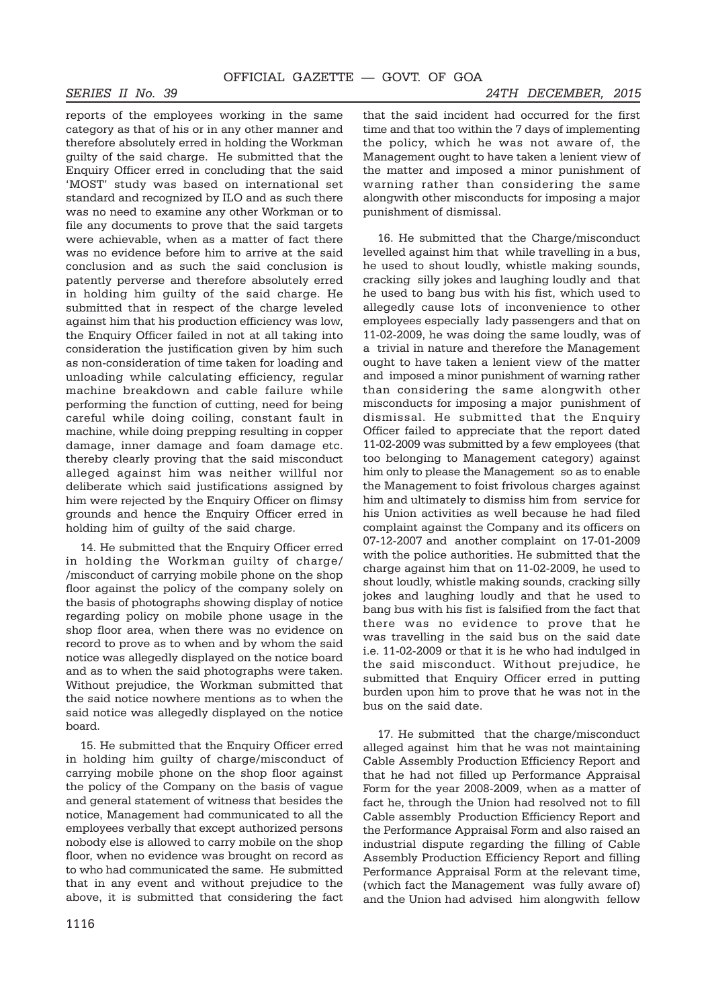#### *SERIES II No. 39 24TH DECEMBER, 2015*

reports of the employees working in the same category as that of his or in any other manner and therefore absolutely erred in holding the Workman guilty of the said charge. He submitted that the Enquiry Officer erred in concluding that the said 'MOST' study was based on international set standard and recognized by ILO and as such there was no need to examine any other Workman or to file any documents to prove that the said targets were achievable, when as a matter of fact there was no evidence before him to arrive at the said conclusion and as such the said conclusion is patently perverse and therefore absolutely erred in holding him guilty of the said charge. He submitted that in respect of the charge leveled against him that his production efficiency was low, the Enquiry Officer failed in not at all taking into consideration the justification given by him such as non-consideration of time taken for loading and unloading while calculating efficiency, regular machine breakdown and cable failure while performing the function of cutting, need for being careful while doing coiling, constant fault in machine, while doing prepping resulting in copper damage, inner damage and foam damage etc. thereby clearly proving that the said misconduct alleged against him was neither willful nor deliberate which said justifications assigned by him were rejected by the Enquiry Officer on flimsy grounds and hence the Enquiry Officer erred in holding him of guilty of the said charge.

14. He submitted that the Enquiry Officer erred in holding the Workman guilty of charge/ /misconduct of carrying mobile phone on the shop floor against the policy of the company solely on the basis of photographs showing display of notice regarding policy on mobile phone usage in the shop floor area, when there was no evidence on record to prove as to when and by whom the said notice was allegedly displayed on the notice board and as to when the said photographs were taken. Without prejudice, the Workman submitted that the said notice nowhere mentions as to when the said notice was allegedly displayed on the notice board.

15. He submitted that the Enquiry Officer erred in holding him guilty of charge/misconduct of carrying mobile phone on the shop floor against the policy of the Company on the basis of vague and general statement of witness that besides the notice, Management had communicated to all the employees verbally that except authorized persons nobody else is allowed to carry mobile on the shop floor, when no evidence was brought on record as to who had communicated the same. He submitted that in any event and without prejudice to the above, it is submitted that considering the fact

that the said incident had occurred for the first time and that too within the 7 days of implementing the policy, which he was not aware of, the Management ought to have taken a lenient view of the matter and imposed a minor punishment of warning rather than considering the same alongwith other misconducts for imposing a major punishment of dismissal.

16. He submitted that the Charge/misconduct levelled against him that while travelling in a bus, he used to shout loudly, whistle making sounds, cracking silly jokes and laughing loudly and that he used to bang bus with his fist, which used to allegedly cause lots of inconvenience to other employees especially lady passengers and that on 11-02-2009, he was doing the same loudly, was of a trivial in nature and therefore the Management ought to have taken a lenient view of the matter and imposed a minor punishment of warning rather than considering the same alongwith other misconducts for imposing a major punishment of dismissal. He submitted that the Enquiry Officer failed to appreciate that the report dated 11-02-2009 was submitted by a few employees (that too belonging to Management category) against him only to please the Management so as to enable the Management to foist frivolous charges against him and ultimately to dismiss him from service for his Union activities as well because he had filed complaint against the Company and its officers on 07-12-2007 and another complaint on 17-01-2009 with the police authorities. He submitted that the charge against him that on 11-02-2009, he used to shout loudly, whistle making sounds, cracking silly jokes and laughing loudly and that he used to bang bus with his fist is falsified from the fact that there was no evidence to prove that he was travelling in the said bus on the said date i.e. 11-02-2009 or that it is he who had indulged in the said misconduct. Without prejudice, he submitted that Enquiry Officer erred in putting burden upon him to prove that he was not in the bus on the said date.

17. He submitted that the charge/misconduct alleged against him that he was not maintaining Cable Assembly Production Efficiency Report and that he had not filled up Performance Appraisal Form for the year 2008-2009, when as a matter of fact he, through the Union had resolved not to fill Cable assembly Production Efficiency Report and the Performance Appraisal Form and also raised an industrial dispute regarding the filling of Cable Assembly Production Efficiency Report and filling Performance Appraisal Form at the relevant time, (which fact the Management was fully aware of) and the Union had advised him alongwith fellow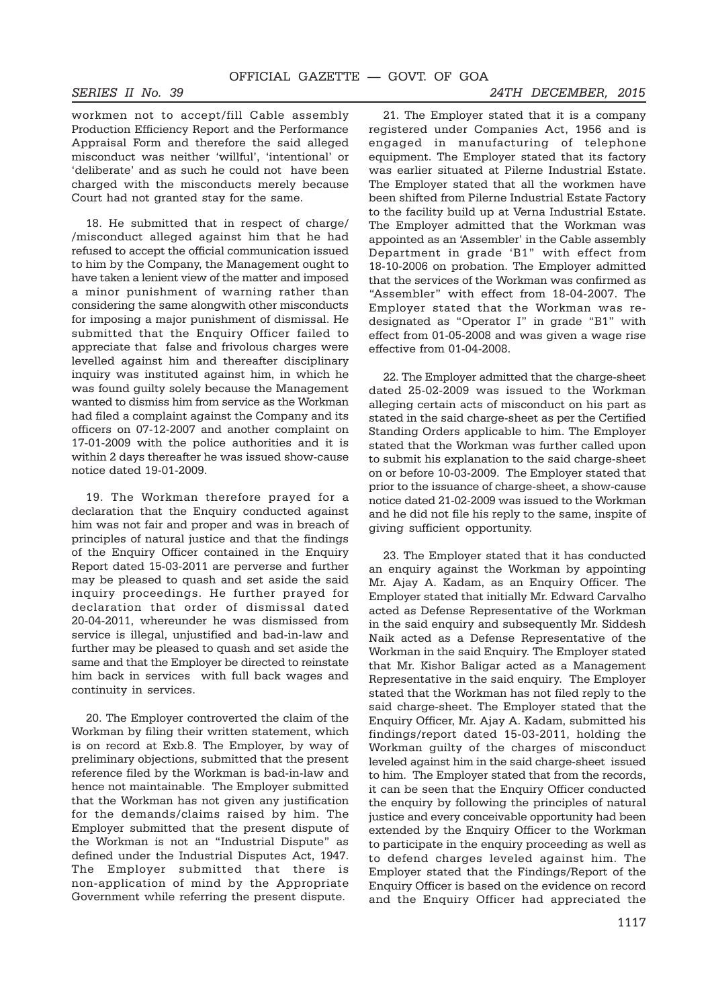workmen not to accept/fill Cable assembly Production Efficiency Report and the Performance Appraisal Form and therefore the said alleged misconduct was neither 'willful', 'intentional' or 'deliberate' and as such he could not have been charged with the misconducts merely because Court had not granted stay for the same.

18. He submitted that in respect of charge/ /misconduct alleged against him that he had refused to accept the official communication issued to him by the Company, the Management ought to have taken a lenient view of the matter and imposed a minor punishment of warning rather than considering the same alongwith other misconducts for imposing a major punishment of dismissal. He submitted that the Enquiry Officer failed to appreciate that false and frivolous charges were levelled against him and thereafter disciplinary inquiry was instituted against him, in which he was found guilty solely because the Management wanted to dismiss him from service as the Workman had filed a complaint against the Company and its officers on 07-12-2007 and another complaint on 17-01-2009 with the police authorities and it is within 2 days thereafter he was issued show-cause notice dated 19-01-2009.

19. The Workman therefore prayed for a declaration that the Enquiry conducted against him was not fair and proper and was in breach of principles of natural justice and that the findings of the Enquiry Officer contained in the Enquiry Report dated 15-03-2011 are perverse and further may be pleased to quash and set aside the said inquiry proceedings. He further prayed for declaration that order of dismissal dated 20-04-2011, whereunder he was dismissed from service is illegal, unjustified and bad-in-law and further may be pleased to quash and set aside the same and that the Employer be directed to reinstate him back in services with full back wages and continuity in services.

20. The Employer controverted the claim of the Workman by filing their written statement, which is on record at Exb.8. The Employer, by way of preliminary objections, submitted that the present reference filed by the Workman is bad-in-law and hence not maintainable. The Employer submitted that the Workman has not given any justification for the demands/claims raised by him. The Employer submitted that the present dispute of the Workman is not an "Industrial Dispute" as defined under the Industrial Disputes Act, 1947. The Employer submitted that there is non-application of mind by the Appropriate Government while referring the present dispute.

21. The Employer stated that it is a company registered under Companies Act, 1956 and is engaged in manufacturing of telephone equipment. The Employer stated that its factory was earlier situated at Pilerne Industrial Estate. The Employer stated that all the workmen have been shifted from Pilerne Industrial Estate Factory to the facility build up at Verna Industrial Estate. The Employer admitted that the Workman was appointed as an 'Assembler' in the Cable assembly Department in grade 'B1" with effect from 18-10-2006 on probation. The Employer admitted that the services of the Workman was confirmed as "Assembler" with effect from 18-04-2007. The Employer stated that the Workman was redesignated as "Operator I" in grade "B1" with effect from 01-05-2008 and was given a wage rise effective from 01-04-2008.

22. The Employer admitted that the charge-sheet dated 25-02-2009 was issued to the Workman alleging certain acts of misconduct on his part as stated in the said charge-sheet as per the Certified Standing Orders applicable to him. The Employer stated that the Workman was further called upon to submit his explanation to the said charge-sheet on or before 10-03-2009. The Employer stated that prior to the issuance of charge-sheet, a show-cause notice dated 21-02-2009 was issued to the Workman and he did not file his reply to the same, inspite of giving sufficient opportunity.

23. The Employer stated that it has conducted an enquiry against the Workman by appointing Mr. Ajay A. Kadam, as an Enquiry Officer. The Employer stated that initially Mr. Edward Carvalho acted as Defense Representative of the Workman in the said enquiry and subsequently Mr. Siddesh Naik acted as a Defense Representative of the Workman in the said Enquiry. The Employer stated that Mr. Kishor Baligar acted as a Management Representative in the said enquiry. The Employer stated that the Workman has not filed reply to the said charge-sheet. The Employer stated that the Enquiry Officer, Mr. Ajay A. Kadam, submitted his findings/report dated 15-03-2011, holding the Workman guilty of the charges of misconduct leveled against him in the said charge-sheet issued to him. The Employer stated that from the records, it can be seen that the Enquiry Officer conducted the enquiry by following the principles of natural justice and every conceivable opportunity had been extended by the Enquiry Officer to the Workman to participate in the enquiry proceeding as well as to defend charges leveled against him. The Employer stated that the Findings/Report of the Enquiry Officer is based on the evidence on record and the Enquiry Officer had appreciated the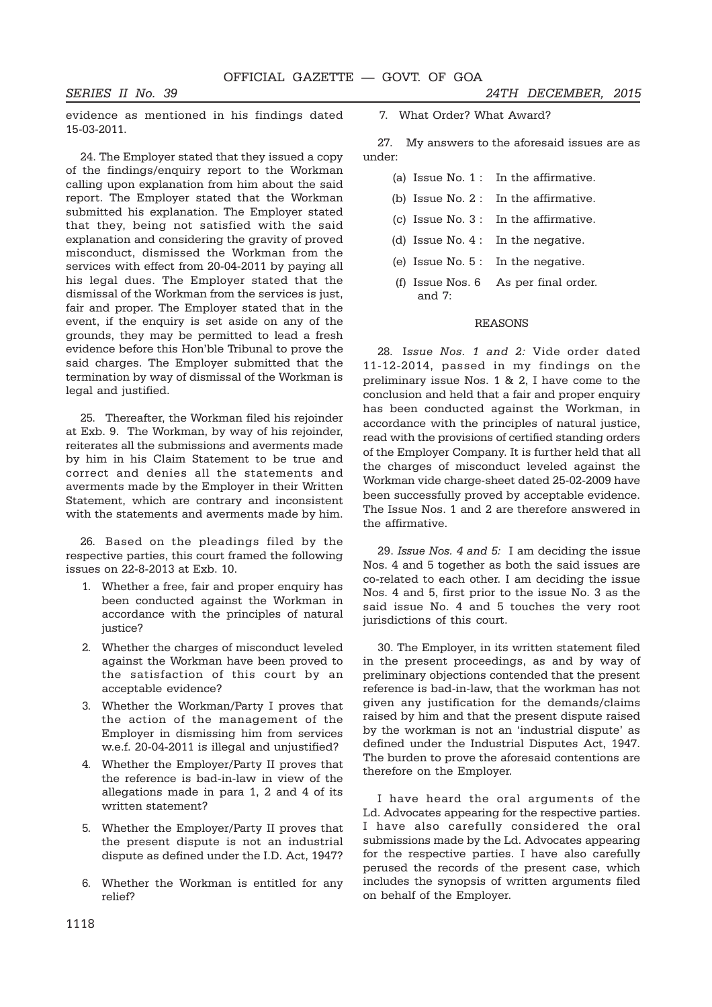evidence as mentioned in his findings dated 15-03-2011.

24. The Employer stated that they issued a copy of the findings/enquiry report to the Workman calling upon explanation from him about the said report. The Employer stated that the Workman submitted his explanation. The Employer stated that they, being not satisfied with the said explanation and considering the gravity of proved misconduct, dismissed the Workman from the services with effect from 20-04-2011 by paying all his legal dues. The Employer stated that the dismissal of the Workman from the services is just, fair and proper. The Employer stated that in the event, if the enquiry is set aside on any of the grounds, they may be permitted to lead a fresh evidence before this Hon'ble Tribunal to prove the said charges. The Employer submitted that the termination by way of dismissal of the Workman is legal and justified.

25. Thereafter, the Workman filed his rejoinder at Exb. 9. The Workman, by way of his rejoinder, reiterates all the submissions and averments made by him in his Claim Statement to be true and correct and denies all the statements and averments made by the Employer in their Written Statement, which are contrary and inconsistent with the statements and averments made by him.

26. Based on the pleadings filed by the respective parties, this court framed the following issues on 22-8-2013 at Exb. 10.

- 1. Whether a free, fair and proper enquiry has been conducted against the Workman in accordance with the principles of natural justice?
- 2. Whether the charges of misconduct leveled against the Workman have been proved to the satisfaction of this court by an acceptable evidence?
- 3. Whether the Workman/Party I proves that the action of the management of the Employer in dismissing him from services w.e.f. 20-04-2011 is illegal and unjustified?
- 4. Whether the Employer/Party II proves that the reference is bad-in-law in view of the allegations made in para 1, 2 and 4 of its written statement?
- 5. Whether the Employer/Party II proves that the present dispute is not an industrial dispute as defined under the I.D. Act, 1947?
- 6. Whether the Workman is entitled for any relief?

*SERIES II No. 39 24TH DECEMBER, 2015*

7. What Order? What Award?

27. My answers to the aforesaid issues are as under:

- (a) Issue No. 1 : In the affirmative.
- (b) Issue No. 2 : In the affirmative.
- (c) Issue No. 3 : In the affirmative.
- (d) Issue No. 4 : In the negative.
- (e) Issue No. 5 : In the negative.
- (f) Issue Nos. 6 As per final order. and 7:

### REASONS

28. I*ssue Nos. 1 and 2:* Vide order dated 11-12-2014, passed in my findings on the preliminary issue Nos. 1 & 2, I have come to the conclusion and held that a fair and proper enquiry has been conducted against the Workman, in accordance with the principles of natural justice, read with the provisions of certified standing orders of the Employer Company. It is further held that all the charges of misconduct leveled against the Workman vide charge-sheet dated 25-02-2009 have been successfully proved by acceptable evidence. The Issue Nos. 1 and 2 are therefore answered in the affirmative.

29. *Issue Nos. 4 and 5:* I am deciding the issue Nos. 4 and 5 together as both the said issues are co-related to each other. I am deciding the issue Nos. 4 and 5, first prior to the issue No. 3 as the said issue No. 4 and 5 touches the very root jurisdictions of this court.

30. The Employer, in its written statement filed in the present proceedings, as and by way of preliminary objections contended that the present reference is bad-in-law, that the workman has not given any justification for the demands/claims raised by him and that the present dispute raised by the workman is not an 'industrial dispute' as defined under the Industrial Disputes Act, 1947. The burden to prove the aforesaid contentions are therefore on the Employer.

I have heard the oral arguments of the Ld. Advocates appearing for the respective parties. I have also carefully considered the oral submissions made by the Ld. Advocates appearing for the respective parties. I have also carefully perused the records of the present case, which includes the synopsis of written arguments filed on behalf of the Employer.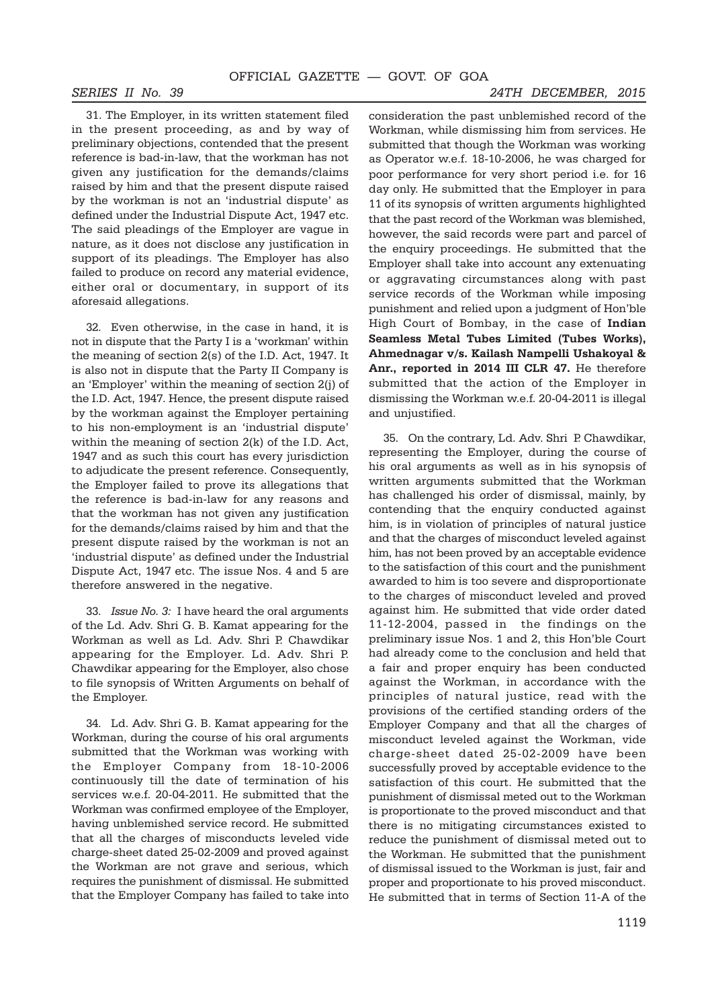*SERIES II No. 39 24TH DECEMBER, 2015*

31. The Employer, in its written statement filed in the present proceeding, as and by way of preliminary objections, contended that the present reference is bad-in-law, that the workman has not given any justification for the demands/claims raised by him and that the present dispute raised by the workman is not an 'industrial dispute' as defined under the Industrial Dispute Act, 1947 etc. The said pleadings of the Employer are vague in nature, as it does not disclose any justification in support of its pleadings. The Employer has also failed to produce on record any material evidence, either oral or documentary, in support of its aforesaid allegations.

32. Even otherwise, in the case in hand, it is not in dispute that the Party I is a 'workman' within the meaning of section 2(s) of the I.D. Act, 1947. It is also not in dispute that the Party II Company is an 'Employer' within the meaning of section 2(j) of the I.D. Act, 1947. Hence, the present dispute raised by the workman against the Employer pertaining to his non-employment is an 'industrial dispute' within the meaning of section 2(k) of the I.D. Act, 1947 and as such this court has every jurisdiction to adjudicate the present reference. Consequently, the Employer failed to prove its allegations that the reference is bad-in-law for any reasons and that the workman has not given any justification for the demands/claims raised by him and that the present dispute raised by the workman is not an 'industrial dispute' as defined under the Industrial Dispute Act, 1947 etc. The issue Nos. 4 and 5 are therefore answered in the negative.

33. *Issue No. 3:* I have heard the oral arguments of the Ld. Adv. Shri G. B. Kamat appearing for the Workman as well as Ld. Adv. Shri P. Chawdikar appearing for the Employer. Ld. Adv. Shri P. Chawdikar appearing for the Employer, also chose to file synopsis of Written Arguments on behalf of the Employer.

34. Ld. Adv. Shri G. B. Kamat appearing for the Workman, during the course of his oral arguments submitted that the Workman was working with the Employer Company from 18-10-2006 continuously till the date of termination of his services w.e.f. 20-04-2011. He submitted that the Workman was confirmed employee of the Employer, having unblemished service record. He submitted that all the charges of misconducts leveled vide charge-sheet dated 25-02-2009 and proved against the Workman are not grave and serious, which requires the punishment of dismissal. He submitted that the Employer Company has failed to take into

consideration the past unblemished record of the Workman, while dismissing him from services. He submitted that though the Workman was working as Operator w.e.f. 18-10-2006, he was charged for poor performance for very short period i.e. for 16 day only. He submitted that the Employer in para 11 of its synopsis of written arguments highlighted that the past record of the Workman was blemished, however, the said records were part and parcel of the enquiry proceedings. He submitted that the Employer shall take into account any extenuating or aggravating circumstances along with past service records of the Workman while imposing punishment and relied upon a judgment of Hon'ble High Court of Bombay, in the case of **Indian Seamless Metal Tubes Limited (Tubes Works), Ahmednagar v/s. Kailash Nampelli Ushakoyal & Anr., reported in 2014 III CLR 47.** He therefore submitted that the action of the Employer in dismissing the Workman w.e.f. 20-04-2011 is illegal and unjustified.

35. On the contrary, Ld. Adv. Shri P. Chawdikar, representing the Employer, during the course of his oral arguments as well as in his synopsis of written arguments submitted that the Workman has challenged his order of dismissal, mainly, by contending that the enquiry conducted against him, is in violation of principles of natural justice and that the charges of misconduct leveled against him, has not been proved by an acceptable evidence to the satisfaction of this court and the punishment awarded to him is too severe and disproportionate to the charges of misconduct leveled and proved against him. He submitted that vide order dated 11-12-2004, passed in the findings on the preliminary issue Nos. 1 and 2, this Hon'ble Court had already come to the conclusion and held that a fair and proper enquiry has been conducted against the Workman, in accordance with the principles of natural justice, read with the provisions of the certified standing orders of the Employer Company and that all the charges of misconduct leveled against the Workman, vide charge-sheet dated 25-02-2009 have been successfully proved by acceptable evidence to the satisfaction of this court. He submitted that the punishment of dismissal meted out to the Workman is proportionate to the proved misconduct and that there is no mitigating circumstances existed to reduce the punishment of dismissal meted out to the Workman. He submitted that the punishment of dismissal issued to the Workman is just, fair and proper and proportionate to his proved misconduct. He submitted that in terms of Section 11-A of the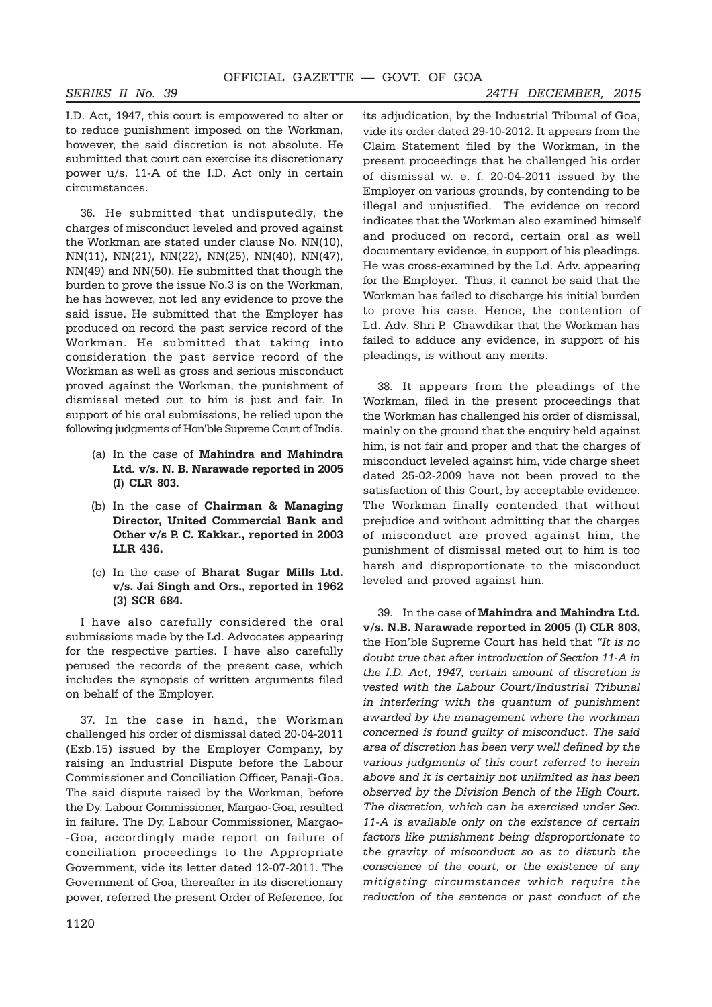I.D. Act, 1947, this court is empowered to alter or to reduce punishment imposed on the Workman, however, the said discretion is not absolute. He submitted that court can exercise its discretionary power u/s. 11-A of the I.D. Act only in certain circumstances.

36. He submitted that undisputedly, the charges of misconduct leveled and proved against the Workman are stated under clause No. NN(10), NN(11), NN(21), NN(22), NN(25), NN(40), NN(47), NN(49) and NN(50). He submitted that though the burden to prove the issue No.3 is on the Workman, he has however, not led any evidence to prove the said issue. He submitted that the Employer has produced on record the past service record of the Workman. He submitted that taking into consideration the past service record of the Workman as well as gross and serious misconduct proved against the Workman, the punishment of dismissal meted out to him is just and fair. In support of his oral submissions, he relied upon the following judgments of Hon'ble Supreme Court of India.

- (a) In the case of **Mahindra and Mahindra Ltd. v/s. N. B. Narawade reported in 2005 (I) CLR 803.**
- (b) In the case of **Chairman & Managing Director, United Commercial Bank and Other v/s P. C. Kakkar., reported in 2003 LLR 436.**
- (c) In the case of **Bharat Sugar Mills Ltd. v/s. Jai Singh and Ors., reported in 1962 (3) SCR 684.**

I have also carefully considered the oral submissions made by the Ld. Advocates appearing for the respective parties. I have also carefully perused the records of the present case, which includes the synopsis of written arguments filed on behalf of the Employer.

37. In the case in hand, the Workman challenged his order of dismissal dated 20-04-2011 (Exb.15) issued by the Employer Company, by raising an Industrial Dispute before the Labour Commissioner and Conciliation Officer, Panaji-Goa. The said dispute raised by the Workman, before the Dy. Labour Commissioner, Margao-Goa, resulted in failure. The Dy. Labour Commissioner, Margao- -Goa, accordingly made report on failure of conciliation proceedings to the Appropriate Government, vide its letter dated 12-07-2011. The Government of Goa, thereafter in its discretionary power, referred the present Order of Reference, for its adjudication, by the Industrial Tribunal of Goa, vide its order dated 29-10-2012. It appears from the Claim Statement filed by the Workman, in the present proceedings that he challenged his order of dismissal w. e. f. 20-04-2011 issued by the Employer on various grounds, by contending to be illegal and unjustified. The evidence on record indicates that the Workman also examined himself and produced on record, certain oral as well documentary evidence, in support of his pleadings. He was cross-examined by the Ld. Adv. appearing for the Employer. Thus, it cannot be said that the Workman has failed to discharge his initial burden to prove his case. Hence, the contention of Ld. Adv. Shri P. Chawdikar that the Workman has failed to adduce any evidence, in support of his pleadings, is without any merits.

38. It appears from the pleadings of the Workman, filed in the present proceedings that the Workman has challenged his order of dismissal, mainly on the ground that the enquiry held against him, is not fair and proper and that the charges of misconduct leveled against him, vide charge sheet dated 25-02-2009 have not been proved to the satisfaction of this Court, by acceptable evidence. The Workman finally contended that without prejudice and without admitting that the charges of misconduct are proved against him, the punishment of dismissal meted out to him is too harsh and disproportionate to the misconduct leveled and proved against him.

39. In the case of **Mahindra and Mahindra Ltd. v/s. N.B. Narawade reported in 2005 (I) CLR 803,** the Hon'ble Supreme Court has held that *"It is no doubt true that after introduction of Section 11-A in the I.D. Act, 1947, certain amount of discretion is vested with the Labour Court/Industrial Tribunal in interfering with the quantum of punishment awarded by the management where the workman concerned is found guilty of misconduct. The said area of discretion has been very well defined by the various judgments of this court referred to herein above and it is certainly not unlimited as has been observed by the Division Bench of the High Court. The discretion, which can be exercised under Sec. 11-A is available only on the existence of certain factors like punishment being disproportionate to the gravity of misconduct so as to disturb the conscience of the court, or the existence of any mitigating circumstances which require the reduction of the sentence or past conduct of the*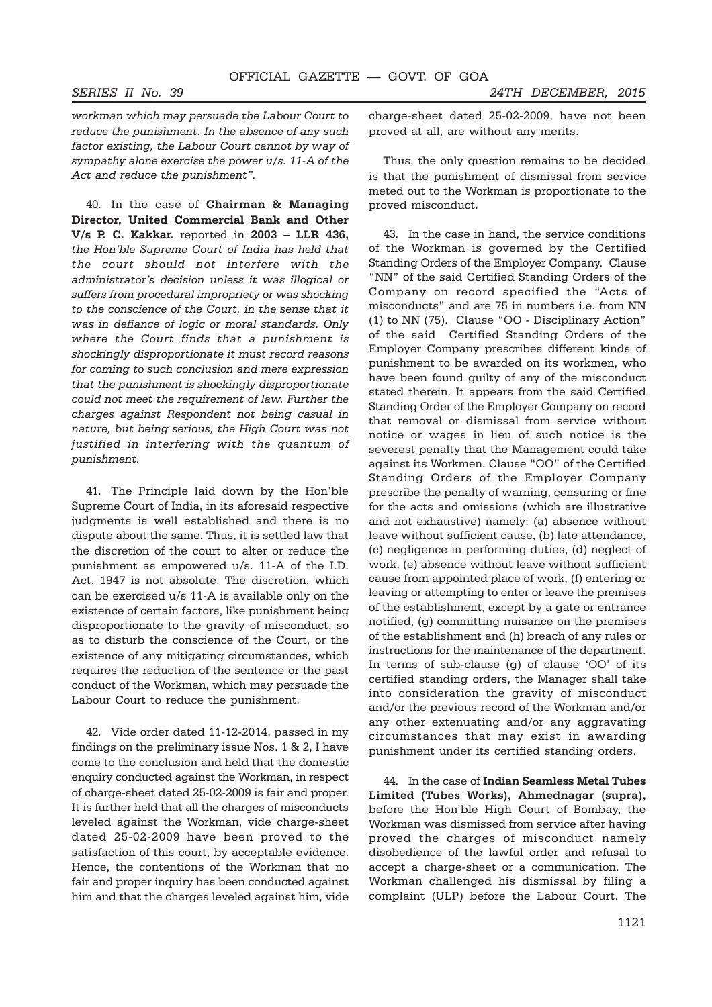*workman which may persuade the Labour Court to reduce the punishment. In the absence of any such factor existing, the Labour Court cannot by way of sympathy alone exercise the power u/s. 11-A of the Act and reduce the punishment".*

40. In the case of **Chairman & Managing Director, United Commercial Bank and Other V/s P. C. Kakkar.** reported in **2003 – LLR 436,** *the Hon'ble Supreme Court of India has held that the court should not interfere with the administrator's decision unless it was illogical or suffers from procedural impropriety or was shocking to the conscience of the Court, in the sense that it was in defiance of logic or moral standards. Only where the Court finds that a punishment is shockingly disproportionate it must record reasons for coming to such conclusion and mere expression that the punishment is shockingly disproportionate could not meet the requirement of law. Further the charges against Respondent not being casual in nature, but being serious, the High Court was not justified in interfering with the quantum of punishment.*

41. The Principle laid down by the Hon'ble Supreme Court of India, in its aforesaid respective judgments is well established and there is no dispute about the same. Thus, it is settled law that the discretion of the court to alter or reduce the punishment as empowered u/s. 11-A of the I.D. Act, 1947 is not absolute. The discretion, which can be exercised u/s 11-A is available only on the existence of certain factors, like punishment being disproportionate to the gravity of misconduct, so as to disturb the conscience of the Court, or the existence of any mitigating circumstances, which requires the reduction of the sentence or the past conduct of the Workman, which may persuade the Labour Court to reduce the punishment.

42. Vide order dated 11-12-2014, passed in my findings on the preliminary issue Nos. 1 & 2, I have come to the conclusion and held that the domestic enquiry conducted against the Workman, in respect of charge-sheet dated 25-02-2009 is fair and proper. It is further held that all the charges of misconducts leveled against the Workman, vide charge-sheet dated 25-02-2009 have been proved to the satisfaction of this court, by acceptable evidence. Hence, the contentions of the Workman that no fair and proper inquiry has been conducted against him and that the charges leveled against him, vide

charge-sheet dated 25-02-2009, have not been proved at all, are without any merits.

Thus, the only question remains to be decided is that the punishment of dismissal from service meted out to the Workman is proportionate to the proved misconduct.

43. In the case in hand, the service conditions of the Workman is governed by the Certified Standing Orders of the Employer Company. Clause "NN" of the said Certified Standing Orders of the Company on record specified the "Acts of misconducts" and are 75 in numbers i.e. from NN (1) to NN (75). Clause "OO - Disciplinary Action" of the said Certified Standing Orders of the Employer Company prescribes different kinds of punishment to be awarded on its workmen, who have been found guilty of any of the misconduct stated therein. It appears from the said Certified Standing Order of the Employer Company on record that removal or dismissal from service without notice or wages in lieu of such notice is the severest penalty that the Management could take against its Workmen. Clause "QQ" of the Certified Standing Orders of the Employer Company prescribe the penalty of warning, censuring or fine for the acts and omissions (which are illustrative and not exhaustive) namely: (a) absence without leave without sufficient cause, (b) late attendance, (c) negligence in performing duties, (d) neglect of work, (e) absence without leave without sufficient cause from appointed place of work, (f) entering or leaving or attempting to enter or leave the premises of the establishment, except by a gate or entrance notified, (g) committing nuisance on the premises of the establishment and (h) breach of any rules or instructions for the maintenance of the department. In terms of sub-clause (g) of clause 'OO' of its certified standing orders, the Manager shall take into consideration the gravity of misconduct and/or the previous record of the Workman and/or any other extenuating and/or any aggravating circumstances that may exist in awarding punishment under its certified standing orders.

44. In the case of **Indian Seamless Metal Tubes Limited (Tubes Works), Ahmednagar (supra),** before the Hon'ble High Court of Bombay, the Workman was dismissed from service after having proved the charges of misconduct namely disobedience of the lawful order and refusal to accept a charge-sheet or a communication. The Workman challenged his dismissal by filing a complaint (ULP) before the Labour Court. The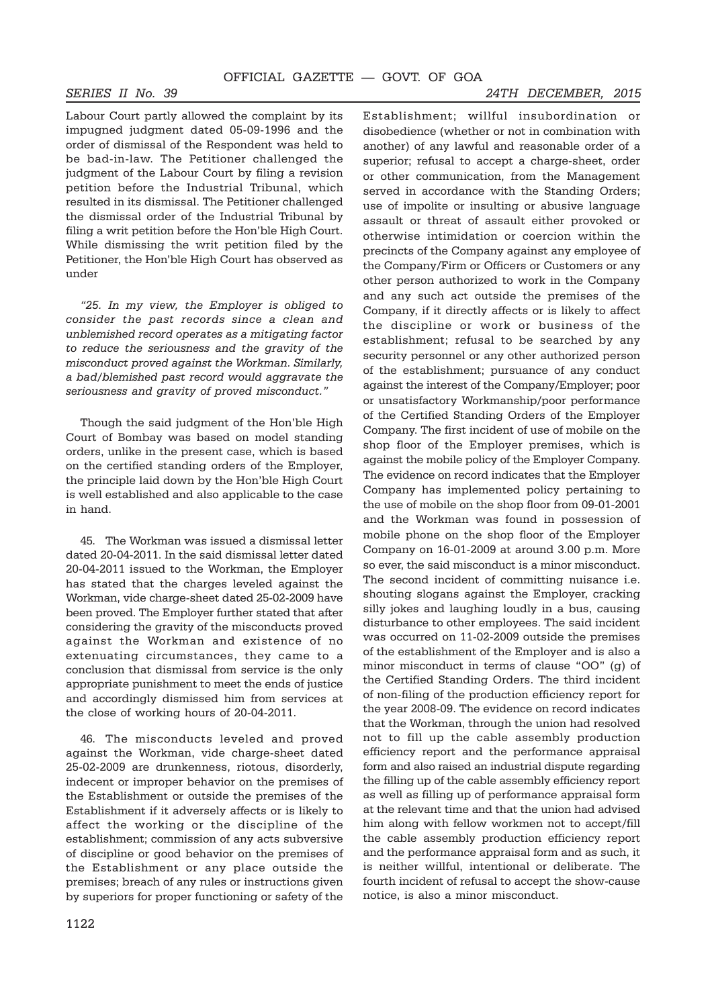Labour Court partly allowed the complaint by its impugned judgment dated 05-09-1996 and the order of dismissal of the Respondent was held to be bad-in-law. The Petitioner challenged the judgment of the Labour Court by filing a revision petition before the Industrial Tribunal, which resulted in its dismissal. The Petitioner challenged the dismissal order of the Industrial Tribunal by filing a writ petition before the Hon'ble High Court. While dismissing the writ petition filed by the Petitioner, the Hon'ble High Court has observed as under

*"25. In my view, the Employer is obliged to consider the past records since a clean and unblemished record operates as a mitigating factor to reduce the seriousness and the gravity of the misconduct proved against the Workman. Similarly, a bad/blemished past record would aggravate the seriousness and gravity of proved misconduct."*

Though the said judgment of the Hon'ble High Court of Bombay was based on model standing orders, unlike in the present case, which is based on the certified standing orders of the Employer, the principle laid down by the Hon'ble High Court is well established and also applicable to the case in hand.

45. The Workman was issued a dismissal letter dated 20-04-2011. In the said dismissal letter dated 20-04-2011 issued to the Workman, the Employer has stated that the charges leveled against the Workman, vide charge-sheet dated 25-02-2009 have been proved. The Employer further stated that after considering the gravity of the misconducts proved against the Workman and existence of no extenuating circumstances, they came to a conclusion that dismissal from service is the only appropriate punishment to meet the ends of justice and accordingly dismissed him from services at the close of working hours of 20-04-2011.

46. The misconducts leveled and proved against the Workman, vide charge-sheet dated 25-02-2009 are drunkenness, riotous, disorderly, indecent or improper behavior on the premises of the Establishment or outside the premises of the Establishment if it adversely affects or is likely to affect the working or the discipline of the establishment; commission of any acts subversive of discipline or good behavior on the premises of the Establishment or any place outside the premises; breach of any rules or instructions given by superiors for proper functioning or safety of the

Establishment; willful insubordination or disobedience (whether or not in combination with another) of any lawful and reasonable order of a superior; refusal to accept a charge-sheet, order or other communication, from the Management served in accordance with the Standing Orders; use of impolite or insulting or abusive language assault or threat of assault either provoked or otherwise intimidation or coercion within the precincts of the Company against any employee of the Company/Firm or Officers or Customers or any other person authorized to work in the Company and any such act outside the premises of the Company, if it directly affects or is likely to affect the discipline or work or business of the establishment; refusal to be searched by any security personnel or any other authorized person of the establishment; pursuance of any conduct against the interest of the Company/Employer; poor or unsatisfactory Workmanship/poor performance of the Certified Standing Orders of the Employer Company. The first incident of use of mobile on the shop floor of the Employer premises, which is against the mobile policy of the Employer Company. The evidence on record indicates that the Employer Company has implemented policy pertaining to the use of mobile on the shop floor from 09-01-2001 and the Workman was found in possession of mobile phone on the shop floor of the Employer Company on 16-01-2009 at around 3.00 p.m. More so ever, the said misconduct is a minor misconduct. The second incident of committing nuisance i.e. shouting slogans against the Employer, cracking silly jokes and laughing loudly in a bus, causing disturbance to other employees. The said incident was occurred on 11-02-2009 outside the premises of the establishment of the Employer and is also a minor misconduct in terms of clause "OO" (g) of the Certified Standing Orders. The third incident of non-filing of the production efficiency report for the year 2008-09. The evidence on record indicates that the Workman, through the union had resolved not to fill up the cable assembly production efficiency report and the performance appraisal form and also raised an industrial dispute regarding the filling up of the cable assembly efficiency report as well as filling up of performance appraisal form at the relevant time and that the union had advised him along with fellow workmen not to accept/fill the cable assembly production efficiency report and the performance appraisal form and as such, it is neither willful, intentional or deliberate. The fourth incident of refusal to accept the show-cause notice, is also a minor misconduct.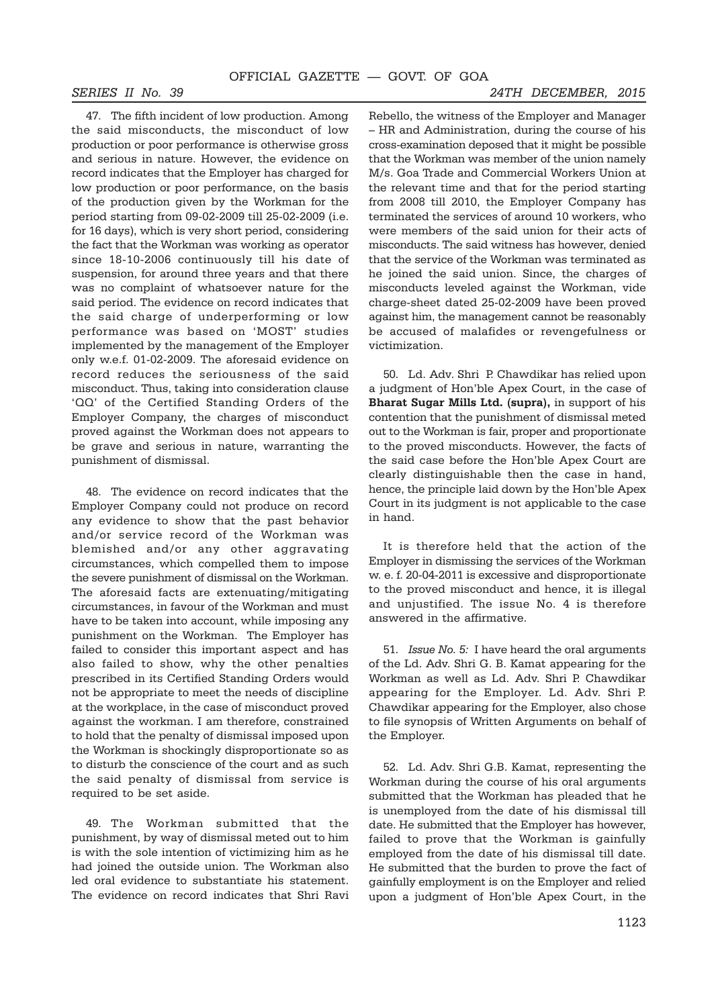punishment of dismissal.

47. The fifth incident of low production. Among the said misconducts, the misconduct of low production or poor performance is otherwise gross and serious in nature. However, the evidence on record indicates that the Employer has charged for low production or poor performance, on the basis of the production given by the Workman for the period starting from 09-02-2009 till 25-02-2009 (i.e. for 16 days), which is very short period, considering the fact that the Workman was working as operator since 18-10-2006 continuously till his date of suspension, for around three years and that there was no complaint of whatsoever nature for the said period. The evidence on record indicates that the said charge of underperforming or low performance was based on 'MOST' studies implemented by the management of the Employer only w.e.f. 01-02-2009. The aforesaid evidence on record reduces the seriousness of the said misconduct. Thus, taking into consideration clause 'QQ' of the Certified Standing Orders of the Employer Company, the charges of misconduct proved against the Workman does not appears to be grave and serious in nature, warranting the

48. The evidence on record indicates that the Employer Company could not produce on record any evidence to show that the past behavior and/or service record of the Workman was blemished and/or any other aggravating circumstances, which compelled them to impose the severe punishment of dismissal on the Workman. The aforesaid facts are extenuating/mitigating circumstances, in favour of the Workman and must have to be taken into account, while imposing any punishment on the Workman. The Employer has failed to consider this important aspect and has also failed to show, why the other penalties prescribed in its Certified Standing Orders would not be appropriate to meet the needs of discipline at the workplace, in the case of misconduct proved against the workman. I am therefore, constrained to hold that the penalty of dismissal imposed upon the Workman is shockingly disproportionate so as to disturb the conscience of the court and as such the said penalty of dismissal from service is required to be set aside.

49. The Workman submitted that the punishment, by way of dismissal meted out to him is with the sole intention of victimizing him as he had joined the outside union. The Workman also led oral evidence to substantiate his statement. The evidence on record indicates that Shri Ravi Rebello, the witness of the Employer and Manager – HR and Administration, during the course of his cross-examination deposed that it might be possible that the Workman was member of the union namely M/s. Goa Trade and Commercial Workers Union at the relevant time and that for the period starting from 2008 till 2010, the Employer Company has terminated the services of around 10 workers, who were members of the said union for their acts of misconducts. The said witness has however, denied that the service of the Workman was terminated as he joined the said union. Since, the charges of misconducts leveled against the Workman, vide charge-sheet dated 25-02-2009 have been proved against him, the management cannot be reasonably be accused of malafides or revengefulness or victimization.

50. Ld. Adv. Shri P. Chawdikar has relied upon a judgment of Hon'ble Apex Court, in the case of **Bharat Sugar Mills Ltd. (supra),** in support of his contention that the punishment of dismissal meted out to the Workman is fair, proper and proportionate to the proved misconducts. However, the facts of the said case before the Hon'ble Apex Court are clearly distinguishable then the case in hand, hence, the principle laid down by the Hon'ble Apex Court in its judgment is not applicable to the case in hand.

It is therefore held that the action of the Employer in dismissing the services of the Workman w. e. f. 20-04-2011 is excessive and disproportionate to the proved misconduct and hence, it is illegal and unjustified. The issue No. 4 is therefore answered in the affirmative.

51. *Issue No. 5:* I have heard the oral arguments of the Ld. Adv. Shri G. B. Kamat appearing for the Workman as well as Ld. Adv. Shri P. Chawdikar appearing for the Employer. Ld. Adv. Shri P. Chawdikar appearing for the Employer, also chose to file synopsis of Written Arguments on behalf of the Employer.

52. Ld. Adv. Shri G.B. Kamat, representing the Workman during the course of his oral arguments submitted that the Workman has pleaded that he is unemployed from the date of his dismissal till date. He submitted that the Employer has however, failed to prove that the Workman is gainfully employed from the date of his dismissal till date. He submitted that the burden to prove the fact of gainfully employment is on the Employer and relied upon a judgment of Hon'ble Apex Court, in the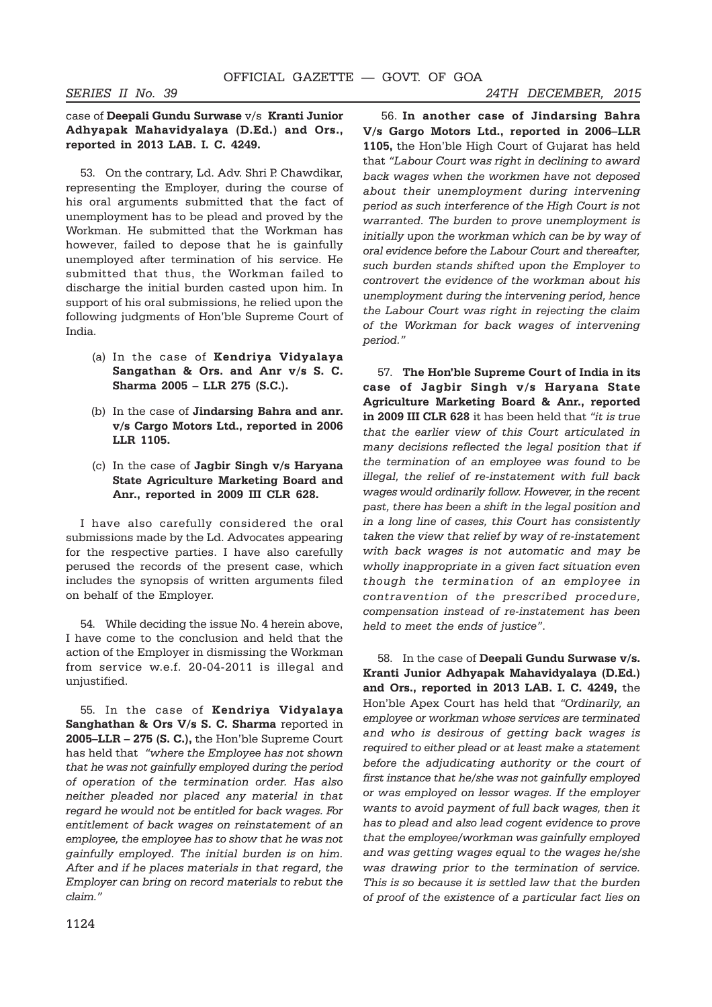### case of **Deepali Gundu Surwase** v/s **Kranti Junior Adhyapak Mahavidyalaya (D.Ed.) and Ors., reported in 2013 LAB. I. C. 4249.**

53. On the contrary, Ld. Adv. Shri P. Chawdikar, representing the Employer, during the course of his oral arguments submitted that the fact of unemployment has to be plead and proved by the Workman. He submitted that the Workman has however, failed to depose that he is gainfully unemployed after termination of his service. He submitted that thus, the Workman failed to discharge the initial burden casted upon him. In support of his oral submissions, he relied upon the following judgments of Hon'ble Supreme Court of India.

- (a) In the case of **Kendriya Vidyalaya Sangathan & Ors. and Anr v/s S. C. Sharma 2005 – LLR 275 (S.C.).**
- (b) In the case of **Jindarsing Bahra and anr. v/s Cargo Motors Ltd., reported in 2006 LLR 1105.**
- (c) In the case of **Jagbir Singh v/s Haryana State Agriculture Marketing Board and Anr., reported in 2009 III CLR 628.**

I have also carefully considered the oral submissions made by the Ld. Advocates appearing for the respective parties. I have also carefully perused the records of the present case, which includes the synopsis of written arguments filed on behalf of the Employer.

54. While deciding the issue No. 4 herein above, I have come to the conclusion and held that the action of the Employer in dismissing the Workman from service w.e.f. 20-04-2011 is illegal and unjustified.

55. In the case of **Kendriya Vidyalaya Sanghathan & Ors V/s S. C. Sharma** reported in **2005–LLR – 275 (S. C.),** the Hon'ble Supreme Court has held that *"where the Employee has not shown that he was not gainfully employed during the period of operation of the termination order. Has also neither pleaded nor placed any material in that regard he would not be entitled for back wages. For entitlement of back wages on reinstatement of an employee, the employee has to show that he was not gainfully employed. The initial burden is on him. After and if he places materials in that regard, the Employer can bring on record materials to rebut the claim."*

 56. **In another case of Jindarsing Bahra V/s Gargo Motors Ltd., reported in 2006–LLR 1105,** the Hon'ble High Court of Gujarat has held that *"Labour Court was right in declining to award back wages when the workmen have not deposed about their unemployment during intervening period as such interference of the High Court is not warranted. The burden to prove unemployment is initially upon the workman which can be by way of oral evidence before the Labour Court and thereafter, such burden stands shifted upon the Employer to controvert the evidence of the workman about his unemployment during the intervening period, hence the Labour Court was right in rejecting the claim of the Workman for back wages of intervening period."*

57. **The Hon'ble Supreme Court of India in its case of Jagbir Singh v/s Haryana State Agriculture Marketing Board & Anr., reported in 2009 III CLR 628** it has been held that *"it is true that the earlier view of this Court articulated in many decisions reflected the legal position that if the termination of an employee was found to be illegal, the relief of re-instatement with full back wages would ordinarily follow. However, in the recent past, there has been a shift in the legal position and in a long line of cases, this Court has consistently taken the view that relief by way of re-instatement with back wages is not automatic and may be wholly inappropriate in a given fact situation even though the termination of an employee in contravention of the prescribed procedure, compensation instead of re-instatement has been held to meet the ends of justice"*.

58. In the case of **Deepali Gundu Surwase v/s. Kranti Junior Adhyapak Mahavidyalaya (D.Ed.) and Ors., reported in 2013 LAB. I. C. 4249,** the Hon'ble Apex Court has held that *"Ordinarily, an employee or workman whose services are terminated and who is desirous of getting back wages is required to either plead or at least make a statement before the adjudicating authority or the court of first instance that he/she was not gainfully employed or was employed on lessor wages. If the employer wants to avoid payment of full back wages, then it has to plead and also lead cogent evidence to prove that the employee/workman was gainfully employed and was getting wages equal to the wages he/she was drawing prior to the termination of service. This is so because it is settled law that the burden of proof of the existence of a particular fact lies on*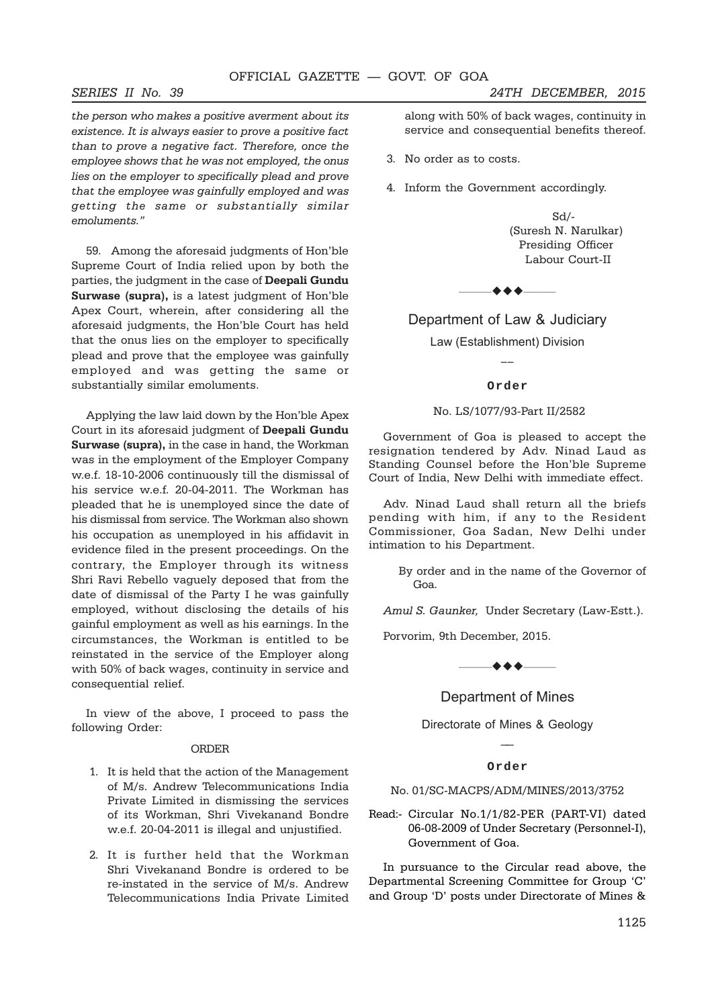*the person who makes a positive averment about its existence. It is always easier to prove a positive fact than to prove a negative fact. Therefore, once the employee shows that he was not employed, the onus lies on the employer to specifically plead and prove that the employee was gainfully employed and was getting the same or substantially similar emoluments."*

59. Among the aforesaid judgments of Hon'ble Supreme Court of India relied upon by both the parties, the judgment in the case of **Deepali Gundu Surwase (supra),** is a latest judgment of Hon'ble Apex Court, wherein, after considering all the aforesaid judgments, the Hon'ble Court has held that the onus lies on the employer to specifically plead and prove that the employee was gainfully employed and was getting the same or substantially similar emoluments.

Applying the law laid down by the Hon'ble Apex Court in its aforesaid judgment of **Deepali Gundu Surwase (supra),** in the case in hand, the Workman was in the employment of the Employer Company w.e.f. 18-10-2006 continuously till the dismissal of his service w.e.f. 20-04-2011. The Workman has pleaded that he is unemployed since the date of his dismissal from service. The Workman also shown his occupation as unemployed in his affidavit in evidence filed in the present proceedings. On the contrary, the Employer through its witness Shri Ravi Rebello vaguely deposed that from the date of dismissal of the Party I he was gainfully employed, without disclosing the details of his gainful employment as well as his earnings. In the circumstances, the Workman is entitled to be reinstated in the service of the Employer along with 50% of back wages, continuity in service and consequential relief.

In view of the above, I proceed to pass the following Order:

#### ORDER

- 1. It is held that the action of the Management of M/s. Andrew Telecommunications India Private Limited in dismissing the services of its Workman, Shri Vivekanand Bondre w.e.f. 20-04-2011 is illegal and unjustified.
- 2. It is further held that the Workman Shri Vivekanand Bondre is ordered to be re-instated in the service of M/s. Andrew Telecommunications India Private Limited

along with 50% of back wages, continuity in service and consequential benefits thereof.

- 3. No order as to costs.
- 4. Inform the Government accordingly.

 Sd/- (Suresh N. Narulkar) Presiding Officer Labour Court-II

——————

### Department of Law & Judiciary

Law (Establishment) Division

#### **Order**

#### No. LS/1077/93-Part II/2582

Government of Goa is pleased to accept the resignation tendered by Adv. Ninad Laud as Standing Counsel before the Hon'ble Supreme Court of India, New Delhi with immediate effect.

Adv. Ninad Laud shall return all the briefs pending with him, if any to the Resident Commissioner, Goa Sadan, New Delhi under intimation to his Department.

> By order and in the name of the Governor of Goa.

*Amul S. Gaunker,* Under Secretary (Law-Estt.).

Porvorim, 9th December, 2015.

 $\bullet$   $\bullet$   $\bullet$   $\_\_$ 

Department of Mines

Directorate of Mines & Geology  $\overline{\phantom{a}}$ 

#### **Order**

#### No. 01/SC-MACPS/ADM/MINES/2013/3752

Read:- Circular No.1/1/82-PER (PART-VI) dated 06-08-2009 of Under Secretary (Personnel-I), Government of Goa.

In pursuance to the Circular read above, the Departmental Screening Committee for Group 'C' and Group 'D' posts under Directorate of Mines &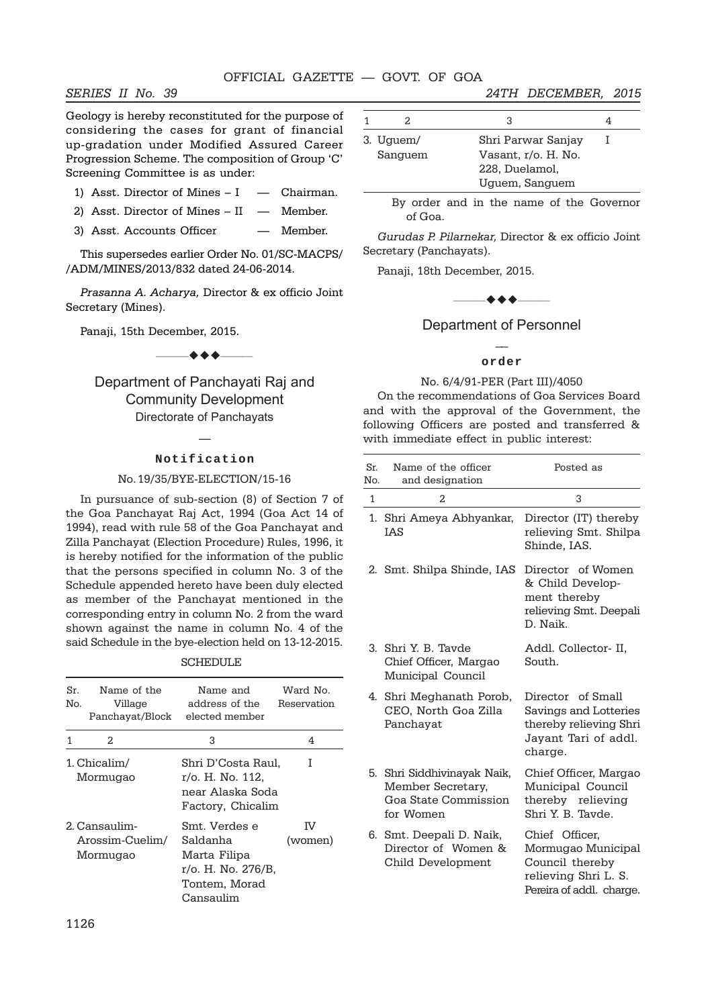Geology is hereby reconstituted for the purpose of considering the cases for grant of financial up-gradation under Modified Assured Career Progression Scheme. The composition of Group 'C' Screening Committee is as under:

- 1) Asst. Director of Mines  $I$   $-$  Chairman.
- 2) Asst. Director of Mines II Member.
- 3) Asst. Accounts Officer Member.

This supersedes earlier Order No. 01/SC-MACPS/ /ADM/MINES/2013/832 dated 24-06-2014.

*Prasanna A. Acharya,* Director & ex officio Joint Secretary (Mines).

Panaji, 15th December, 2015.

Department of Panchayati Raj and Community Development Directorate of Panchayats

 $\leftrightarrow$   $\leftarrow$ 

## — **Notification**

#### No. 19/35/BYE-ELECTION/15-16

In pursuance of sub-section (8) of Section 7 of the Goa Panchayat Raj Act, 1994 (Goa Act 14 of 1994), read with rule 58 of the Goa Panchayat and Zilla Panchayat (Election Procedure) Rules, 1996, it is hereby notified for the information of the public that the persons specified in column No. 3 of the Schedule appended hereto have been duly elected as member of the Panchayat mentioned in the corresponding entry in column No. 2 from the ward shown against the name in column No. 4 of the said Schedule in the bye-election held on 13-12-2015.

#### SCHEDULE

| Sr.<br>Nο. | Name of the<br>Village<br>Panchayat/Block    | Name and<br>address of the<br>elected member                                                  | Ward No.<br>Reservation |
|------------|----------------------------------------------|-----------------------------------------------------------------------------------------------|-------------------------|
| 1          | 2.                                           | 3                                                                                             | 4                       |
|            | 1. Chicalim/<br>Mormugao                     | Shri D'Costa Raul,<br>r/o. H. No. 112,<br>near Alaska Soda<br>Factory, Chicalim               | Τ                       |
|            | 2. Cansaulim-<br>Arossim-Cuelim/<br>Mormugao | Smt. Verdes e<br>Saldanha<br>Marta Filipa<br>r/o. H. No. 276/B.<br>Tontem, Morad<br>Cansaulim | πz<br>(women)           |

| 3. Uguem/ | Shri Parwar Sanjay  |  |
|-----------|---------------------|--|
| Sanguem   | Vasant, r/o. H. No. |  |
|           | 228, Duelamol,      |  |
|           | Uguem, Sanguem      |  |

By order and in the name of the Governor of Goa.

*Gurudas P. Pilarnekar,* Director & ex officio Joint Secretary (Panchayats).

Panaji, 18th December, 2015.

 $\rightarrow$   $\rightarrow$   $\rightarrow$   $\rightarrow$ 

Department of Personnel  $\overline{a}$ 

#### **order**

#### No. 6/4/91-PER (Part III)/4050

On the recommendations of Goa Services Board and with the approval of the Government, the following Officers are posted and transferred & with immediate effect in public interest:

| Sr.<br>No.   | Name of the officer<br>and designation                                                | Posted as                                                                                                   |
|--------------|---------------------------------------------------------------------------------------|-------------------------------------------------------------------------------------------------------------|
| $\mathbf{1}$ | 2                                                                                     | 3                                                                                                           |
|              | 1. Shri Ameya Abhyankar,<br>IAS                                                       | Director (IT) thereby<br>relieving Smt. Shilpa<br>Shinde, IAS.                                              |
|              | 2. Smt. Shilpa Shinde, IAS                                                            | Director of Women<br>& Child Develop-<br>ment thereby<br>relieving Smt. Deepali<br>D Naik                   |
|              | 3. Shri Y. B. Tavde<br>Chief Officer, Margao<br>Municipal Council                     | Addl. Collector- II,<br>South.                                                                              |
|              | 4. Shri Meghanath Porob,<br>CEO, North Goa Zilla<br>Panchayat                         | Director of Small<br>Savings and Lotteries<br>thereby relieving Shri<br>Jayant Tari of addl.<br>charge.     |
|              | 5. Shri Siddhivinayak Naik,<br>Member Secretary,<br>Goa State Commission<br>for Women | Chief Officer, Margao<br>Municipal Council<br>thereby relieving<br>Shri Y. B. Tayde.                        |
|              | 6. Smt. Deepali D. Naik,<br>Director of Women &<br>Child Development                  | Chief Officer,<br>Mormugao Municipal<br>Council thereby<br>relieving Shri L. S.<br>Pereira of addl. charge. |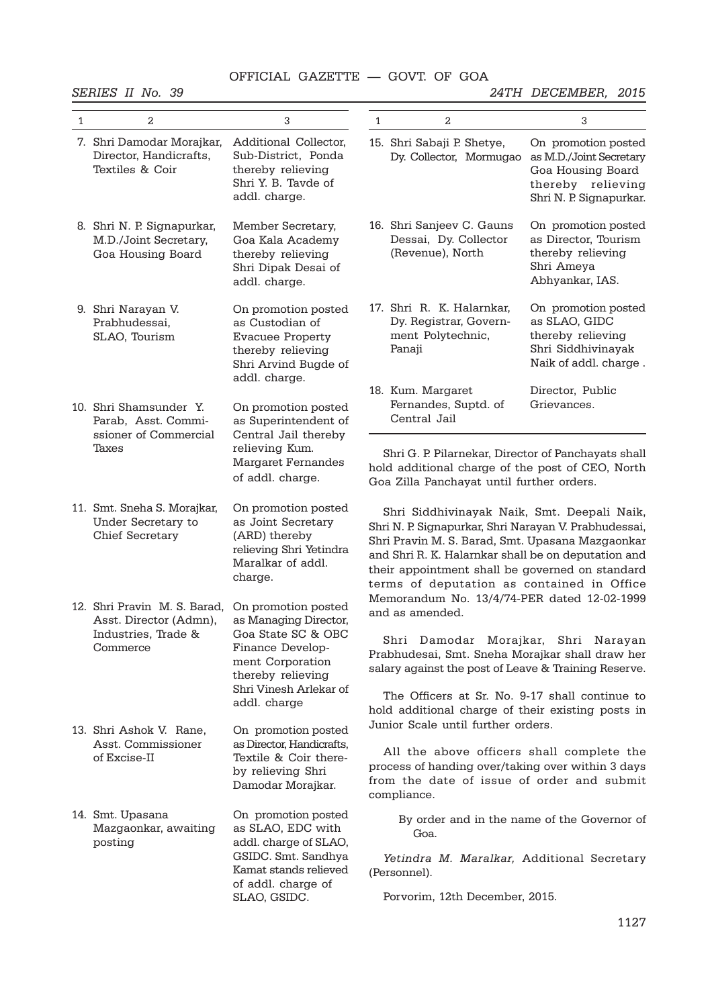|              | SERIES II No. 39                                                                                 |                                                                                                                                 |                                                                                                                                                                                                                                                                                                                                                                                                                                                                                   |                                                                                                                                                                                                                                                                                                                  | 24TH DECEMBER, 2015                                                                                                 |  |  |
|--------------|--------------------------------------------------------------------------------------------------|---------------------------------------------------------------------------------------------------------------------------------|-----------------------------------------------------------------------------------------------------------------------------------------------------------------------------------------------------------------------------------------------------------------------------------------------------------------------------------------------------------------------------------------------------------------------------------------------------------------------------------|------------------------------------------------------------------------------------------------------------------------------------------------------------------------------------------------------------------------------------------------------------------------------------------------------------------|---------------------------------------------------------------------------------------------------------------------|--|--|
| $\mathbf{1}$ | 2                                                                                                | 3                                                                                                                               | $\mathbf{1}$                                                                                                                                                                                                                                                                                                                                                                                                                                                                      | 2                                                                                                                                                                                                                                                                                                                | 3                                                                                                                   |  |  |
|              | 7. Shri Damodar Morajkar,<br>Director, Handicrafts,<br>Textiles & Coir                           | Additional Collector,<br>Sub-District, Ponda<br>thereby relieving<br>Shri Y. B. Tavde of<br>addl. charge.                       |                                                                                                                                                                                                                                                                                                                                                                                                                                                                                   | 15. Shri Sabaji P. Shetye,<br>Dy. Collector, Mormugao                                                                                                                                                                                                                                                            | On promotion posted<br>as M.D./Joint Secretary<br>Goa Housing Board<br>thereby relieving<br>Shri N. P. Signapurkar. |  |  |
|              | 8. Shri N. P. Signapurkar,<br>M.D./Joint Secretary,<br>Goa Housing Board                         | Member Secretary,<br>Goa Kala Academy<br>thereby relieving<br>Shri Dipak Desai of<br>addl. charge.                              |                                                                                                                                                                                                                                                                                                                                                                                                                                                                                   | 16. Shri Sanjeev C. Gauns<br>Dessai, Dy. Collector<br>(Revenue), North                                                                                                                                                                                                                                           | On promotion posted<br>as Director, Tourism<br>thereby relieving<br>Shri Ameya<br>Abhyankar, IAS.                   |  |  |
|              | 9. Shri Narayan V.<br>Prabhudessai,<br>SLAO, Tourism                                             | On promotion posted<br>as Custodian of<br><b>Evacuee Property</b><br>thereby relieving<br>Shri Arvind Bugde of<br>addl. charge. |                                                                                                                                                                                                                                                                                                                                                                                                                                                                                   | 17. Shri R. K. Halarnkar,<br>Dy. Registrar, Govern-<br>ment Polytechnic,<br>Panaji                                                                                                                                                                                                                               | On promotion posted<br>as SLAO, GIDC<br>thereby relieving<br>Shri Siddhivinayak<br>Naik of addl. charge.            |  |  |
|              | 10. Shri Shamsunder Y.<br>Parab, Asst. Commi-<br>ssioner of Commercial                           | On promotion posted<br>as Superintendent of<br>Central Jail thereby                                                             |                                                                                                                                                                                                                                                                                                                                                                                                                                                                                   | 18. Kum. Margaret<br>Fernandes, Suptd. of<br>Central Jail                                                                                                                                                                                                                                                        | Director, Public<br>Grievances.                                                                                     |  |  |
|              | Taxes                                                                                            | relieving Kum.<br><b>Margaret Fernandes</b><br>of addl. charge.                                                                 |                                                                                                                                                                                                                                                                                                                                                                                                                                                                                   | Shri G. P. Pilarnekar, Director of Panchayats shall<br>hold additional charge of the post of CEO, North<br>Goa Zilla Panchayat until further orders.                                                                                                                                                             |                                                                                                                     |  |  |
|              | 11. Smt. Sneha S. Morajkar,<br>Under Secretary to<br>Chief Secretary                             | On promotion posted<br>as Joint Secretary<br>(ARD) thereby<br>relieving Shri Yetindra<br>Maralkar of addl.<br>charge.           |                                                                                                                                                                                                                                                                                                                                                                                                                                                                                   | Shri Siddhivinayak Naik, Smt. Deepali Naik,<br>Shri N. P. Signapurkar, Shri Narayan V. Prabhudessai,<br>Shri Pravin M. S. Barad, Smt. Upasana Mazgaonkar<br>and Shri R. K. Halarnkar shall be on deputation and<br>their appointment shall be governed on standard<br>terms of deputation as contained in Office |                                                                                                                     |  |  |
|              | 12. Shri Pravin M. S. Barad, On promotion posted<br>Asst. Director (Admn), as Managing Director, |                                                                                                                                 |                                                                                                                                                                                                                                                                                                                                                                                                                                                                                   | Memorandum No. 13/4/74-PER dated 12-02-1999<br>and as amended.                                                                                                                                                                                                                                                   |                                                                                                                     |  |  |
|              | Industries, Trade &<br>Commerce                                                                  | Goa State SC & OBC<br>Finance Develop-<br>ment Corporation<br>thereby relieving                                                 | Shri Damodar Morajkar, Shri Narayan<br>Prabhudesai, Smt. Sneha Morajkar shall draw her<br>salary against the post of Leave & Training Reserve.<br>The Officers at Sr. No. 9-17 shall continue to<br>hold additional charge of their existing posts in<br>Junior Scale until further orders.<br>On promotion posted<br>All the above officers shall complete the<br>process of handing over/taking over within 3 days<br>from the date of issue of order and submit<br>compliance. |                                                                                                                                                                                                                                                                                                                  |                                                                                                                     |  |  |
|              |                                                                                                  | Shri Vinesh Arlekar of<br>addl. charge                                                                                          |                                                                                                                                                                                                                                                                                                                                                                                                                                                                                   |                                                                                                                                                                                                                                                                                                                  |                                                                                                                     |  |  |
|              | 13. Shri Ashok V. Rane,<br>Asst. Commissioner<br>of Excise-II                                    | as Director, Handicrafts,<br>Textile & Coir there-<br>by relieving Shri<br>Damodar Morajkar.                                    |                                                                                                                                                                                                                                                                                                                                                                                                                                                                                   |                                                                                                                                                                                                                                                                                                                  |                                                                                                                     |  |  |
|              | 14. Smt. Upasana<br>Mazgaonkar, awaiting<br>posting                                              | On promotion posted<br>as SLAO, EDC with<br>addl. charge of SLAO,                                                               |                                                                                                                                                                                                                                                                                                                                                                                                                                                                                   | By order and in the name of the Governor of<br>Goa.                                                                                                                                                                                                                                                              |                                                                                                                     |  |  |
|              |                                                                                                  | GSIDC. Smt. Sandhya<br>Kamat stands relieved                                                                                    |                                                                                                                                                                                                                                                                                                                                                                                                                                                                                   | Yetindra M. Maralkar, Additional Secretary<br>(Personnel).                                                                                                                                                                                                                                                       |                                                                                                                     |  |  |
|              |                                                                                                  | of addl. charge of<br>SLAO, GSIDC.                                                                                              |                                                                                                                                                                                                                                                                                                                                                                                                                                                                                   | Porvorim, 12th December, 2015.                                                                                                                                                                                                                                                                                   |                                                                                                                     |  |  |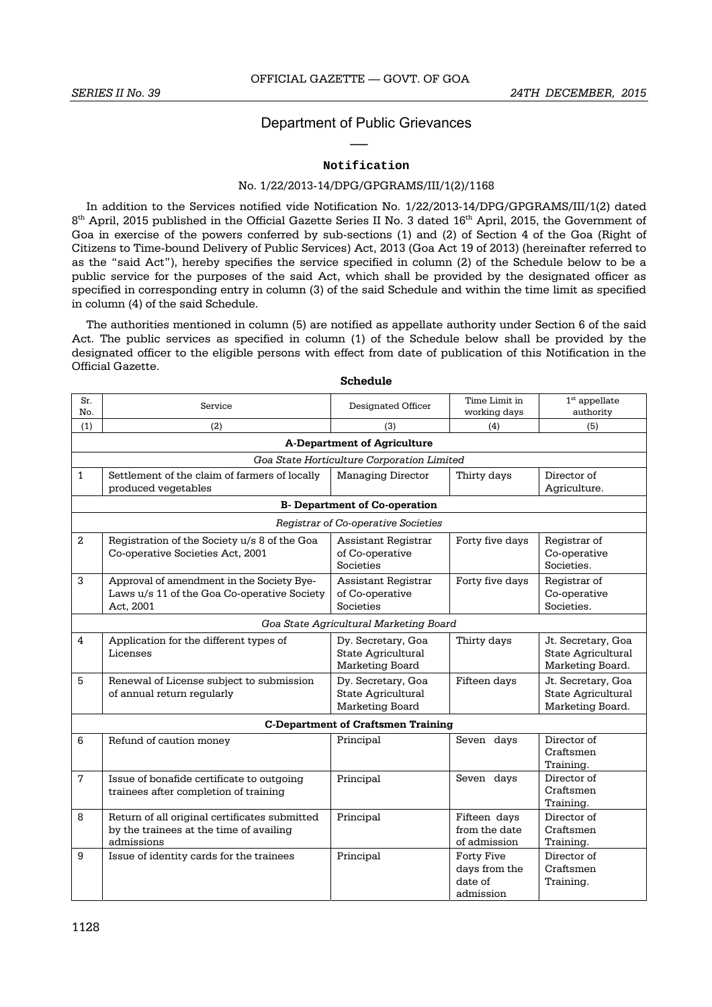### Department of Public Grievances **\_\_\_**

### **Notification**

### No. 1/22/2013-14/DPG/GPGRAMS/III/1(2)/1168

In addition to the Services notified vide Notification No. 1/22/2013-14/DPG/GPGRAMS/III/1(2) dated 8<sup>th</sup> April, 2015 published in the Official Gazette Series II No. 3 dated 16<sup>th</sup> April, 2015, the Government of Goa in exercise of the powers conferred by sub-sections (1) and (2) of Section 4 of the Goa (Right of Citizens to Time-bound Delivery of Public Services) Act, 2013 (Goa Act 19 of 2013) (hereinafter referred to as the "said Act"), hereby specifies the service specified in column (2) of the Schedule below to be a public service for the purposes of the said Act, which shall be provided by the designated officer as specified in corresponding entry in column (3) of the said Schedule and within the time limit as specified in column (4) of the said Schedule.

The authorities mentioned in column (5) are notified as appellate authority under Section 6 of the said Act. The public services as specified in column (1) of the Schedule below shall be provided by the designated officer to the eligible persons with effect from date of publication of this Notification in the Official Gazette.

| Sr.<br>No.     | Service                                                                                                | Designated Officer                                          | Time Limit in<br>working days                       | $1st$ appellate<br>authority                                 |  |  |  |
|----------------|--------------------------------------------------------------------------------------------------------|-------------------------------------------------------------|-----------------------------------------------------|--------------------------------------------------------------|--|--|--|
| (1)            | (2)                                                                                                    | (3)                                                         | (4)                                                 | (5)                                                          |  |  |  |
|                |                                                                                                        | <b>A-Department of Agriculture</b>                          |                                                     |                                                              |  |  |  |
|                |                                                                                                        | Goa State Horticulture Corporation Limited                  |                                                     |                                                              |  |  |  |
| $\mathbf{1}$   | Settlement of the claim of farmers of locally<br>produced vegetables                                   | <b>Managing Director</b>                                    | Thirty days                                         | Director of<br>Agriculture.                                  |  |  |  |
|                |                                                                                                        | <b>B-</b> Department of Co-operation                        |                                                     |                                                              |  |  |  |
|                | Registrar of Co-operative Societies                                                                    |                                                             |                                                     |                                                              |  |  |  |
| $\overline{2}$ | Registration of the Society u/s 8 of the Goa<br>Co-operative Societies Act, 2001                       | Assistant Registrar<br>of Co-operative<br>Societies         | Forty five days                                     | Registrar of<br>Co-operative<br>Societies.                   |  |  |  |
| 3              | Approval of amendment in the Society Bye-<br>Laws u/s 11 of the Goa Co-operative Society<br>Act, 2001  | Assistant Registrar<br>of Co-operative<br>Societies         | Forty five days                                     | Registrar of<br>Co-operative<br>Societies.                   |  |  |  |
|                |                                                                                                        | Goa State Agricultural Marketing Board                      |                                                     |                                                              |  |  |  |
| 4              | Application for the different types of<br>Licenses                                                     | Dy. Secretary, Goa<br>State Agricultural<br>Marketing Board | Thirty days                                         | Jt. Secretary, Goa<br>State Agricultural<br>Marketing Board. |  |  |  |
| 5              | Renewal of License subject to submission<br>of annual return regularly                                 | Dy. Secretary, Goa<br>State Agricultural<br>Marketing Board | Fifteen days                                        | Jt. Secretary, Goa<br>State Agricultural<br>Marketing Board. |  |  |  |
|                |                                                                                                        | <b>C-Department of Craftsmen Training</b>                   |                                                     |                                                              |  |  |  |
| 6              | Refund of caution money                                                                                | Principal                                                   | Seven days                                          | Director of<br>Craftsmen<br>Training.                        |  |  |  |
| $\overline{7}$ | Issue of bonafide certificate to outgoing<br>trainees after completion of training                     | Principal                                                   | Seven days                                          | Director of<br>Craftsmen<br>Training.                        |  |  |  |
| 8              | Return of all original certificates submitted<br>by the trainees at the time of availing<br>admissions | Principal                                                   | Fifteen days<br>from the date<br>of admission       | Director of<br>Craftsmen<br>Training.                        |  |  |  |
| 9              | Issue of identity cards for the trainees                                                               | Principal                                                   | Forty Five<br>days from the<br>date of<br>admission | Director of<br>Craftsmen<br>Training.                        |  |  |  |

**Schedule**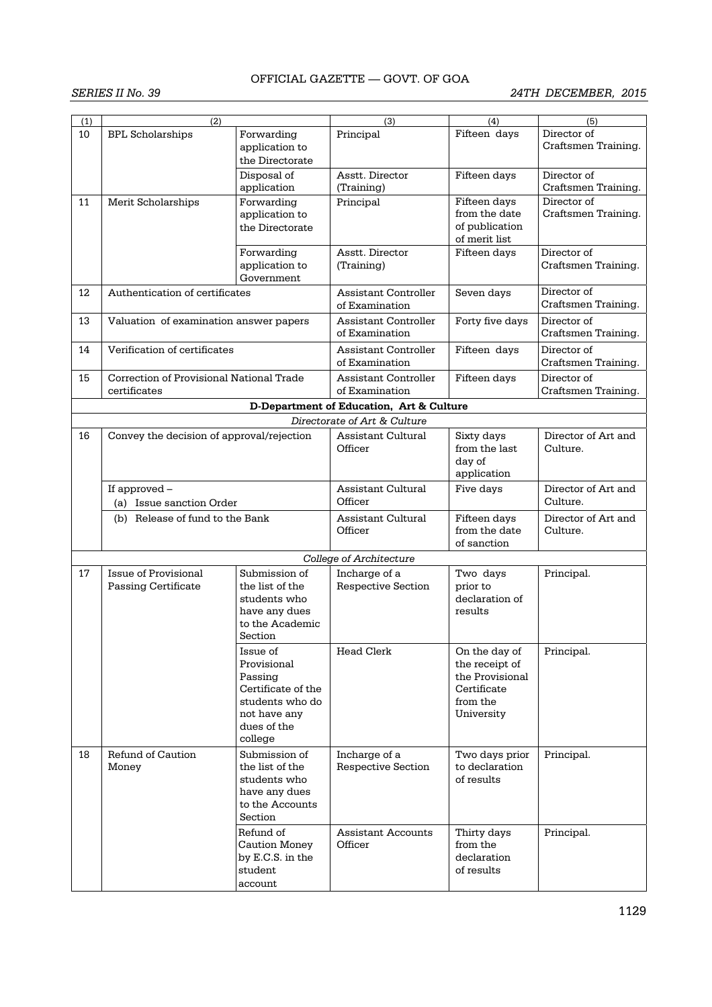| (1) | (2)                                                       |                                                                                                                       | (3)                                           | (4)                                                                                         | (5)                                |
|-----|-----------------------------------------------------------|-----------------------------------------------------------------------------------------------------------------------|-----------------------------------------------|---------------------------------------------------------------------------------------------|------------------------------------|
| 10  | <b>BPL Scholarships</b>                                   | Forwarding<br>application to                                                                                          | Principal                                     | Fifteen days                                                                                | Director of<br>Craftsmen Training. |
|     |                                                           | the Directorate<br>Disposal of<br>application                                                                         | Asstt. Director<br>(Training)                 | Fifteen days                                                                                | Director of<br>Craftsmen Training. |
| 11  | Merit Scholarships                                        | Forwarding<br>application to<br>the Directorate                                                                       | Principal                                     | Fifteen days<br>from the date<br>of publication<br>of merit list                            | Director of<br>Craftsmen Training. |
|     |                                                           | Forwarding<br>application to<br>Government                                                                            | Asstt. Director<br>(Training)                 | Fifteen days                                                                                | Director of<br>Craftsmen Training. |
| 12  | Authentication of certificates                            |                                                                                                                       | <b>Assistant Controller</b><br>of Examination | Seven days                                                                                  | Director of<br>Craftsmen Training. |
| 13  | Valuation of examination answer papers                    |                                                                                                                       | Assistant Controller<br>of Examination        | Forty five days                                                                             | Director of<br>Craftsmen Training. |
| 14  | Verification of certificates                              |                                                                                                                       | <b>Assistant Controller</b><br>of Examination | Fifteen days                                                                                | Director of<br>Craftsmen Training. |
| 15  | Correction of Provisional National Trade<br>certificates  |                                                                                                                       | <b>Assistant Controller</b><br>of Examination | Fifteen days                                                                                | Director of<br>Craftsmen Training. |
|     |                                                           |                                                                                                                       | D-Department of Education, Art & Culture      |                                                                                             |                                    |
|     |                                                           |                                                                                                                       | Directorate of Art & Culture                  |                                                                                             |                                    |
| 16  | Convey the decision of approval/rejection                 |                                                                                                                       | Assistant Cultural<br>Officer                 | Sixty days<br>from the last<br>day of<br>application                                        | Director of Art and<br>Culture.    |
|     | If approved -<br>(a) Issue sanction Order                 |                                                                                                                       | Assistant Cultural<br>Officer                 | Five days                                                                                   | Director of Art and<br>Culture.    |
|     | (b) Release of fund to the Bank                           |                                                                                                                       | Assistant Cultural<br>Officer                 | Fifteen days<br>from the date<br>of sanction                                                | Director of Art and<br>Culture.    |
|     |                                                           |                                                                                                                       | <b>College of Architecture</b>                |                                                                                             |                                    |
| 17  | <b>Issue of Provisional</b><br><b>Passing Certificate</b> | Submission of<br>the list of the<br>students who<br>have any dues<br>to the Academic<br>Section                       | Incharge of a<br>Respective Section           | Two days<br>prior to<br>declaration of<br>results                                           | Principal.                         |
|     |                                                           | lssue of<br>Provisional<br>Passing<br>Certificate of the<br>students who do<br>not have any<br>dues of the<br>college | Head Clerk                                    | On the day of<br>the receipt of<br>the Provisional<br>Certificate<br>from the<br>University | Principal.                         |
| 18  | Refund of Caution<br>Money                                | Submission of<br>the list of the<br>students who<br>have any dues<br>to the Accounts<br>Section                       | Incharge of a<br><b>Respective Section</b>    | Two days prior<br>to declaration<br>of results                                              | Principal.                         |
|     |                                                           | Refund of<br><b>Caution Money</b><br>by E.C.S. in the<br>student<br>account                                           | Assistant Accounts<br>Officer                 | Thirty days<br>from the<br>declaration<br>of results                                        | Principal.                         |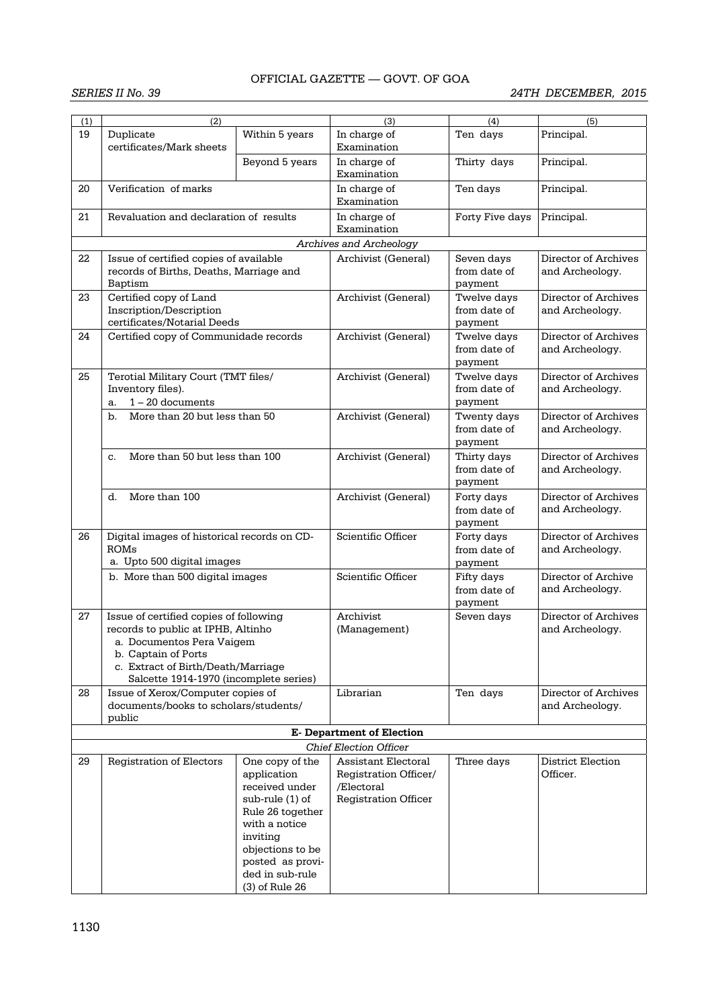| (1) | (2)                                                                                                                                                                                                              |                                                                                                                                                                                                     | (3)                                                                                       | (4)                                    | (5)                                     |
|-----|------------------------------------------------------------------------------------------------------------------------------------------------------------------------------------------------------------------|-----------------------------------------------------------------------------------------------------------------------------------------------------------------------------------------------------|-------------------------------------------------------------------------------------------|----------------------------------------|-----------------------------------------|
| 19  | Duplicate<br>certificates/Mark sheets                                                                                                                                                                            | Within 5 years                                                                                                                                                                                      | In charge of<br>Examination                                                               | Ten days                               | Principal.                              |
|     |                                                                                                                                                                                                                  | Beyond 5 years                                                                                                                                                                                      | In charge of<br>Examination                                                               | Thirty days                            | Principal.                              |
| 20  | Verification of marks<br>Revaluation and declaration of results                                                                                                                                                  |                                                                                                                                                                                                     | In charge of<br>Examination                                                               | Ten days                               | Principal.                              |
| 21  |                                                                                                                                                                                                                  |                                                                                                                                                                                                     | In charge of<br>Examination                                                               | Forty Five days                        | Principal.                              |
|     |                                                                                                                                                                                                                  |                                                                                                                                                                                                     | Archives and Archeology                                                                   |                                        |                                         |
| 22  | Issue of certified copies of available<br>records of Births, Deaths, Marriage and<br>Baptism                                                                                                                     |                                                                                                                                                                                                     | Archivist (General)                                                                       | Seven days<br>from date of<br>payment  | Director of Archives<br>and Archeology. |
| 23  | Certified copy of Land<br>Inscription/Description<br>certificates/Notarial Deeds                                                                                                                                 |                                                                                                                                                                                                     | Archivist (General)                                                                       | Twelve days<br>from date of<br>payment | Director of Archives<br>and Archeology. |
| 24  | Certified copy of Communidade records                                                                                                                                                                            |                                                                                                                                                                                                     | Archivist (General)                                                                       | Twelve days<br>from date of<br>payment | Director of Archives<br>and Archeology. |
| 25  | Terotial Military Court (TMT files/<br>Inventory files).<br>$1 - 20$ documents<br>a.                                                                                                                             |                                                                                                                                                                                                     | Archivist (General)                                                                       | Twelve days<br>from date of<br>payment | Director of Archives<br>and Archeology. |
|     | More than 20 but less than 50<br>$\mathbf b$ .                                                                                                                                                                   |                                                                                                                                                                                                     | Archivist (General)                                                                       | Twenty days<br>from date of<br>payment | Director of Archives<br>and Archeology. |
|     | More than 50 but less than 100<br>c.                                                                                                                                                                             |                                                                                                                                                                                                     | Archivist (General)                                                                       | Thirty days<br>from date of<br>payment | Director of Archives<br>and Archeology. |
|     | More than 100<br>d.                                                                                                                                                                                              |                                                                                                                                                                                                     | Archivist (General)                                                                       | Forty days<br>from date of<br>payment  | Director of Archives<br>and Archeology. |
| 26  | Digital images of historical records on CD-<br>ROMs<br>a. Upto 500 digital images                                                                                                                                |                                                                                                                                                                                                     | Scientific Officer                                                                        | Forty days<br>from date of<br>payment  | Director of Archives<br>and Archeology. |
|     | b. More than 500 digital images                                                                                                                                                                                  |                                                                                                                                                                                                     | Scientific Officer                                                                        | Fifty days<br>from date of<br>payment  | Director of Archive<br>and Archeology.  |
| 27  | Issue of certified copies of following<br>records to public at IPHB, Altinho<br>a. Documentos Pera Vaigem<br>b. Captain of Ports<br>c. Extract of Birth/Death/Marriage<br>Salcette 1914-1970 (incomplete series) |                                                                                                                                                                                                     | Archivist<br>(Management)                                                                 | Seven days                             | Director of Archives<br>and Archeology. |
| 28  | Issue of Xerox/Computer copies of<br>documents/books to scholars/students/<br>public                                                                                                                             |                                                                                                                                                                                                     | Librarian                                                                                 | Ten days                               | Director of Archives<br>and Archeology. |
|     |                                                                                                                                                                                                                  |                                                                                                                                                                                                     | <b>E- Department of Election</b>                                                          |                                        |                                         |
|     |                                                                                                                                                                                                                  |                                                                                                                                                                                                     | <b>Chief Election Officer</b>                                                             |                                        |                                         |
| 29  | Registration of Electors                                                                                                                                                                                         | One copy of the<br>application<br>received under<br>sub-rule (1) of<br>Rule 26 together<br>with a notice<br>inviting<br>objections to be<br>posted as provi-<br>ded in sub-rule<br>$(3)$ of Rule 26 | Assistant Electoral<br>Registration Officer/<br>/Electoral<br><b>Registration Officer</b> | Three days                             | District Election<br>Officer.           |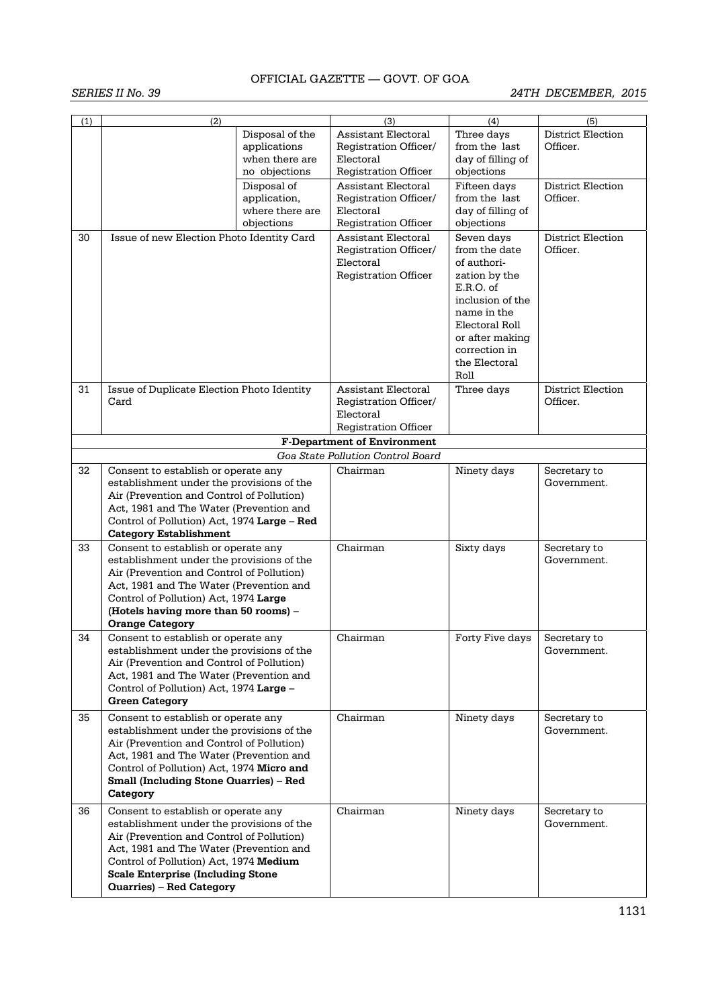| (1) | $\overline{(2)}$                                                                       | Disposal of the | (3)<br>Assistant Electoral                          | (4)<br>Three days                | (5)<br>District Election      |
|-----|----------------------------------------------------------------------------------------|-----------------|-----------------------------------------------------|----------------------------------|-------------------------------|
|     |                                                                                        | applications    | Registration Officer/                               | from the last                    | Officer.                      |
|     |                                                                                        | when there are  | Electoral                                           | day of filling of                |                               |
|     |                                                                                        | no objections   | <b>Registration Officer</b>                         | objections                       |                               |
|     |                                                                                        | Disposal of     | <b>Assistant Electoral</b>                          | Fifteen days                     | <b>District Election</b>      |
|     |                                                                                        | application,    | Registration Officer/                               | from the last                    | Officer.                      |
|     |                                                                                        | where there are | Electoral                                           | day of filling of                |                               |
|     |                                                                                        | objections      | <b>Registration Officer</b>                         | objections                       |                               |
| 30  | Issue of new Election Photo Identity Card                                              |                 | <b>Assistant Electoral</b><br>Registration Officer/ | Seven days<br>from the date      | District Election<br>Officer. |
|     |                                                                                        |                 | Electoral                                           | of authori-                      |                               |
|     |                                                                                        |                 | <b>Registration Officer</b>                         | zation by the                    |                               |
|     |                                                                                        |                 |                                                     | E.R.O. of                        |                               |
|     |                                                                                        |                 |                                                     | inclusion of the                 |                               |
|     |                                                                                        |                 |                                                     | name in the                      |                               |
|     |                                                                                        |                 |                                                     | Electoral Roll                   |                               |
|     |                                                                                        |                 |                                                     | or after making<br>correction in |                               |
|     |                                                                                        |                 |                                                     | the Electoral                    |                               |
|     |                                                                                        |                 |                                                     | Roll                             |                               |
| 31  | Issue of Duplicate Election Photo Identity                                             |                 | <b>Assistant Electoral</b>                          | Three days                       | <b>District Election</b>      |
|     | Card                                                                                   |                 | Registration Officer/                               |                                  | Officer.                      |
|     |                                                                                        |                 | Electoral                                           |                                  |                               |
|     |                                                                                        |                 | <b>Registration Officer</b>                         |                                  |                               |
|     |                                                                                        |                 | <b>F-Department of Environment</b>                  |                                  |                               |
|     |                                                                                        |                 | Goa State Pollution Control Board                   |                                  |                               |
| 32  | Consent to establish or operate any                                                    |                 | Chairman                                            | Ninety days                      | Secretary to                  |
|     | establishment under the provisions of the                                              |                 |                                                     |                                  | Government.                   |
|     | Air (Prevention and Control of Pollution)                                              |                 |                                                     |                                  |                               |
|     | Act, 1981 and The Water (Prevention and<br>Control of Pollution) Act, 1974 Large - Red |                 |                                                     |                                  |                               |
|     | <b>Category Establishment</b>                                                          |                 |                                                     |                                  |                               |
| 33  | Consent to establish or operate any                                                    |                 | Chairman                                            | Sixty days                       | Secretary to                  |
|     | establishment under the provisions of the                                              |                 |                                                     |                                  | Government.                   |
|     | Air (Prevention and Control of Pollution)                                              |                 |                                                     |                                  |                               |
|     | Act, 1981 and The Water (Prevention and                                                |                 |                                                     |                                  |                               |
|     | Control of Pollution) Act, 1974 Large                                                  |                 |                                                     |                                  |                               |
|     | (Hotels having more than 50 rooms) -                                                   |                 |                                                     |                                  |                               |
| 34  | <b>Orange Category</b><br>Consent to establish or operate any                          |                 | Chairman                                            | Forty Five days                  | Secretary to                  |
|     | establishment under the provisions of the                                              |                 |                                                     |                                  | Government.                   |
|     | Air (Prevention and Control of Pollution)                                              |                 |                                                     |                                  |                               |
|     | Act, 1981 and The Water (Prevention and                                                |                 |                                                     |                                  |                               |
|     | Control of Pollution) Act, 1974 Large -                                                |                 |                                                     |                                  |                               |
|     | <b>Green Category</b>                                                                  |                 |                                                     |                                  |                               |
| 35  | Consent to establish or operate any                                                    |                 | Chairman                                            | Ninety days                      | Secretary to                  |
|     | establishment under the provisions of the                                              |                 |                                                     |                                  | Government.                   |
|     | Air (Prevention and Control of Pollution)                                              |                 |                                                     |                                  |                               |
|     | Act, 1981 and The Water (Prevention and<br>Control of Pollution) Act, 1974 Micro and   |                 |                                                     |                                  |                               |
|     | <b>Small (Including Stone Quarries) - Red</b>                                          |                 |                                                     |                                  |                               |
|     | Category                                                                               |                 |                                                     |                                  |                               |
| 36  | Consent to establish or operate any                                                    |                 | Chairman                                            | Ninety days                      | Secretary to                  |
|     | establishment under the provisions of the                                              |                 |                                                     |                                  | Government.                   |
|     | Air (Prevention and Control of Pollution)                                              |                 |                                                     |                                  |                               |
|     | Act, 1981 and The Water (Prevention and                                                |                 |                                                     |                                  |                               |
|     | Control of Pollution) Act, 1974 Medium                                                 |                 |                                                     |                                  |                               |
|     | <b>Scale Enterprise (Including Stone</b>                                               |                 |                                                     |                                  |                               |
|     | <b>Quarries) - Red Category</b>                                                        |                 |                                                     |                                  |                               |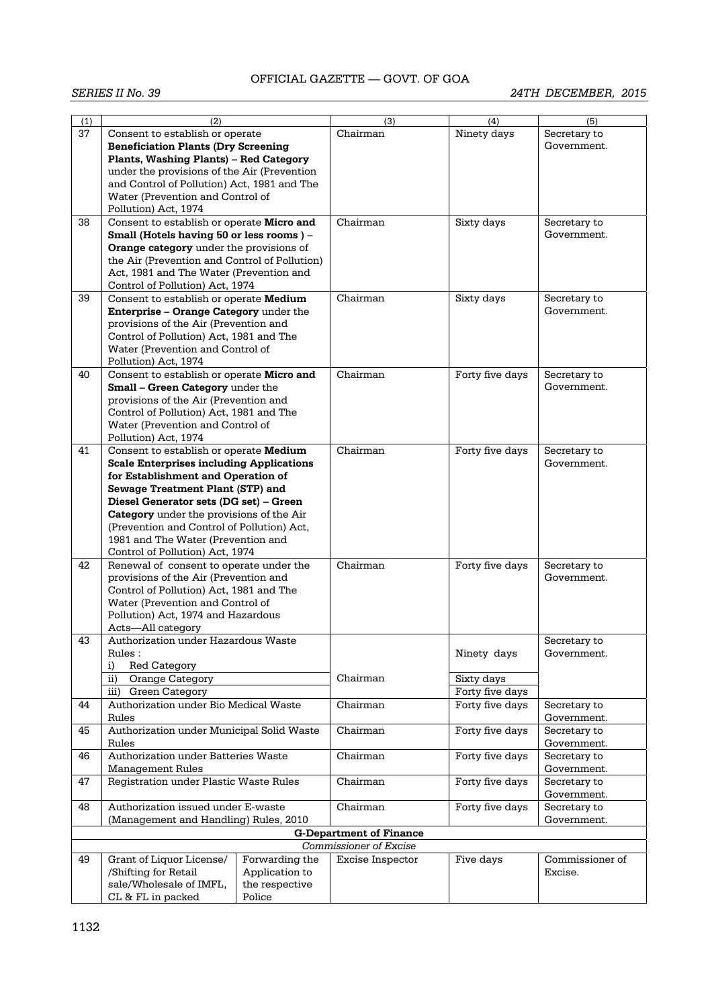| (1) | (2)                                                                                   |                | (3)                            | (4)             | (5)             |
|-----|---------------------------------------------------------------------------------------|----------------|--------------------------------|-----------------|-----------------|
| 37  | Consent to establish or operate                                                       |                | Chairman                       | Ninety days     | Secretary to    |
|     | <b>Beneficiation Plants (Dry Screening</b>                                            |                |                                |                 | Government.     |
|     | <b>Plants, Washing Plants) - Red Category</b>                                         |                |                                |                 |                 |
|     |                                                                                       |                |                                |                 |                 |
|     | under the provisions of the Air (Prevention                                           |                |                                |                 |                 |
|     | and Control of Pollution) Act, 1981 and The                                           |                |                                |                 |                 |
|     | Water (Prevention and Control of                                                      |                |                                |                 |                 |
|     | Pollution) Act, 1974                                                                  |                |                                |                 |                 |
| 38  | Consent to establish or operate Micro and                                             |                | Chairman                       | Sixty days      | Secretary to    |
|     | Small (Hotels having 50 or less rooms) -                                              |                |                                |                 | Government.     |
|     |                                                                                       |                |                                |                 |                 |
|     | Orange category under the provisions of                                               |                |                                |                 |                 |
|     | the Air (Prevention and Control of Pollution)                                         |                |                                |                 |                 |
|     | Act, 1981 and The Water (Prevention and                                               |                |                                |                 |                 |
|     | Control of Pollution) Act, 1974                                                       |                |                                |                 |                 |
| 39  | Consent to establish or operate Medium                                                |                | Chairman                       | Sixty days      | Secretary to    |
|     | Enterprise - Orange Category under the                                                |                |                                |                 | Government.     |
|     | provisions of the Air (Prevention and                                                 |                |                                |                 |                 |
|     | Control of Pollution) Act, 1981 and The                                               |                |                                |                 |                 |
|     | Water (Prevention and Control of                                                      |                |                                |                 |                 |
|     |                                                                                       |                |                                |                 |                 |
|     | Pollution) Act, 1974                                                                  |                |                                |                 |                 |
| 40  | Consent to establish or operate Micro and                                             |                | Chairman                       | Forty five days | Secretary to    |
|     | <b>Small - Green Category under the</b>                                               |                |                                |                 | Government.     |
|     | provisions of the Air (Prevention and                                                 |                |                                |                 |                 |
|     | Control of Pollution) Act, 1981 and The                                               |                |                                |                 |                 |
|     | Water (Prevention and Control of                                                      |                |                                |                 |                 |
|     | Pollution) Act, 1974                                                                  |                |                                |                 |                 |
|     |                                                                                       |                |                                |                 |                 |
| 41  | Consent to establish or operate Medium                                                |                | Chairman                       | Forty five days | Secretary to    |
|     | <b>Scale Enterprises including Applications</b><br>for Establishment and Operation of |                |                                |                 | Government.     |
|     |                                                                                       |                |                                |                 |                 |
|     | Sewage Treatment Plant (STP) and                                                      |                |                                |                 |                 |
|     | Diesel Generator sets (DG set) - Green                                                |                |                                |                 |                 |
|     | <b>Category</b> under the provisions of the Air                                       |                |                                |                 |                 |
|     | (Prevention and Control of Pollution) Act,                                            |                |                                |                 |                 |
|     |                                                                                       |                |                                |                 |                 |
|     | 1981 and The Water (Prevention and                                                    |                |                                |                 |                 |
|     | Control of Pollution) Act, 1974                                                       |                |                                |                 |                 |
| 42  | Renewal of consent to operate under the                                               |                | Chairman                       | Forty five days | Secretary to    |
|     | provisions of the Air (Prevention and                                                 |                |                                |                 | Government.     |
|     | Control of Pollution) Act, 1981 and The                                               |                |                                |                 |                 |
|     | Water (Prevention and Control of                                                      |                |                                |                 |                 |
|     | Pollution) Act, 1974 and Hazardous                                                    |                |                                |                 |                 |
|     | Acts-All category                                                                     |                |                                |                 |                 |
| 43  | Authorization under Hazardous Waste                                                   |                |                                |                 |                 |
|     |                                                                                       |                |                                |                 | Secretary to    |
|     | Rules:                                                                                |                |                                | Ninety days     | Government.     |
|     | i)<br>Red Category                                                                    |                |                                |                 |                 |
|     | ii)<br>Orange Category                                                                |                | Chairman                       | Sixty days      |                 |
|     | Green Category<br>iii)                                                                |                |                                | Forty five days |                 |
| 44  | Authorization under Bio Medical Waste                                                 |                | Chairman                       | Forty five days | Secretary to    |
|     | Rules                                                                                 |                |                                |                 | Government.     |
| 45  | Authorization under Municipal Solid Waste                                             |                | Chairman                       | Forty five days | Secretary to    |
|     |                                                                                       |                |                                |                 |                 |
|     | Rules                                                                                 |                |                                |                 | Government.     |
| 46  | Authorization under Batteries Waste                                                   |                | Chairman                       | Forty five days | Secretary to    |
|     | <b>Management Rules</b>                                                               |                |                                |                 | Government.     |
| 47  | Registration under Plastic Waste Rules                                                |                | Chairman                       | Forty five days | Secretary to    |
|     |                                                                                       |                |                                |                 | Government.     |
| 48  | Authorization issued under E-waste                                                    |                | Chairman                       | Forty five days | Secretary to    |
|     |                                                                                       |                |                                |                 |                 |
|     | (Management and Handling) Rules, 2010                                                 |                |                                |                 | Government.     |
|     |                                                                                       |                | <b>G-Department of Finance</b> |                 |                 |
|     |                                                                                       |                | Commissioner of Excise         |                 |                 |
| 49  | Grant of Liquor License/                                                              | Forwarding the | Excise Inspector               | Five days       | Commissioner of |
|     | /Shifting for Retail                                                                  | Application to |                                |                 | Excise.         |
|     | sale/Wholesale of IMFL,                                                               | the respective |                                |                 |                 |
|     | CL & FL in packed                                                                     | Police         |                                |                 |                 |
|     |                                                                                       |                |                                |                 |                 |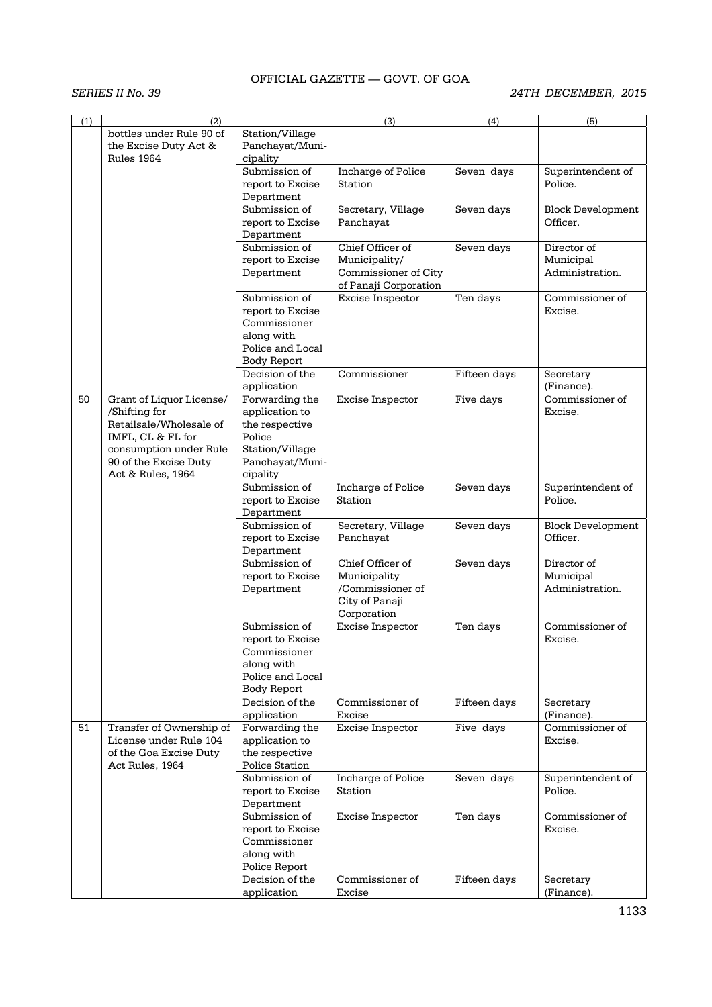| (1) | (2)                                                             |                                                | (3)                   | (4)          | (5)                           |
|-----|-----------------------------------------------------------------|------------------------------------------------|-----------------------|--------------|-------------------------------|
|     | bottles under Rule 90 of<br>the Excise Duty Act &<br>Rules 1964 | Station/Village<br>Panchayat/Muni-<br>cipality |                       |              |                               |
|     |                                                                 | Submission of                                  | Incharge of Police    | Seven days   | Superintendent of             |
|     |                                                                 | report to Excise<br>Department                 | Station               |              | Police.                       |
|     |                                                                 | Submission of                                  | Secretary, Village    | Seven days   | <b>Block Development</b>      |
|     |                                                                 | report to Excise                               | Panchayat             |              | Officer.                      |
|     |                                                                 | Department                                     |                       |              |                               |
|     |                                                                 | Submission of                                  | Chief Officer of      | Seven days   | Director of                   |
|     |                                                                 | report to Excise                               | Municipality/         |              | Municipal                     |
|     |                                                                 | Department                                     | Commissioner of City  |              | Administration.               |
|     |                                                                 |                                                | of Panaji Corporation |              |                               |
|     |                                                                 | Submission of                                  | Excise Inspector      | Ten days     | Commissioner of               |
|     |                                                                 | report to Excise                               |                       |              | Excise.                       |
|     |                                                                 | Commissioner                                   |                       |              |                               |
|     |                                                                 | along with                                     |                       |              |                               |
|     |                                                                 |                                                |                       |              |                               |
|     |                                                                 | Police and Local                               |                       |              |                               |
|     |                                                                 | Body Report                                    |                       |              |                               |
|     |                                                                 | Decision of the                                | Commissioner          | Fifteen days | Secretary                     |
|     |                                                                 | application                                    |                       |              | (Finance).                    |
| 50  | Grant of Liquor License/                                        | Forwarding the                                 | Excise Inspector      | Five days    | Commissioner of               |
|     | /Shifting for                                                   | application to                                 |                       |              | Excise.                       |
|     | Retailsale/Wholesale of                                         | the respective                                 |                       |              |                               |
|     | IMFL, CL & FL for                                               | Police                                         |                       |              |                               |
|     | consumption under Rule                                          | Station/Village                                |                       |              |                               |
|     | 90 of the Excise Duty                                           | Panchayat/Muni-                                |                       |              |                               |
|     | Act & Rules, 1964                                               | cipality                                       |                       |              |                               |
|     |                                                                 | Submission of                                  | Incharge of Police    | Seven days   | Superintendent of             |
|     |                                                                 | report to Excise                               | Station               |              | Police.                       |
|     |                                                                 | Department                                     |                       |              |                               |
|     |                                                                 | Submission of                                  | Secretary, Village    | Seven days   | <b>Block Development</b>      |
|     |                                                                 | report to Excise                               | Panchayat             |              | Officer.                      |
|     |                                                                 | Department                                     |                       |              |                               |
|     |                                                                 | Submission of                                  | Chief Officer of      | Seven days   | Director of                   |
|     |                                                                 | report to Excise                               | Municipality          |              | Municipal                     |
|     |                                                                 | Department                                     | /Commissioner of      |              | Administration.               |
|     |                                                                 |                                                | City of Panaji        |              |                               |
|     |                                                                 |                                                | Corporation           |              |                               |
|     |                                                                 | Submission of                                  | Excise Inspector      | Ten days     | Commissioner of               |
|     |                                                                 | report to Excise                               |                       |              | Excise.                       |
|     |                                                                 | Commissioner                                   |                       |              |                               |
|     |                                                                 | along with                                     |                       |              |                               |
|     |                                                                 | Police and Local                               |                       |              |                               |
|     |                                                                 |                                                |                       |              |                               |
|     |                                                                 | Body Report                                    |                       |              |                               |
|     |                                                                 | Decision of the                                | Commissioner of       | Fifteen days | Secretary                     |
|     |                                                                 | application                                    | Excise                |              | (Finance).<br>Commissioner of |
| 51  | Transfer of Ownership of                                        | Forwarding the                                 | Excise Inspector      | Five days    |                               |
|     | License under Rule 104                                          | application to                                 |                       |              | Excise.                       |
|     | of the Goa Excise Duty                                          | the respective                                 |                       |              |                               |
|     | Act Rules, 1964                                                 | Police Station                                 |                       |              |                               |
|     |                                                                 | Submission of                                  | Incharge of Police    | Seven days   | Superintendent of             |
|     |                                                                 | report to Excise                               | Station               |              | Police.                       |
|     |                                                                 | Department                                     |                       |              |                               |
|     |                                                                 | Submission of                                  | Excise Inspector      | Ten days     | Commissioner of               |
|     |                                                                 | report to Excise                               |                       |              | Excise.                       |
|     |                                                                 | Commissioner                                   |                       |              |                               |
|     |                                                                 | along with                                     |                       |              |                               |
|     |                                                                 | Police Report                                  |                       |              |                               |
|     |                                                                 | Decision of the                                | Commissioner of       | Fifteen days | Secretary                     |
|     |                                                                 | application                                    | Excise                |              | (Finance).                    |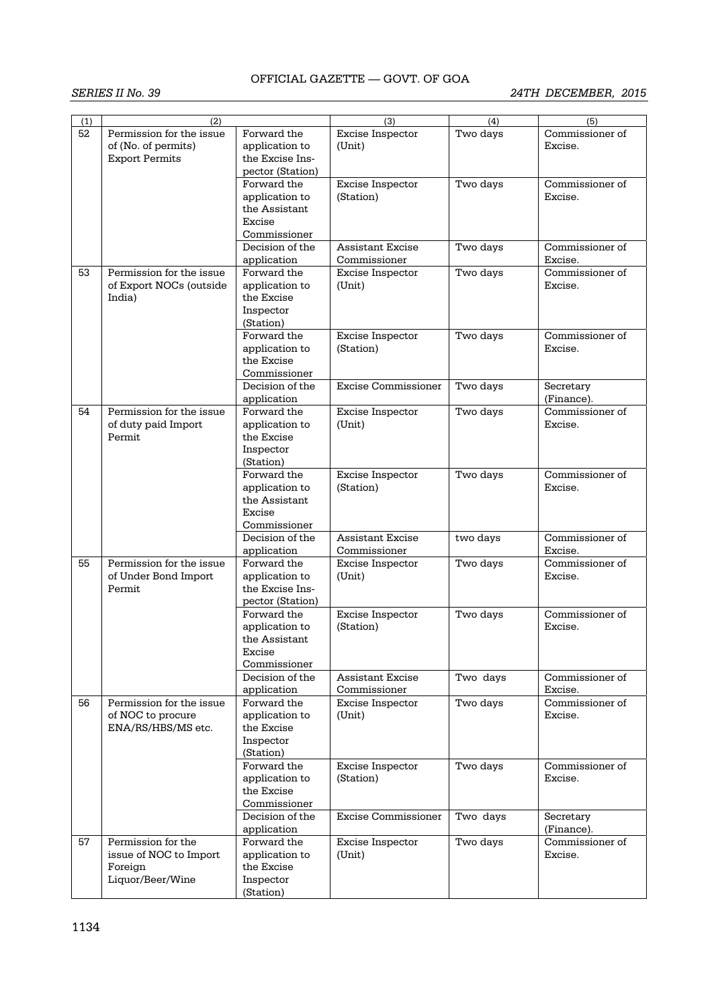| (1) | (2)                      |                          | (3)                        | (4)      | (5)             |
|-----|--------------------------|--------------------------|----------------------------|----------|-----------------|
| 52  | Permission for the issue | Forward the              | Excise Inspector           | Two days | Commissioner of |
|     | of (No. of permits)      | application to           | (Unit)                     |          | Excise.         |
|     | <b>Export Permits</b>    | the Excise Ins-          |                            |          |                 |
|     |                          | pector (Station)         |                            |          |                 |
|     |                          | Forward the              | Excise Inspector           | Two days | Commissioner of |
|     |                          | application to           | (Station)                  |          | Excise.         |
|     |                          | the Assistant            |                            |          |                 |
|     |                          | Excise                   |                            |          |                 |
|     |                          |                          |                            |          |                 |
|     |                          | Commissioner             |                            |          |                 |
|     |                          | Decision of the          | <b>Assistant Excise</b>    | Two days | Commissioner of |
|     |                          | application              | Commissioner               |          | Excise.         |
| 53  | Permission for the issue | Forward the              | Excise Inspector           | Two days | Commissioner of |
|     | of Export NOCs (outside  | application to           | (Unit)                     |          | Excise.         |
|     | India)                   | the Excise               |                            |          |                 |
|     |                          | Inspector                |                            |          |                 |
|     |                          | (Station)                |                            |          |                 |
|     |                          | Forward the              | Excise Inspector           | Two days | Commissioner of |
|     |                          | application to           | (Station)                  |          | Excise.         |
|     |                          | the Excise               |                            |          |                 |
|     |                          | Commissioner             |                            |          |                 |
|     |                          | Decision of the          | Excise Commissioner        | Two days | Secretary       |
|     |                          | application              |                            |          | (Finance).      |
| 54  | Permission for the issue | Forward the              | Excise Inspector           | Two days | Commissioner of |
|     | of duty paid Import      | application to           | (Unit)                     |          | Excise.         |
|     | Permit                   | the Excise               |                            |          |                 |
|     |                          | Inspector                |                            |          |                 |
|     |                          | (Station)                |                            |          |                 |
|     |                          | Forward the              | Excise Inspector           | Two days | Commissioner of |
|     |                          | application to           | (Station)                  |          | Excise.         |
|     |                          | the Assistant            |                            |          |                 |
|     |                          | Excise                   |                            |          |                 |
|     |                          | Commissioner             |                            |          |                 |
|     |                          | Decision of the          | <b>Assistant Excise</b>    | two days | Commissioner of |
|     |                          | application              | Commissioner               |          | Excise.         |
| 55  | Permission for the issue | Forward the              | Excise Inspector           | Two days | Commissioner of |
|     | of Under Bond Import     | application to           | (Unit)                     |          | Excise.         |
|     | Permit                   | the Excise Ins-          |                            |          |                 |
|     |                          | pector (Station)         |                            |          |                 |
|     |                          | Forward the              | Excise Inspector           | Two days | Commissioner of |
|     |                          | application to           | (Station)                  |          | Excise.         |
|     |                          | the Assistant            |                            |          |                 |
|     |                          | Excise                   |                            |          |                 |
|     |                          | Commissioner             |                            |          |                 |
|     |                          | Decision of the          | <b>Assistant Excise</b>    | Two days | Commissioner of |
|     |                          | application              | Commissioner               |          | Excise.         |
| 56  | Permission for the issue | Forward the              | Excise Inspector           | Two days | Commissioner of |
|     | of NOC to procure        | application to           | (Unit)                     |          | Excise.         |
|     | ENA/RS/HBS/MS etc.       | the Excise               |                            |          |                 |
|     |                          | Inspector                |                            |          |                 |
|     |                          |                          |                            |          |                 |
|     |                          | (Station)<br>Forward the |                            |          | Commissioner of |
|     |                          |                          | Excise Inspector           | Two days |                 |
|     |                          | application to           | (Station)                  |          | Excise.         |
|     |                          | the Excise               |                            |          |                 |
|     |                          | Commissioner             |                            |          |                 |
|     |                          | Decision of the          | <b>Excise Commissioner</b> | Two days | Secretary       |
|     |                          | application              |                            |          | (Finance).      |
| 57  | Permission for the       | Forward the              | Excise Inspector           | Two days | Commissioner of |
|     | issue of NOC to Import   | application to           | (Unit)                     |          | Excise.         |
|     | Foreign                  | the Excise               |                            |          |                 |
|     | Liquor/Beer/Wine         | Inspector                |                            |          |                 |
|     |                          | (Station)                |                            |          |                 |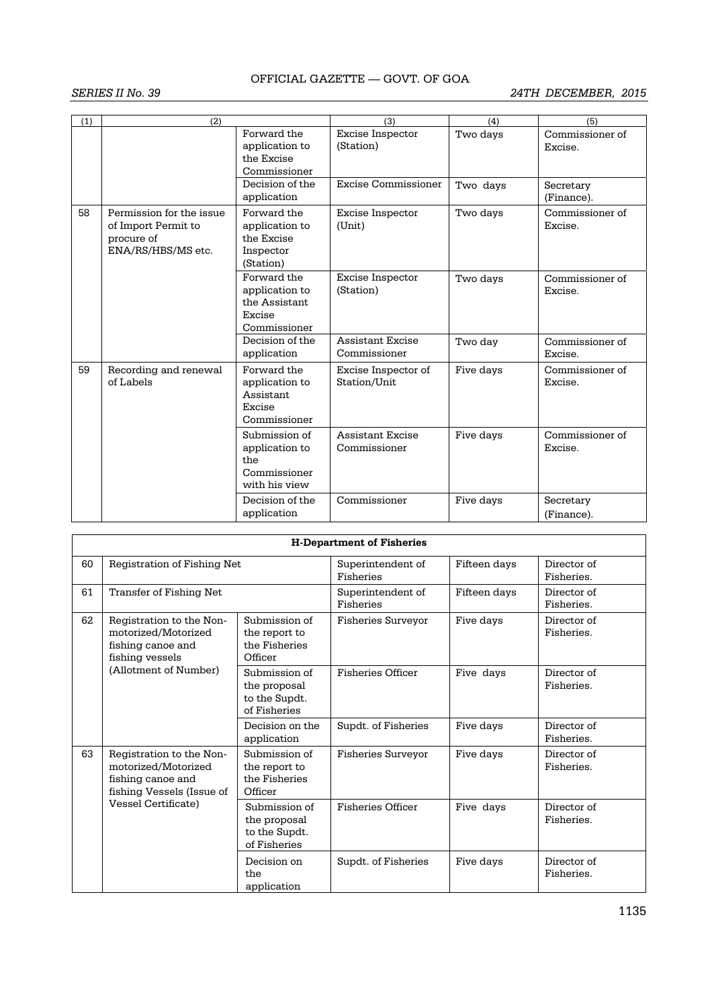| (1) | (2)                                                                                 |                                                                          | (3)                                     | (4)       | (5)                        |
|-----|-------------------------------------------------------------------------------------|--------------------------------------------------------------------------|-----------------------------------------|-----------|----------------------------|
|     |                                                                                     | Forward the<br>application to<br>the Excise<br>Commissioner              | Excise Inspector<br>(Station)           | Two days  | Commissioner of<br>Excise. |
|     |                                                                                     | Decision of the<br>application                                           | Excise Commissioner                     | Two days  | Secretary<br>(Finance).    |
| 58  | Permission for the issue<br>of Import Permit to<br>procure of<br>ENA/RS/HBS/MS etc. | Forward the<br>application to<br>the Excise<br>Inspector<br>(Station)    | Excise Inspector<br>(Unit)              | Two days  | Commissioner of<br>Excise. |
|     |                                                                                     | Forward the<br>application to<br>the Assistant<br>Excise<br>Commissioner | Excise Inspector<br>(Station)           | Two days  | Commissioner of<br>Excise. |
|     |                                                                                     | Decision of the<br>application                                           | <b>Assistant Excise</b><br>Commissioner | Two day   | Commissioner of<br>Excise. |
| 59  | Recording and renewal<br>of Labels                                                  | Forward the<br>application to<br>Assistant<br>Excise<br>Commissioner     | Excise Inspector of<br>Station/Unit     | Five days | Commissioner of<br>Excise. |
|     |                                                                                     | Submission of<br>application to<br>the<br>Commissioner<br>with his view  | <b>Assistant Excise</b><br>Commissioner | Five days | Commissioner of<br>Excise. |
|     |                                                                                     | Decision of the<br>application                                           | Commissioner                            | Five days | Secretary<br>(Finance).    |

| <b>H-Department of Fisheries</b> |                                                                                                                                 |                                                                |                                |              |                           |  |  |
|----------------------------------|---------------------------------------------------------------------------------------------------------------------------------|----------------------------------------------------------------|--------------------------------|--------------|---------------------------|--|--|
| 60                               | Registration of Fishing Net                                                                                                     |                                                                | Superintendent of<br>Fisheries | Fifteen days | Director of<br>Fisheries. |  |  |
| 61                               | Transfer of Fishing Net                                                                                                         |                                                                | Superintendent of<br>Fisheries | Fifteen days | Director of<br>Fisheries. |  |  |
| 62                               | Registration to the Non-<br>motorized/Motorized<br>fishing canoe and<br>fishing vessels<br>(Allotment of Number)                | Submission of<br>the report to<br>the Fisheries<br>Officer     | <b>Fisheries Surveyor</b>      | Five days    | Director of<br>Fisheries. |  |  |
|                                  |                                                                                                                                 | Submission of<br>the proposal<br>to the Supdt.<br>of Fisheries | <b>Fisheries Officer</b>       | Five days    | Director of<br>Fisheries. |  |  |
|                                  |                                                                                                                                 | Decision on the<br>application                                 | Supdt. of Fisheries            | Five days    | Director of<br>Fisheries. |  |  |
| 63                               | Registration to the Non-<br>motorized/Motorized<br>fishing canoe and<br>fishing Vessels (Issue of<br><b>Vessel Certificate)</b> | Submission of<br>the report to<br>the Fisheries<br>Officer     | <b>Fisheries Surveyor</b>      | Five days    | Director of<br>Fisheries. |  |  |
|                                  |                                                                                                                                 | Submission of<br>the proposal<br>to the Supdt.<br>of Fisheries | <b>Fisheries Officer</b>       | Five days    | Director of<br>Fisheries. |  |  |
|                                  |                                                                                                                                 | Decision on<br>the<br>application                              | Supdt. of Fisheries            | Five days    | Director of<br>Fisheries. |  |  |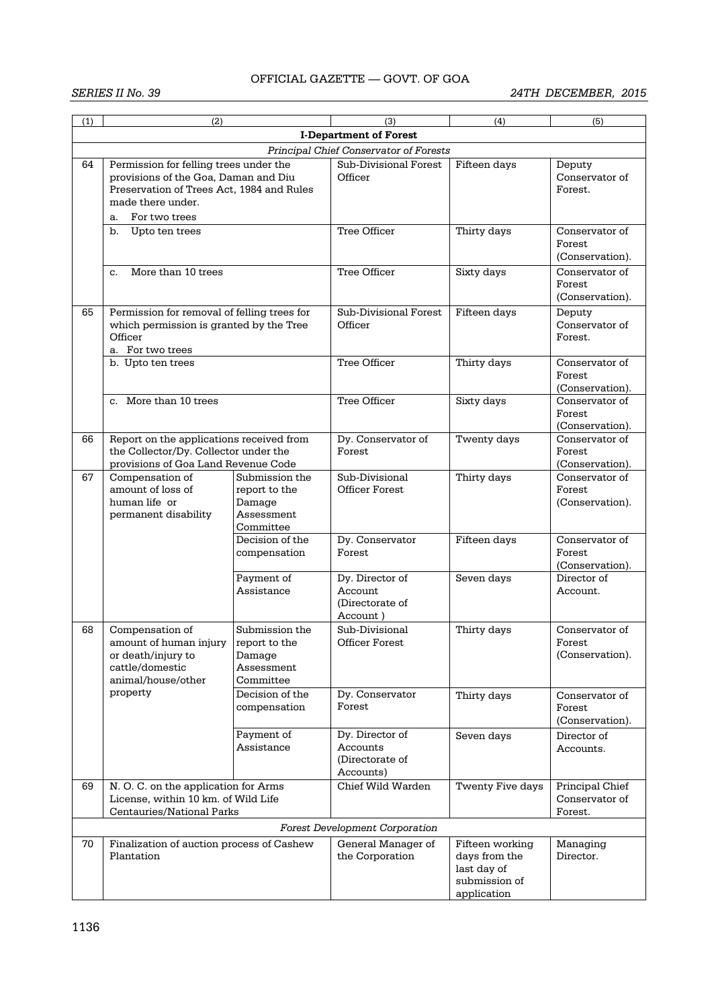| (1) | (2)                                                                                                                                                                     |                                                                      | (3)                                                         | (4)                                                                             | (5)                                          |  |  |  |  |
|-----|-------------------------------------------------------------------------------------------------------------------------------------------------------------------------|----------------------------------------------------------------------|-------------------------------------------------------------|---------------------------------------------------------------------------------|----------------------------------------------|--|--|--|--|
|     |                                                                                                                                                                         |                                                                      |                                                             |                                                                                 |                                              |  |  |  |  |
|     | <b>I-Department of Forest</b><br>Principal Chief Conservator of Forests                                                                                                 |                                                                      |                                                             |                                                                                 |                                              |  |  |  |  |
| 64  | Permission for felling trees under the<br>provisions of the Goa, Daman and Diu<br>Preservation of Trees Act, 1984 and Rules<br>made there under.<br>For two trees<br>a. |                                                                      | Sub-Divisional Forest<br>Officer                            | Fifteen days                                                                    | Deputy<br>Conservator of<br>Forest.          |  |  |  |  |
|     | b.<br>Upto ten trees                                                                                                                                                    |                                                                      | Tree Officer                                                | Thirty days                                                                     | Conservator of                               |  |  |  |  |
|     |                                                                                                                                                                         |                                                                      |                                                             |                                                                                 | Forest<br>(Conservation).                    |  |  |  |  |
|     | More than 10 trees<br>C.                                                                                                                                                |                                                                      | Tree Officer                                                | Sixty days                                                                      | Conservator of<br>Forest<br>(Conservation).  |  |  |  |  |
| 65  | Permission for removal of felling trees for<br>which permission is granted by the Tree<br>Officer<br>a. For two trees                                                   |                                                                      | Sub-Divisional Forest<br>Officer                            | Fifteen days                                                                    | Deputy<br>Conservator of<br>Forest.          |  |  |  |  |
|     | b. Upto ten trees                                                                                                                                                       |                                                                      | Tree Officer                                                | Thirty days                                                                     | Conservator of<br>Forest<br>(Conservation).  |  |  |  |  |
|     | c. More than 10 trees                                                                                                                                                   |                                                                      | Tree Officer                                                | Sixty days                                                                      | Conservator of<br>Forest<br>(Conservation).  |  |  |  |  |
| 66  | Report on the applications received from<br>the Collector/Dy. Collector under the<br>provisions of Goa Land Revenue Code                                                |                                                                      | Dy. Conservator of<br>Forest                                | Twenty days                                                                     | Conservator of<br>Forest<br>(Conservation).  |  |  |  |  |
| 67  | Compensation of<br>amount of loss of<br>human life or<br>permanent disability                                                                                           | Submission the<br>report to the<br>Damage<br>Assessment<br>Committee | Sub-Divisional<br><b>Officer Forest</b>                     | Thirty days                                                                     | Conservator of<br>Forest<br>(Conservation).  |  |  |  |  |
|     |                                                                                                                                                                         | Decision of the<br>compensation                                      | Dy. Conservator<br>Forest                                   | Fifteen days                                                                    | Conservator of<br>Forest<br>(Conservation).  |  |  |  |  |
|     |                                                                                                                                                                         | Payment of<br>Assistance                                             | Dy. Director of<br>Account<br>(Directorate of<br>Account)   | Seven days                                                                      | Director of<br>Account.                      |  |  |  |  |
| 68  | Compensation of<br>amount of human injury<br>or death/injury to<br>cattle/domestic<br>animal/house/other                                                                | Submission the<br>report to the<br>Damage<br>Assessment<br>Committee | Sub-Divisional<br>Officer Forest                            | Thirty days                                                                     | Conservator of<br>Forest<br>(Conservation).  |  |  |  |  |
|     | property                                                                                                                                                                | Decision of the<br>compensation                                      | Dy. Conservator<br>Forest                                   | Thirty days                                                                     | Conservator of<br>Forest<br>(Conservation).  |  |  |  |  |
|     |                                                                                                                                                                         | Payment of<br>Assistance                                             | Dy. Director of<br>Accounts<br>(Directorate of<br>Accounts) | Seven days                                                                      | Director of<br>Accounts.                     |  |  |  |  |
| 69  | N.O.C. on the application for Arms<br>License, within 10 km. of Wild Life<br>Centauries/National Parks                                                                  |                                                                      | Chief Wild Warden                                           | Twenty Five days                                                                | Principal Chief<br>Conservator of<br>Forest. |  |  |  |  |
|     |                                                                                                                                                                         |                                                                      | <b>Forest Development Corporation</b>                       |                                                                                 |                                              |  |  |  |  |
| 70  | Finalization of auction process of Cashew<br>Plantation                                                                                                                 |                                                                      | General Manager of<br>the Corporation                       | Fifteen working<br>days from the<br>last day of<br>submission of<br>application | Managing<br>Director.                        |  |  |  |  |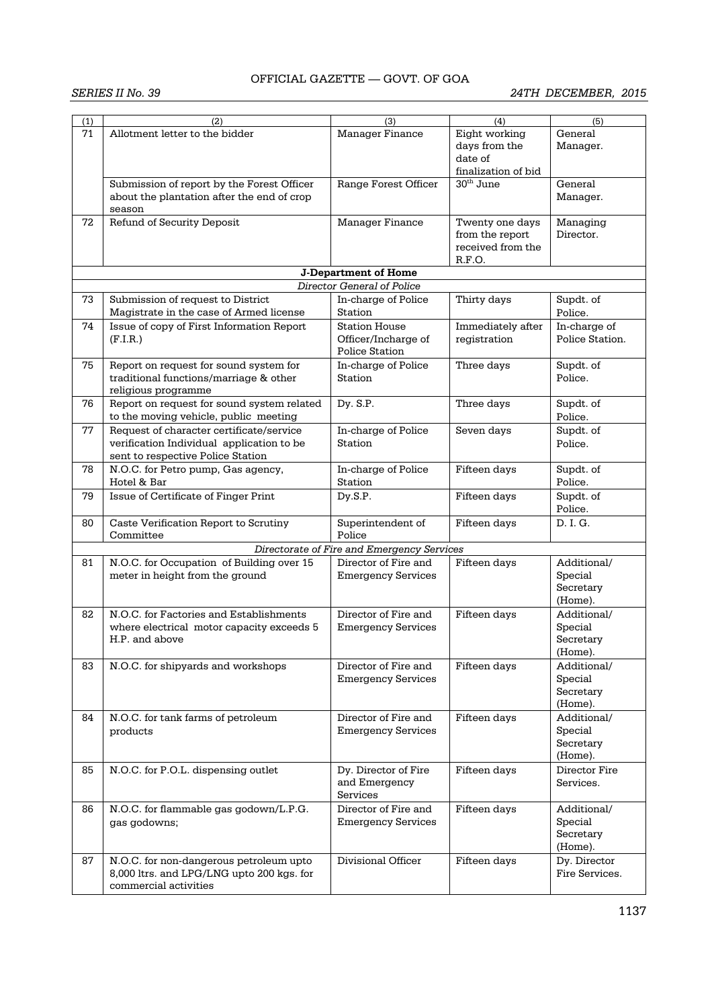| (1) | (2)                                        | (3)                                        | (4)                 | (5)             |
|-----|--------------------------------------------|--------------------------------------------|---------------------|-----------------|
| 71  | Allotment letter to the bidder             | <b>Manager Finance</b>                     | Eight working       | General         |
|     |                                            |                                            | days from the       | Manager.        |
|     |                                            |                                            | date of             |                 |
|     |                                            |                                            | finalization of bid |                 |
|     | Submission of report by the Forest Officer | Range Forest Officer                       | $30th$ June         | General         |
|     | about the plantation after the end of crop |                                            |                     | Manager.        |
|     | season                                     |                                            |                     |                 |
| 72  | Refund of Security Deposit                 | Manager Finance                            | Twenty one days     | Managing        |
|     |                                            |                                            | from the report     | Director.       |
|     |                                            |                                            | received from the   |                 |
|     |                                            |                                            | R.F.O.              |                 |
|     |                                            | <b>J-Department of Home</b>                |                     |                 |
|     |                                            | Director General of Police                 |                     |                 |
| 73  | Submission of request to District          | In-charge of Police                        | Thirty days         | Supdt. of       |
|     | Magistrate in the case of Armed license    | Station                                    |                     | Police.         |
| 74  | Issue of copy of First Information Report  | <b>Station House</b>                       | Immediately after   | In-charge of    |
|     | (F.I.R.)                                   | Officer/Incharge of                        | registration        | Police Station. |
|     |                                            | <b>Police Station</b>                      |                     |                 |
| 75  | Report on request for sound system for     | In-charge of Police                        | Three days          | Supdt. of       |
|     | traditional functions/marriage & other     | Station                                    |                     | Police.         |
|     | religious programme                        |                                            |                     |                 |
| 76  | Report on request for sound system related | Dy. S.P.                                   | Three days          | Supdt. of       |
|     | to the moving vehicle, public meeting      |                                            |                     | Police.         |
| 77  | Request of character certificate/service   | In-charge of Police                        | Seven days          | Supdt. of       |
|     | verification Individual application to be  | Station                                    |                     | Police.         |
|     | sent to respective Police Station          |                                            |                     |                 |
| 78  | N.O.C. for Petro pump, Gas agency,         | In-charge of Police                        | Fifteen days        | Supdt. of       |
|     | Hotel & Bar                                | Station                                    |                     | Police.         |
| 79  | Issue of Certificate of Finger Print       | Dy.S.P.                                    | Fifteen days        | Supdt. of       |
|     |                                            |                                            |                     | Police.         |
| 80  | Caste Verification Report to Scrutiny      | Superintendent of                          | Fifteen days        | D. I. G.        |
|     | Committee                                  | Police                                     |                     |                 |
|     |                                            | Directorate of Fire and Emergency Services |                     |                 |
| 81  | N.O.C. for Occupation of Building over 15  | Director of Fire and                       | Fifteen days        | Additional/     |
|     | meter in height from the ground            | <b>Emergency Services</b>                  |                     | Special         |
|     |                                            |                                            |                     | Secretary       |
|     |                                            |                                            |                     | (Home).         |
| 82  | N.O.C. for Factories and Establishments    | Director of Fire and                       | Fifteen days        | Additional/     |
|     | where electrical motor capacity exceeds 5  | <b>Emergency Services</b>                  |                     | Special         |
|     | H.P. and above                             |                                            |                     | Secretary       |
|     |                                            |                                            |                     | (Home).         |
| 83  | N.O.C. for shipyards and workshops         | Director of Fire and                       | Fifteen days        | Additional/     |
|     |                                            | <b>Emergency Services</b>                  |                     | Special         |
|     |                                            |                                            |                     | Secretary       |
|     |                                            |                                            |                     | (Home).         |
| 84  | N.O.C. for tank farms of petroleum         | Director of Fire and                       | Fifteen days        | Additional/     |
|     | products                                   | <b>Emergency Services</b>                  |                     | Special         |
|     |                                            |                                            |                     | Secretary       |
|     |                                            |                                            |                     | (Home).         |
| 85  | N.O.C. for P.O.L. dispensing outlet        | Dy. Director of Fire                       | Fifteen days        | Director Fire   |
|     |                                            | and Emergency                              |                     | Services.       |
|     |                                            | Services                                   |                     |                 |
| 86  | N.O.C. for flammable gas godown/L.P.G.     | Director of Fire and                       | Fifteen days        | Additional/     |
|     | gas godowns;                               | <b>Emergency Services</b>                  |                     | Special         |
|     |                                            |                                            |                     | Secretary       |
|     |                                            |                                            |                     | (Home).         |
| 87  | N.O.C. for non-dangerous petroleum upto    | Divisional Officer                         | Fifteen days        | Dy. Director    |
|     | 8,000 ltrs. and LPG/LNG upto 200 kgs. for  |                                            |                     | Fire Services.  |
|     | commercial activities                      |                                            |                     |                 |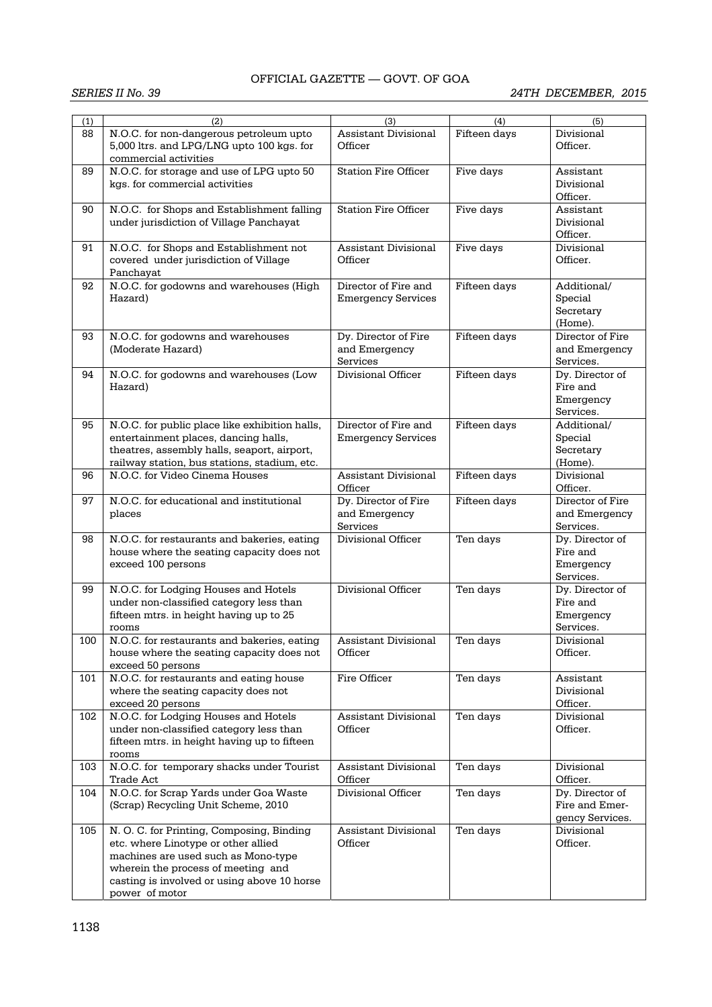| (1)<br>88 | (2)<br>N.O.C. for non-dangerous petroleum upto<br>5,000 ltrs. and LPG/LNG upto 100 kgs. for                                                                                                                                    | (3)<br><b>Assistant Divisional</b><br>Officer     | (4)<br>Fifteen days | (5)<br>Divisional<br>Officer.                         |
|-----------|--------------------------------------------------------------------------------------------------------------------------------------------------------------------------------------------------------------------------------|---------------------------------------------------|---------------------|-------------------------------------------------------|
| 89        | commercial activities<br>N.O.C. for storage and use of LPG upto 50<br>kas, for commercial activities                                                                                                                           | <b>Station Fire Officer</b>                       | Five days           | Assistant<br>Divisional<br>Officer.                   |
| 90        | N.O.C. for Shops and Establishment falling<br>under jurisdiction of Village Panchayat                                                                                                                                          | <b>Station Fire Officer</b>                       | Five days           | Assistant<br>Divisional<br>Officer.                   |
| 91        | N.O.C. for Shops and Establishment not<br>covered under jurisdiction of Village<br>Panchayat                                                                                                                                   | Assistant Divisional<br>Officer                   | Five days           | Divisional<br>Officer.                                |
| 92        | N.O.C. for godowns and warehouses (High<br>Hazard)                                                                                                                                                                             | Director of Fire and<br><b>Emergency Services</b> | Fifteen days        | Additional/<br>Special<br>Secretary<br>(Home).        |
| 93        | N.O.C. for godowns and warehouses<br>(Moderate Hazard)                                                                                                                                                                         | Dy. Director of Fire<br>and Emergency<br>Services | Fifteen days        | Director of Fire<br>and Emergency<br>Services.        |
| 94        | N.O.C. for godowns and warehouses (Low<br>Hazard)                                                                                                                                                                              | Divisional Officer                                | Fifteen days        | Dv. Director of<br>Fire and<br>Emergency<br>Services. |
| 95        | N.O.C. for public place like exhibition halls,<br>entertainment places, dancing halls,<br>theatres, assembly halls, seaport, airport,<br>railway station, bus stations, stadium, etc.                                          | Director of Fire and<br><b>Emergency Services</b> | Fifteen days        | Additional/<br>Special<br>Secretary<br>(Home).        |
| 96        | N.O.C. for Video Cinema Houses                                                                                                                                                                                                 | <b>Assistant Divisional</b><br>Officer            | Fifteen days        | Divisional<br>Officer.                                |
| 97        | N.O.C. for educational and institutional<br>places                                                                                                                                                                             | Dy. Director of Fire<br>and Emergency<br>Services | Fifteen days        | Director of Fire<br>and Emergency<br>Services.        |
| 98        | N.O.C. for restaurants and bakeries, eating<br>house where the seating capacity does not<br>exceed 100 persons                                                                                                                 | Divisional Officer                                | Ten days            | Dy. Director of<br>Fire and<br>Emergency<br>Services. |
| 99        | N.O.C. for Lodging Houses and Hotels<br>under non-classified category less than<br>fifteen mtrs. in height having up to 25<br>rooms                                                                                            | Divisional Officer                                | Ten days            | Dy. Director of<br>Fire and<br>Emergency<br>Services. |
| 100       | N.O.C. for restaurants and bakeries, eating<br>house where the seating capacity does not<br>exceed 50 persons                                                                                                                  | Assistant Divisional<br>Officer                   | Ten days            | Divisional<br>Officer.                                |
| 101       | N.O.C. for restaurants and eating house<br>where the seating capacity does not<br>exceed 20 persons                                                                                                                            | Fire Officer                                      | Ten days            | Assistant<br>Divisional<br>Officer.                   |
| 102       | N.O.C. for Lodging Houses and Hotels<br>under non-classified category less than<br>fifteen mtrs. in height having up to fifteen<br>rooms                                                                                       | <b>Assistant Divisional</b><br>Officer            | Ten days            | Divisional<br>Officer.                                |
| 103       | N.O.C. for temporary shacks under Tourist<br>Trade Act                                                                                                                                                                         | <b>Assistant Divisional</b><br>Officer            | Ten days            | Divisional<br>Officer.                                |
| 104       | N.O.C. for Scrap Yards under Goa Waste<br>(Scrap) Recycling Unit Scheme, 2010                                                                                                                                                  | Divisional Officer                                | Ten days            | Dy. Director of<br>Fire and Emer-<br>gency Services.  |
| 105       | N. O. C. for Printing, Composing, Binding<br>etc. where Linotype or other allied<br>machines are used such as Mono-type<br>wherein the process of meeting and<br>casting is involved or using above 10 horse<br>power of motor | Assistant Divisional<br>Officer                   | Ten days            | Divisional<br>Officer.                                |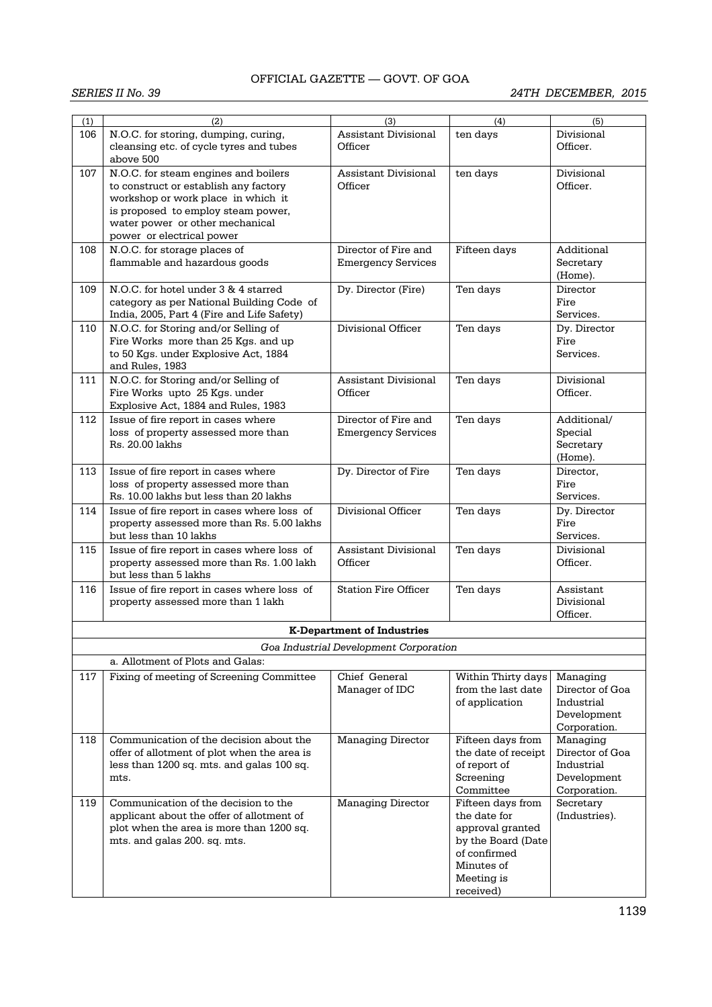| (1) | (2)                                         | (3)                                    | (4)                 | (5)             |
|-----|---------------------------------------------|----------------------------------------|---------------------|-----------------|
| 106 | N.O.C. for storing, dumping, curing,        | Assistant Divisional                   | ten days            | Divisional      |
|     | cleansing etc. of cycle tyres and tubes     | Officer                                |                     | Officer.        |
|     | above 500                                   |                                        |                     |                 |
| 107 | N.O.C. for steam engines and boilers        | <b>Assistant Divisional</b>            | ten days            | Divisional      |
|     | to construct or establish any factory       | Officer                                |                     | Officer.        |
|     | workshop or work place in which it          |                                        |                     |                 |
|     | is proposed to employ steam power,          |                                        |                     |                 |
|     | water power or other mechanical             |                                        |                     |                 |
|     | power or electrical power                   |                                        |                     |                 |
|     |                                             |                                        |                     |                 |
| 108 | N.O.C. for storage places of                | Director of Fire and                   | Fifteen days        | Additional      |
|     | flammable and hazardous goods               | <b>Emergency Services</b>              |                     | Secretary       |
|     |                                             |                                        |                     | (Home).         |
| 109 | N.O.C. for hotel under 3 & 4 starred        | Dy. Director (Fire)                    | Ten days            | Director        |
|     | category as per National Building Code of   |                                        |                     | Fire            |
|     | India, 2005, Part 4 (Fire and Life Safety)  |                                        |                     | Services.       |
| 110 | N.O.C. for Storing and/or Selling of        | Divisional Officer                     | Ten days            | Dy. Director    |
|     | Fire Works more than 25 Kgs. and up         |                                        |                     | Fire            |
|     | to 50 Kgs. under Explosive Act, 1884        |                                        |                     | Services.       |
|     | and Rules, 1983                             |                                        |                     |                 |
| 111 | N.O.C. for Storing and/or Selling of        | Assistant Divisional                   | Ten days            | Divisional      |
|     |                                             | Officer                                |                     |                 |
|     | Fire Works upto 25 Kgs. under               |                                        |                     | Officer.        |
|     | Explosive Act, 1884 and Rules, 1983         |                                        |                     |                 |
| 112 | Issue of fire report in cases where         | Director of Fire and                   | Ten days            | Additional/     |
|     | loss of property assessed more than         | <b>Emergency Services</b>              |                     | Special         |
|     | Rs. 20.00 lakhs                             |                                        |                     | Secretary       |
|     |                                             |                                        |                     | (Home).         |
| 113 | Issue of fire report in cases where         | Dy. Director of Fire                   | Ten days            | Director,       |
|     | loss of property assessed more than         |                                        |                     | Fire            |
|     | Rs. 10.00 lakhs but less than 20 lakhs      |                                        |                     | Services.       |
| 114 | Issue of fire report in cases where loss of | Divisional Officer                     | Ten days            | Dy. Director    |
|     | property assessed more than Rs. 5.00 lakhs  |                                        |                     | Fire            |
|     | but less than 10 lakhs                      |                                        |                     | Services.       |
| 115 |                                             | <b>Assistant Divisional</b>            |                     | Divisional      |
|     | Issue of fire report in cases where loss of |                                        | Ten days            |                 |
|     | property assessed more than Rs. 1.00 lakh   | Officer                                |                     | Officer.        |
|     | but less than 5 lakhs                       |                                        |                     |                 |
| 116 | Issue of fire report in cases where loss of | <b>Station Fire Officer</b>            | Ten days            | Assistant       |
|     | property assessed more than 1 lakh          |                                        |                     | Divisional      |
|     |                                             |                                        |                     | Officer.        |
|     |                                             | <b>K-Department of Industries</b>      |                     |                 |
|     |                                             |                                        |                     |                 |
|     |                                             | Goa Industrial Development Corporation |                     |                 |
|     | a. Allotment of Plots and Galas:            |                                        |                     |                 |
| 117 | Fixing of meeting of Screening Committee    | Chief General                          | Within Thirty days  | Managing        |
|     |                                             | Manager of IDC                         | from the last date  | Director of Goa |
|     |                                             |                                        | of application      | Industrial      |
|     |                                             |                                        |                     | Development     |
|     |                                             |                                        |                     | Corporation.    |
| 118 | Communication of the decision about the     | <b>Managing Director</b>               | Fifteen days from   | Managing        |
|     | offer of allotment of plot when the area is |                                        | the date of receipt | Director of Goa |
|     | less than 1200 sq. mts. and galas 100 sq.   |                                        | of report of        | Industrial      |
|     | mts.                                        |                                        | Screening           | Development     |
|     |                                             |                                        | Committee           | Corporation.    |
| 119 | Communication of the decision to the        | <b>Managing Director</b>               | Fifteen days from   | Secretary       |
|     | applicant about the offer of allotment of   |                                        | the date for        | (Industries).   |
|     |                                             |                                        |                     |                 |
|     | plot when the area is more than 1200 sq.    |                                        | approval granted    |                 |
|     | mts. and galas 200. sq. mts.                |                                        | by the Board (Date  |                 |
|     |                                             |                                        | of confirmed        |                 |
|     |                                             |                                        | Minutes of          |                 |
|     |                                             |                                        | Meeting is          |                 |
|     |                                             |                                        | received)           |                 |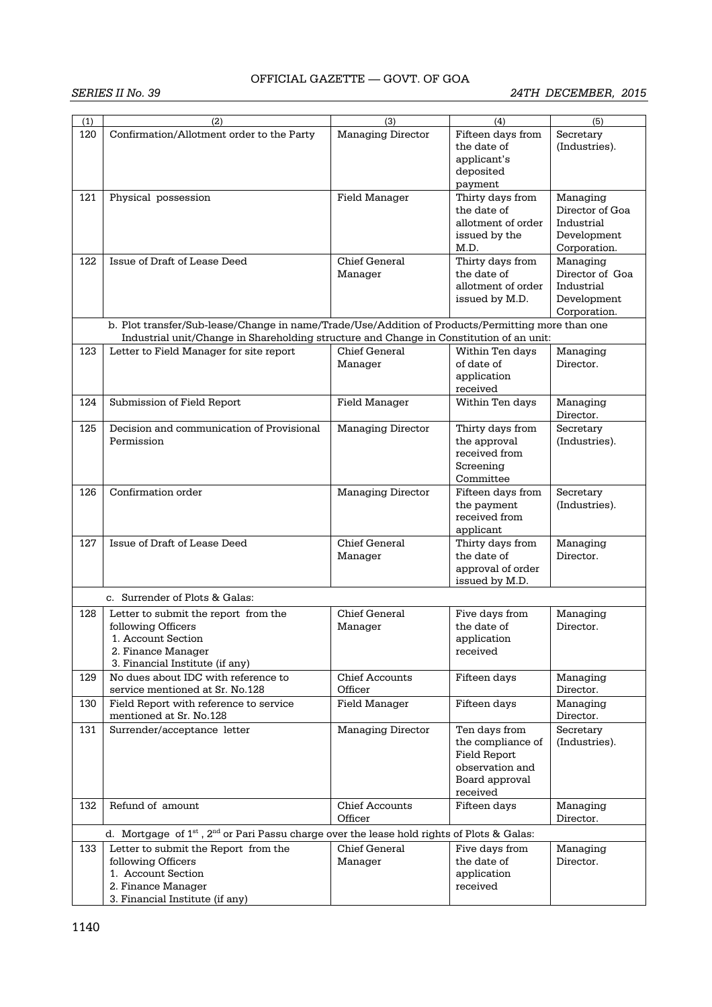| (1) | (2)                                                                                                  | (3)                      | (4)                | (5)             |
|-----|------------------------------------------------------------------------------------------------------|--------------------------|--------------------|-----------------|
| 120 | Confirmation/Allotment order to the Party                                                            | <b>Managing Director</b> | Fifteen days from  | Secretary       |
|     |                                                                                                      |                          | the date of        | (Industries).   |
|     |                                                                                                      |                          |                    |                 |
|     |                                                                                                      |                          | applicant's        |                 |
|     |                                                                                                      |                          | deposited          |                 |
|     |                                                                                                      |                          | payment            |                 |
| 121 | Physical possession                                                                                  | <b>Field Manager</b>     | Thirty days from   | Managing        |
|     |                                                                                                      |                          | the date of        | Director of Goa |
|     |                                                                                                      |                          | allotment of order | Industrial      |
|     |                                                                                                      |                          | issued by the      | Development     |
|     |                                                                                                      |                          | M.D.               | Corporation.    |
| 122 | Issue of Draft of Lease Deed                                                                         | Chief General            | Thirty days from   | Managing        |
|     |                                                                                                      | Manager                  | the date of        | Director of Goa |
|     |                                                                                                      |                          | allotment of order | Industrial      |
|     |                                                                                                      |                          | issued by M.D.     | Development     |
|     |                                                                                                      |                          |                    | Corporation.    |
|     | b. Plot transfer/Sub-lease/Change in name/Trade/Use/Addition of Products/Permitting more than one    |                          |                    |                 |
|     | Industrial unit/Change in Shareholding structure and Change in Constitution of an unit:              |                          |                    |                 |
| 123 | Letter to Field Manager for site report                                                              | <b>Chief General</b>     | Within Ten days    | Managing        |
|     |                                                                                                      | Manager                  | of date of         | Director.       |
|     |                                                                                                      |                          | application        |                 |
|     |                                                                                                      |                          | received           |                 |
| 124 | Submission of Field Report                                                                           | Field Manager            | Within Ten days    | Managing        |
|     |                                                                                                      |                          |                    | Director.       |
| 125 | Decision and communication of Provisional                                                            | <b>Managing Director</b> | Thirty days from   | Secretary       |
|     | Permission                                                                                           |                          | the approval       | (Industries).   |
|     |                                                                                                      |                          | received from      |                 |
|     |                                                                                                      |                          | Screening          |                 |
|     |                                                                                                      |                          | Committee          |                 |
| 126 | Confirmation order                                                                                   | <b>Managing Director</b> | Fifteen days from  | Secretary       |
|     |                                                                                                      |                          | the payment        | (Industries).   |
|     |                                                                                                      |                          | received from      |                 |
|     |                                                                                                      |                          | applicant          |                 |
| 127 | Issue of Draft of Lease Deed                                                                         | Chief General            | Thirty days from   | Managing        |
|     |                                                                                                      | Manager                  | the date of        | Director.       |
|     |                                                                                                      |                          | approval of order  |                 |
|     |                                                                                                      |                          | issued by M.D.     |                 |
|     | c. Surrender of Plots & Galas:                                                                       |                          |                    |                 |
| 128 | Letter to submit the report from the                                                                 | Chief General            | Five days from     | Managing        |
|     | following Officers                                                                                   | Manager                  | the date of        | Director.       |
|     | 1. Account Section                                                                                   |                          | application        |                 |
|     | 2. Finance Manager                                                                                   |                          | received           |                 |
|     | 3. Financial Institute (if any)                                                                      |                          |                    |                 |
| 129 | No dues about IDC with reference to                                                                  | <b>Chief Accounts</b>    | Fifteen days       | Managing        |
|     | service mentioned at Sr. No.128                                                                      | Officer                  |                    | Director.       |
| 130 | Field Report with reference to service                                                               | Field Manager            | Fifteen days       | Managing        |
|     | mentioned at Sr. No.128                                                                              |                          |                    | Director.       |
| 131 | Surrender/acceptance letter                                                                          | <b>Managing Director</b> | Ten davs from      | Secretary       |
|     |                                                                                                      |                          | the compliance of  | (Industries).   |
|     |                                                                                                      |                          | Field Report       |                 |
|     |                                                                                                      |                          | observation and    |                 |
|     |                                                                                                      |                          | Board approval     |                 |
|     |                                                                                                      |                          | received           |                 |
| 132 | Refund of amount                                                                                     | <b>Chief Accounts</b>    | Fifteen days       | Managing        |
|     |                                                                                                      | Officer                  |                    | Director.       |
|     | d. Mortgage of $1^{st}$ , $2^{nd}$ or Pari Passu charge over the lease hold rights of Plots & Galas: |                          |                    |                 |
| 133 | Letter to submit the Report from the                                                                 | Chief General            | Five days from     | Managing        |
|     | following Officers                                                                                   | Manager                  | the date of        | Director.       |
|     | 1. Account Section                                                                                   |                          | application        |                 |
|     | 2. Finance Manager                                                                                   |                          | received           |                 |
|     | 3. Financial Institute (if any)                                                                      |                          |                    |                 |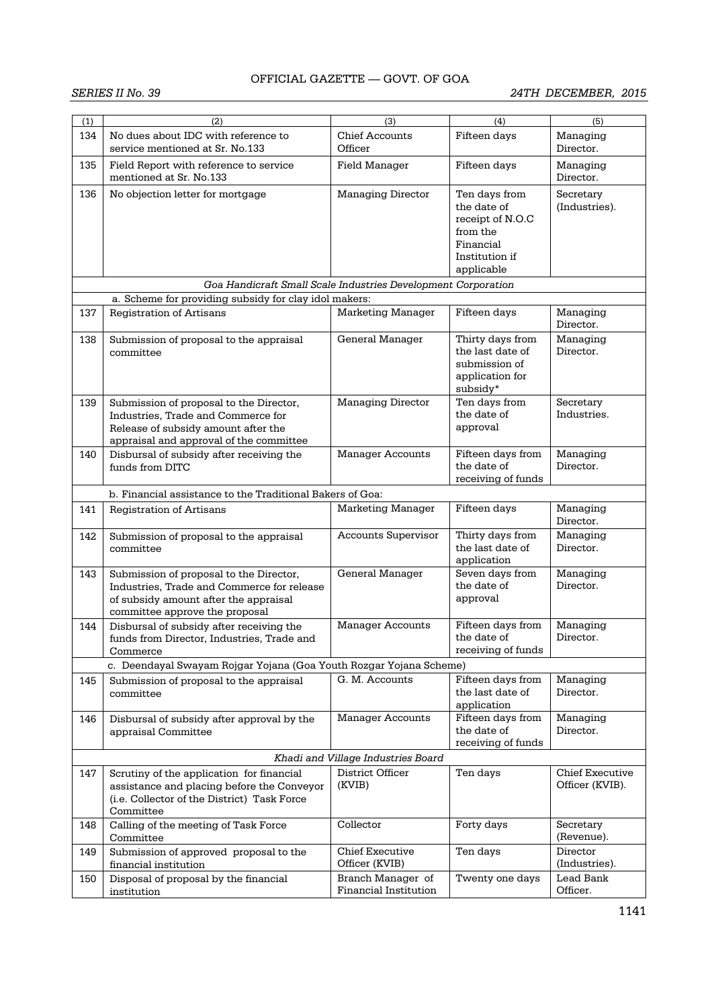| (1) | (2)                                                                                                                                                              | (3)                                               | (4)                                                                                                       | (5)                                       |
|-----|------------------------------------------------------------------------------------------------------------------------------------------------------------------|---------------------------------------------------|-----------------------------------------------------------------------------------------------------------|-------------------------------------------|
| 134 | No dues about IDC with reference to<br>service mentioned at Sr. No.133                                                                                           | <b>Chief Accounts</b><br>Officer                  | Fifteen days                                                                                              | Managing<br>Director.                     |
| 135 | Field Report with reference to service<br>mentioned at Sr. No.133                                                                                                | Field Manager                                     | Fifteen days                                                                                              | Managing<br>Director.                     |
| 136 | No objection letter for mortgage                                                                                                                                 | <b>Managing Director</b>                          | Ten days from<br>the date of<br>receipt of N.O.C<br>from the<br>Financial<br>Institution if<br>applicable | Secretary<br>(Industries).                |
|     | Goa Handicraft Small Scale Industries Development Corporation                                                                                                    |                                                   |                                                                                                           |                                           |
|     | a. Scheme for providing subsidy for clay idol makers:                                                                                                            |                                                   |                                                                                                           |                                           |
| 137 | <b>Registration of Artisans</b>                                                                                                                                  | <b>Marketing Manager</b>                          | Fifteen days                                                                                              | Managing<br>Director.                     |
| 138 | Submission of proposal to the appraisal<br>committee                                                                                                             | General Manager                                   | Thirty days from<br>the last date of<br>submission of<br>application for<br>subsidy*                      | Managing<br>Director.                     |
| 139 | Submission of proposal to the Director,<br>Industries, Trade and Commerce for<br>Release of subsidy amount after the<br>appraisal and approval of the committee  | Managing Director                                 | Ten days from<br>the date of<br>approval                                                                  | Secretary<br>Industries.                  |
| 140 | Disbursal of subsidy after receiving the<br>funds from DITC                                                                                                      | <b>Manager Accounts</b>                           | Fifteen days from<br>the date of<br>receiving of funds                                                    | Managing<br>Director.                     |
|     | b. Financial assistance to the Traditional Bakers of Goa:                                                                                                        |                                                   |                                                                                                           |                                           |
| 141 | <b>Registration of Artisans</b>                                                                                                                                  | <b>Marketing Manager</b>                          | Fifteen days                                                                                              | Managing<br>Director.                     |
| 142 | Submission of proposal to the appraisal<br>committee                                                                                                             | <b>Accounts Supervisor</b>                        | Thirty days from<br>the last date of<br>application                                                       | Managing<br>Director.                     |
| 143 | Submission of proposal to the Director,<br>Industries, Trade and Commerce for release<br>of subsidy amount after the appraisal<br>committee approve the proposal | General Manager                                   | Seven days from<br>the date of<br>approval                                                                | Managing<br>Director.                     |
| 144 | Disbursal of subsidy after receiving the<br>funds from Director. Industries. Trade and<br>Commerce                                                               | <b>Manager Accounts</b>                           | Fifteen days from<br>the date of<br>receiving of funds                                                    | Managing<br>Director.                     |
|     | c. Deendayal Swayam Rojgar Yojana (Goa Youth Rozgar Yojana Scheme)                                                                                               |                                                   |                                                                                                           |                                           |
| 145 | Submission of proposal to the appraisal<br>committee                                                                                                             | G. M. Accounts                                    | Fifteen days from<br>the last date of<br>application                                                      | Managing<br>Director.                     |
| 146 | Disbursal of subsidy after approval by the<br>appraisal Committee                                                                                                | <b>Manager Accounts</b>                           | Fifteen days from<br>the date of<br>receiving of funds                                                    | Managing<br>Director.                     |
|     |                                                                                                                                                                  | Khadi and Village Industries Board                |                                                                                                           |                                           |
| 147 | Scrutiny of the application for financial<br>assistance and placing before the Conveyor<br>(i.e. Collector of the District) Task Force<br>Committee              | District Officer<br>(KVIB)                        | Ten days                                                                                                  | <b>Chief Executive</b><br>Officer (KVIB). |
| 148 | Calling of the meeting of Task Force<br>Committee                                                                                                                | Collector                                         | Forty days                                                                                                | Secretary<br>(Revenue).                   |
| 149 | Submission of approved proposal to the<br>financial institution                                                                                                  | Chief Executive<br>Officer (KVIB)                 | Ten days                                                                                                  | Director<br>(Industries).                 |
| 150 | Disposal of proposal by the financial<br>institution                                                                                                             | Branch Manager of<br><b>Financial Institution</b> | Twenty one days                                                                                           | Lead Bank<br>Officer.                     |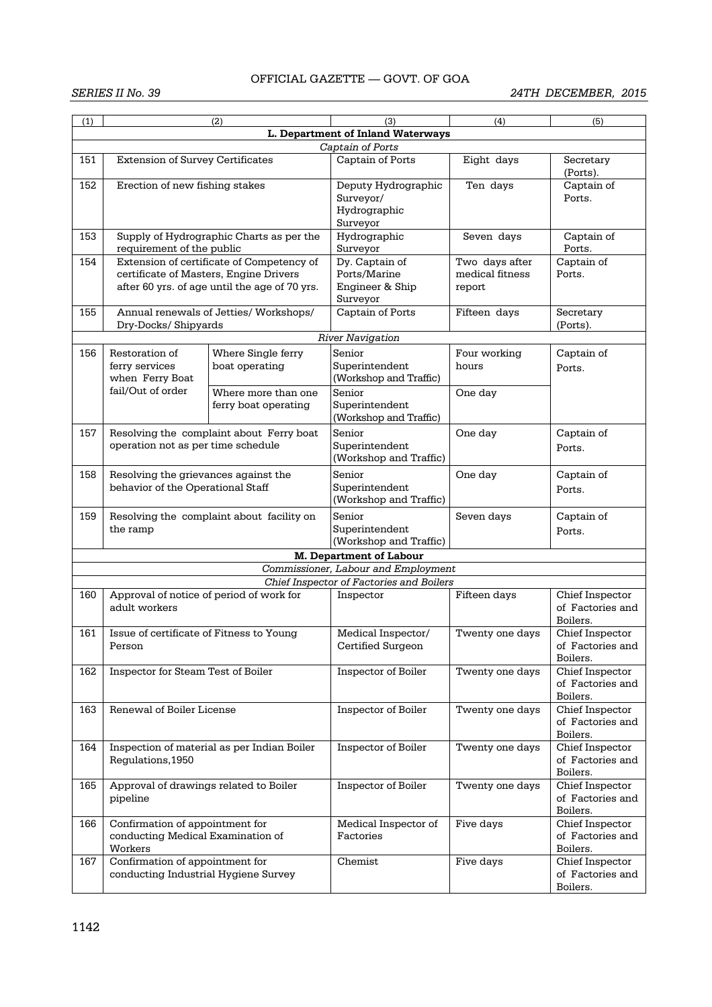| (1) |                                                                           | (2)                                           | (3)                                      | (4)             | (5)                                 |  |  |  |
|-----|---------------------------------------------------------------------------|-----------------------------------------------|------------------------------------------|-----------------|-------------------------------------|--|--|--|
|     |                                                                           |                                               |                                          |                 |                                     |  |  |  |
|     | L. Department of Inland Waterways<br>Captain of Ports                     |                                               |                                          |                 |                                     |  |  |  |
|     |                                                                           |                                               |                                          |                 |                                     |  |  |  |
| 151 | <b>Extension of Survey Certificates</b>                                   |                                               | Captain of Ports                         | Eight days      | Secretary<br>(Ports).               |  |  |  |
| 152 | Erection of new fishing stakes                                            |                                               | Deputy Hydrographic                      | Ten days        | Captain of                          |  |  |  |
|     |                                                                           |                                               | Surveyor/                                |                 | Ports.                              |  |  |  |
|     |                                                                           |                                               | Hydrographic                             |                 |                                     |  |  |  |
|     | Supply of Hydrographic Charts as per the                                  |                                               | Surveyor                                 |                 |                                     |  |  |  |
| 153 | requirement of the public                                                 |                                               | Hydrographic<br>Surveyor                 | Seven days      | Captain of<br>Ports.                |  |  |  |
| 154 |                                                                           | Extension of certificate of Competency of     | Dy. Captain of                           | Two days after  | Captain of                          |  |  |  |
|     |                                                                           | certificate of Masters, Engine Drivers        | Ports/Marine                             | medical fitness | Ports.                              |  |  |  |
|     |                                                                           | after 60 yrs. of age until the age of 70 yrs. | Engineer & Ship                          | report          |                                     |  |  |  |
|     |                                                                           |                                               | Surveyor                                 |                 |                                     |  |  |  |
| 155 |                                                                           | Annual renewals of Jetties/ Workshops/        | Captain of Ports                         | Fifteen days    | Secretary                           |  |  |  |
|     | Dry-Docks/ Shipyards                                                      |                                               |                                          |                 | (Ports).                            |  |  |  |
|     |                                                                           |                                               | <b>River Navigation</b>                  |                 |                                     |  |  |  |
| 156 | Restoration of                                                            | Where Single ferry                            | Senior                                   | Four working    | Captain of                          |  |  |  |
|     | ferry services                                                            | boat operating                                | Superintendent                           | hours           | Ports.                              |  |  |  |
|     | when Ferry Boat<br>fail/Out of order                                      |                                               | (Workshop and Traffic)                   |                 |                                     |  |  |  |
|     |                                                                           | Where more than one                           | Senior                                   | One day         |                                     |  |  |  |
|     |                                                                           | ferry boat operating                          | Superintendent<br>(Workshop and Traffic) |                 |                                     |  |  |  |
| 157 |                                                                           |                                               | Senior                                   | One day         |                                     |  |  |  |
|     | operation not as per time schedule                                        | Resolving the complaint about Ferry boat      | Superintendent                           |                 | Captain of                          |  |  |  |
|     |                                                                           |                                               | (Workshop and Traffic)                   |                 | Ports.                              |  |  |  |
| 158 |                                                                           |                                               | Senior                                   | One day         | Captain of                          |  |  |  |
|     | Resolving the grievances against the<br>behavior of the Operational Staff |                                               | Superintendent                           |                 |                                     |  |  |  |
|     |                                                                           |                                               | (Workshop and Traffic)                   |                 | Ports.                              |  |  |  |
| 159 | Resolving the complaint about facility on                                 |                                               | Senior                                   | Seven days      | Captain of                          |  |  |  |
|     | the ramp                                                                  |                                               | Superintendent                           |                 | Ports.                              |  |  |  |
|     |                                                                           |                                               | (Workshop and Traffic)                   |                 |                                     |  |  |  |
|     |                                                                           |                                               | <b>M. Department of Labour</b>           |                 |                                     |  |  |  |
|     |                                                                           |                                               | Commissioner, Labour and Employment      |                 |                                     |  |  |  |
|     |                                                                           |                                               | Chief Inspector of Factories and Boilers |                 |                                     |  |  |  |
| 160 | Approval of notice of period of work for<br>adult workers                 |                                               | Inspector                                | Fifteen days    | Chief Inspector<br>of Factories and |  |  |  |
|     |                                                                           |                                               |                                          |                 | Boilers.                            |  |  |  |
| 161 | Issue of certificate of Fitness to Young                                  |                                               | Medical Inspector/                       | Twenty one days | Chief Inspector                     |  |  |  |
|     | Person                                                                    |                                               | Certified Surgeon                        |                 | of Factories and                    |  |  |  |
|     |                                                                           |                                               |                                          |                 | Boilers.                            |  |  |  |
| 162 | Inspector for Steam Test of Boiler                                        |                                               | Inspector of Boiler                      | Twenty one days | Chief Inspector                     |  |  |  |
|     |                                                                           |                                               |                                          |                 | of Factories and                    |  |  |  |
|     |                                                                           |                                               |                                          |                 | Boilers.                            |  |  |  |
| 163 | Renewal of Boiler License                                                 |                                               | Inspector of Boiler                      | Twenty one days | Chief Inspector                     |  |  |  |
|     |                                                                           |                                               |                                          |                 | of Factories and<br>Boilers.        |  |  |  |
| 164 |                                                                           | Inspection of material as per Indian Boiler   | Inspector of Boiler                      | Twenty one days | Chief Inspector                     |  |  |  |
|     | Regulations, 1950                                                         |                                               |                                          |                 | of Factories and                    |  |  |  |
|     |                                                                           |                                               |                                          |                 | Boilers.                            |  |  |  |
| 165 | Approval of drawings related to Boiler                                    |                                               | Inspector of Boiler                      | Twenty one days | Chief Inspector                     |  |  |  |
|     | pipeline                                                                  |                                               |                                          |                 | of Factories and                    |  |  |  |
|     |                                                                           |                                               |                                          |                 | Boilers.                            |  |  |  |
| 166 | Confirmation of appointment for                                           |                                               | Medical Inspector of                     | Five days       | Chief Inspector                     |  |  |  |
|     | conducting Medical Examination of                                         |                                               | Factories                                |                 | of Factories and                    |  |  |  |
|     | Workers                                                                   |                                               |                                          |                 | Boilers.                            |  |  |  |
| 167 | Confirmation of appointment for<br>conducting Industrial Hygiene Survey   |                                               | Chemist                                  | Five days       | Chief Inspector<br>of Factories and |  |  |  |
|     |                                                                           |                                               |                                          |                 | Boilers.                            |  |  |  |
|     |                                                                           |                                               |                                          |                 |                                     |  |  |  |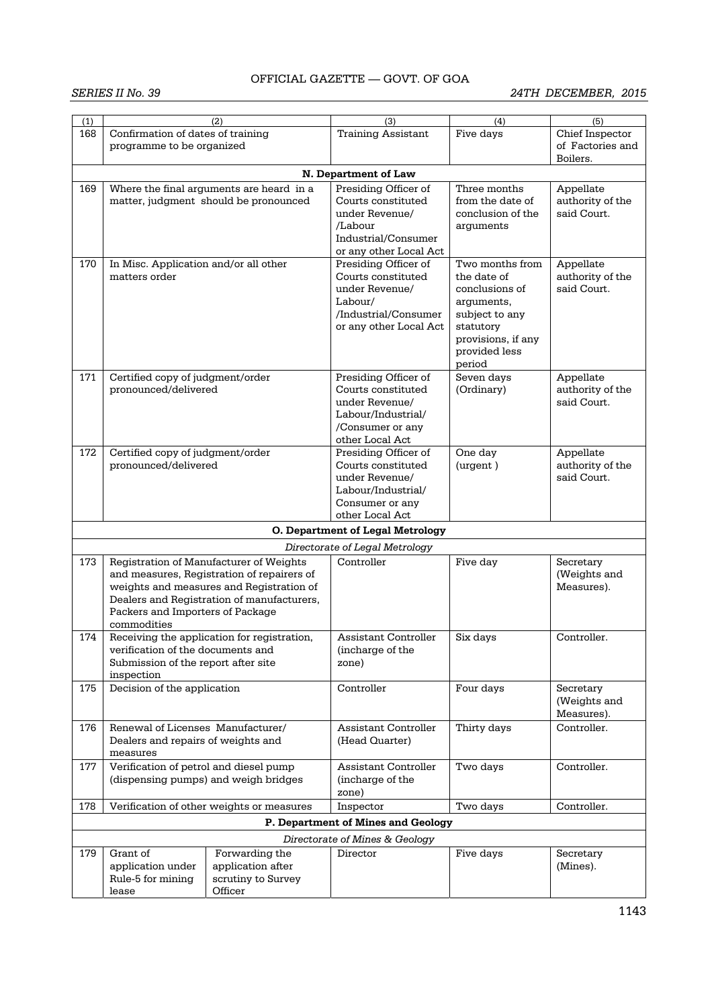| (1) |                                                                                                                                                                                                                                    | (2)                                                                               | (3)                                                                                                                       | (4)                                                                                                                                            | (5)                                          |
|-----|------------------------------------------------------------------------------------------------------------------------------------------------------------------------------------------------------------------------------------|-----------------------------------------------------------------------------------|---------------------------------------------------------------------------------------------------------------------------|------------------------------------------------------------------------------------------------------------------------------------------------|----------------------------------------------|
| 168 | Confirmation of dates of training<br>programme to be organized                                                                                                                                                                     |                                                                                   | <b>Training Assistant</b>                                                                                                 | Five days                                                                                                                                      | Chief Inspector<br>of Factories and          |
|     |                                                                                                                                                                                                                                    |                                                                                   |                                                                                                                           |                                                                                                                                                | Boilers.                                     |
|     |                                                                                                                                                                                                                                    |                                                                                   | N. Department of Law                                                                                                      |                                                                                                                                                |                                              |
| 169 |                                                                                                                                                                                                                                    | Where the final arguments are heard in a<br>matter, judgment should be pronounced | Presiding Officer of<br>Courts constituted<br>under Revenue/<br>/Labour<br>Industrial/Consumer<br>or any other Local Act  | Three months<br>from the date of<br>conclusion of the<br>arguments                                                                             | Appellate<br>authority of the<br>said Court. |
| 170 | In Misc. Application and/or all other<br>matters order                                                                                                                                                                             |                                                                                   | Presiding Officer of<br>Courts constituted<br>under Revenue/<br>Labour/<br>/Industrial/Consumer<br>or any other Local Act | Two months from<br>the date of<br>conclusions of<br>arguments,<br>subject to any<br>statutory<br>provisions, if any<br>provided less<br>period | Appellate<br>authority of the<br>said Court. |
| 171 | Certified copy of judgment/order<br>pronounced/delivered                                                                                                                                                                           |                                                                                   | Presiding Officer of<br>Courts constituted<br>under Revenue/<br>Labour/Industrial/<br>/Consumer or any<br>other Local Act | Seven days<br>(Ordinary)                                                                                                                       | Appellate<br>authority of the<br>said Court. |
| 172 | Certified copy of judgment/order<br>pronounced/delivered                                                                                                                                                                           |                                                                                   | Presiding Officer of<br>Courts constituted<br>under Revenue/<br>Labour/Industrial/<br>Consumer or any<br>other Local Act  | One day<br>(urgent)                                                                                                                            | Appellate<br>authority of the<br>said Court. |
|     |                                                                                                                                                                                                                                    |                                                                                   | O. Department of Legal Metrology                                                                                          |                                                                                                                                                |                                              |
|     |                                                                                                                                                                                                                                    |                                                                                   | Directorate of Legal Metrology                                                                                            |                                                                                                                                                |                                              |
| 173 | Registration of Manufacturer of Weights<br>and measures, Registration of repairers of<br>weights and measures and Registration of<br>Dealers and Registration of manufacturers,<br>Packers and Importers of Package<br>commodities |                                                                                   | Controller                                                                                                                | Five day                                                                                                                                       | Secretary<br>(Weights and<br>Measures).      |
| 174 | verification of the documents and<br>Submission of the report after site<br>inspection                                                                                                                                             | Receiving the application for registration,                                       | Assistant Controller<br>(incharge of the<br>zone)                                                                         | Six days                                                                                                                                       | Controller.                                  |
| 175 | Decision of the application                                                                                                                                                                                                        |                                                                                   | Controller                                                                                                                | Four days                                                                                                                                      | Secretary<br>(Weights and<br>Measures).      |
| 176 | Renewal of Licenses Manufacturer/<br>Dealers and repairs of weights and<br>measures                                                                                                                                                |                                                                                   | <b>Assistant Controller</b><br>(Head Quarter)                                                                             | Thirty days                                                                                                                                    | Controller.                                  |
| 177 | Verification of petrol and diesel pump<br>(dispensing pumps) and weigh bridges                                                                                                                                                     |                                                                                   | Assistant Controller<br>(incharge of the<br>zone)                                                                         | Two days                                                                                                                                       | Controller.                                  |
| 178 |                                                                                                                                                                                                                                    | Verification of other weights or measures                                         | Inspector                                                                                                                 | Two days                                                                                                                                       | Controller.                                  |
|     |                                                                                                                                                                                                                                    |                                                                                   | P. Department of Mines and Geology                                                                                        |                                                                                                                                                |                                              |
|     |                                                                                                                                                                                                                                    |                                                                                   | Directorate of Mines & Geology                                                                                            |                                                                                                                                                |                                              |
| 179 | Grant of<br>application under<br>Rule-5 for mining<br>lease                                                                                                                                                                        | Forwarding the<br>application after<br>scrutiny to Survey<br>Officer              | Director                                                                                                                  | Five days                                                                                                                                      | Secretary<br>(Mines).                        |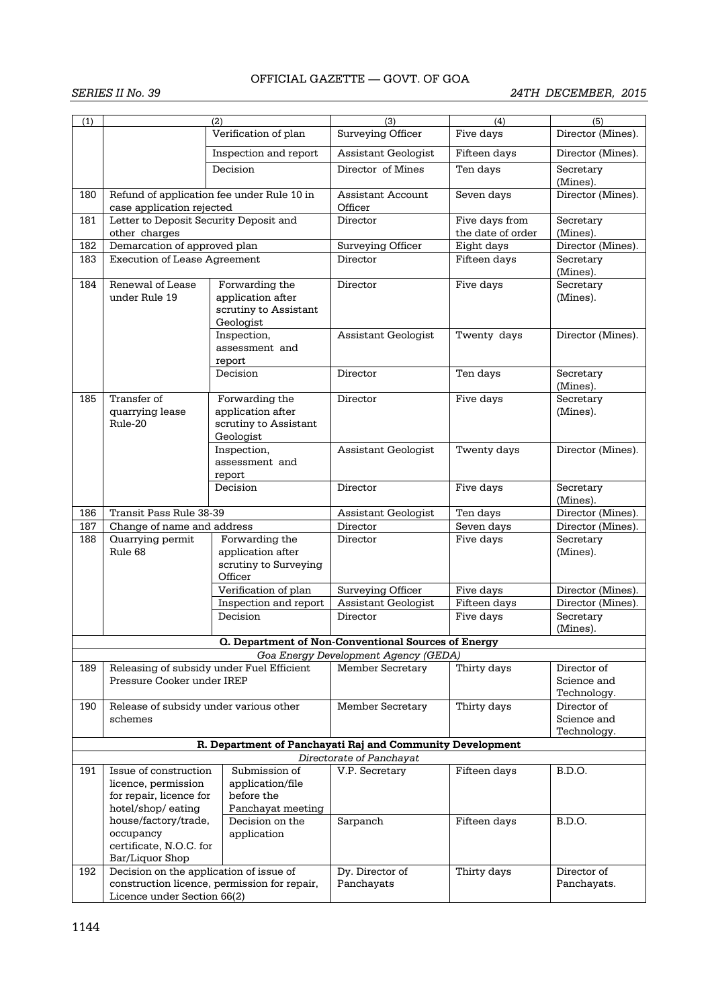| (1) |                                                                         | (2)<br>Verification of plan                                               | (3)<br><b>Surveying Officer</b>                            | (4)<br>Five days                    | (5)<br>Director (Mines).                  |
|-----|-------------------------------------------------------------------------|---------------------------------------------------------------------------|------------------------------------------------------------|-------------------------------------|-------------------------------------------|
|     |                                                                         | Inspection and report                                                     | Assistant Geologist                                        | Fifteen days                        | Director (Mines).                         |
|     |                                                                         | Decision                                                                  | Director of Mines                                          | Ten days                            | Secretary                                 |
|     |                                                                         |                                                                           |                                                            |                                     | (Mines).                                  |
| 180 | Refund of application fee under Rule 10 in<br>case application rejected |                                                                           | <b>Assistant Account</b><br>Officer                        | Seven days                          | Director (Mines).                         |
| 181 | Letter to Deposit Security Deposit and<br>other charges                 |                                                                           | Director                                                   | Five days from<br>the date of order | Secretary<br>(Mines).                     |
| 182 | Demarcation of approved plan                                            |                                                                           | Surveying Officer                                          | Eight days                          | Director (Mines).                         |
| 183 | <b>Execution of Lease Agreement</b>                                     |                                                                           | Director                                                   | Fifteen days                        | Secretary<br>(Mines).                     |
| 184 | Renewal of Lease<br>under Rule 19                                       | Forwarding the<br>application after<br>scrutiny to Assistant<br>Geologist | Director                                                   | Five days                           | Secretary<br>(Mines).                     |
|     |                                                                         | Inspection,<br>assessment and<br>report                                   | Assistant Geologist                                        | Twenty days                         | Director (Mines).                         |
|     |                                                                         | Decision                                                                  | Director                                                   | Ten days                            | Secretary<br>(Mines).                     |
| 185 | Transfer of<br>quarrying lease<br>Rule-20                               | Forwarding the<br>application after<br>scrutiny to Assistant<br>Geologist | Director                                                   | Five days                           | Secretary<br>(Mines).                     |
|     |                                                                         | Inspection,<br>assessment and<br>report                                   | Assistant Geologist                                        | Twenty days                         | Director (Mines).                         |
|     |                                                                         | Decision                                                                  | Director                                                   | Five days                           | Secretary<br>(Mines).                     |
| 186 | Transit Pass Rule 38-39                                                 |                                                                           | Assistant Geologist                                        | Ten days                            | Director (Mines).                         |
| 187 | Change of name and address                                              |                                                                           | Director                                                   | Seven days                          | Director (Mines).                         |
| 188 | Quarrying permit<br>Rule 68                                             | Forwarding the<br>application after<br>scrutiny to Surveying<br>Officer   | Director                                                   | Five days                           | Secretary<br>(Mines).                     |
|     |                                                                         | Verification of plan                                                      | Surveying Officer                                          | Five days                           | Director (Mines).                         |
|     |                                                                         | Inspection and report                                                     | Assistant Geologist                                        | Fifteen days                        | Director (Mines).                         |
|     |                                                                         | Decision                                                                  | Director                                                   | Five days                           | Secretary<br>(Mines).                     |
|     |                                                                         |                                                                           | <b>Q. Department of Non-Conventional Sources of Energy</b> |                                     |                                           |
|     |                                                                         |                                                                           | Goa Energy Development Agency (GEDA)                       |                                     |                                           |
| 189 | Releasing of subsidy under Fuel Efficient<br>Pressure Cooker under IREP |                                                                           | <b>Member Secretary</b>                                    | Thirty days                         | Director of<br>Science and<br>Technology. |
| 190 | Release of subsidy under various other<br>schemes                       |                                                                           | Member Secretary                                           | Thirty days                         | Director of<br>Science and<br>Technology. |
|     |                                                                         |                                                                           | R. Department of Panchayati Raj and Community Development  |                                     |                                           |
|     |                                                                         |                                                                           | Directorate of Panchayat                                   |                                     |                                           |
| 191 | Issue of construction                                                   | Submission of                                                             | V.P. Secretary                                             | Fifteen days                        | <b>B.D.O.</b>                             |
|     | licence, permission<br>for repair, licence for                          | application/file<br>before the                                            |                                                            |                                     |                                           |
|     | hotel/shop/eating                                                       | Panchayat meeting                                                         |                                                            |                                     |                                           |
|     | house/factory/trade,                                                    | Decision on the                                                           | Sarpanch                                                   | Fifteen days                        | B.D.O.                                    |
|     | occupancy<br>certificate, N.O.C. for                                    | application                                                               |                                                            |                                     |                                           |
|     | Bar/Liquor Shop                                                         |                                                                           |                                                            |                                     |                                           |
| 192 | Decision on the application of issue of                                 |                                                                           | Dy. Director of                                            | Thirty days                         | Director of                               |
|     |                                                                         | construction licence, permission for repair,                              | Panchayats                                                 |                                     | Panchayats.                               |
|     | Licence under Section 66(2)                                             |                                                                           |                                                            |                                     |                                           |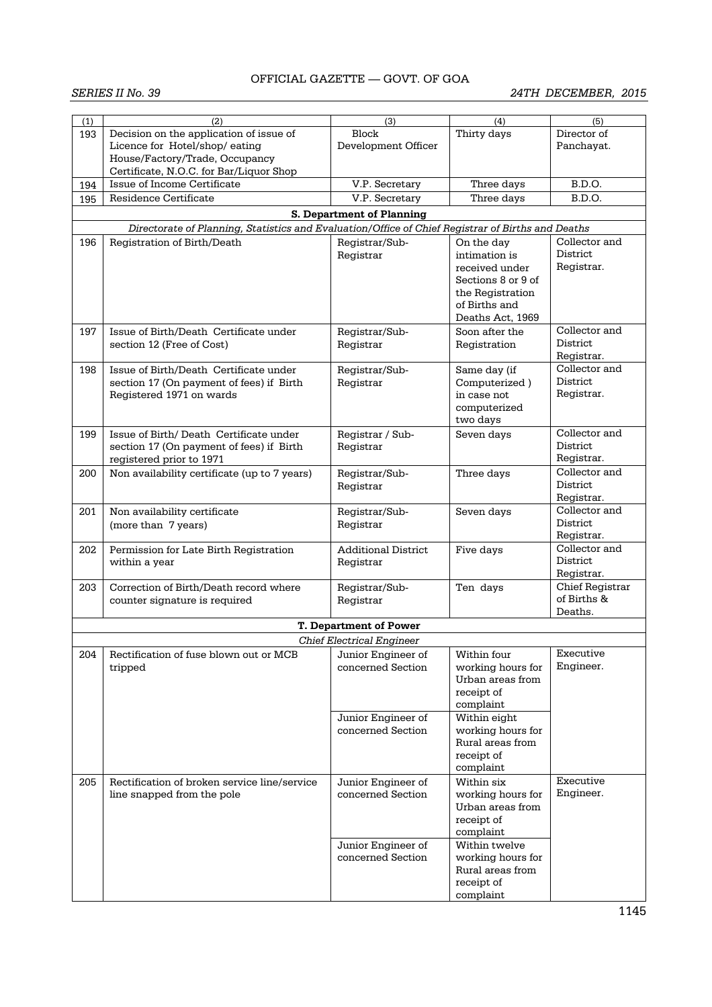| (1) | (2)                                                                                               | (3)                              | (4)                               | (5)                    |
|-----|---------------------------------------------------------------------------------------------------|----------------------------------|-----------------------------------|------------------------|
| 193 | Decision on the application of issue of                                                           | Block                            | Thirty days                       | Director of            |
|     | Licence for Hotel/shop/ eating                                                                    | Development Officer              |                                   | Panchayat.             |
|     | House/Factory/Trade, Occupancy                                                                    |                                  |                                   |                        |
|     | Certificate, N.O.C. for Bar/Liquor Shop<br>Issue of Income Certificate                            | V.P. Secretary                   | Three days                        | B.D.O.                 |
| 194 | Residence Certificate                                                                             | V.P. Secretary                   |                                   | B.D.O.                 |
| 195 |                                                                                                   |                                  | Three days                        |                        |
|     |                                                                                                   | <b>S. Department of Planning</b> |                                   |                        |
|     | Directorate of Planning, Statistics and Evaluation/Office of Chief Registrar of Births and Deaths |                                  |                                   |                        |
| 196 | Registration of Birth/Death                                                                       | Registrar/Sub-                   | On the day                        | Collector and          |
|     |                                                                                                   | Registrar                        | intimation is                     | District               |
|     |                                                                                                   |                                  | received under                    | Registrar.             |
|     |                                                                                                   |                                  | Sections 8 or 9 of                |                        |
|     |                                                                                                   |                                  | the Registration<br>of Births and |                        |
|     |                                                                                                   |                                  | Deaths Act, 1969                  |                        |
| 197 | Issue of Birth/Death Certificate under                                                            | Registrar/Sub-                   | Soon after the                    | Collector and          |
|     | section 12 (Free of Cost)                                                                         | Registrar                        | Registration                      | District               |
|     |                                                                                                   |                                  |                                   | Registrar.             |
| 198 | Issue of Birth/Death Certificate under                                                            | Registrar/Sub-                   | Same day (if                      | Collector and          |
|     | section 17 (On payment of fees) if Birth                                                          | Registrar                        | Computerized)                     | District               |
|     | Registered 1971 on wards                                                                          |                                  | in case not                       | Registrar.             |
|     |                                                                                                   |                                  | computerized                      |                        |
|     |                                                                                                   |                                  | two days                          |                        |
| 199 | Issue of Birth/Death Certificate under                                                            | Registrar / Sub-                 | Seven days                        | Collector and          |
|     | section 17 (On payment of fees) if Birth                                                          | Registrar                        |                                   | District               |
|     | registered prior to 1971                                                                          |                                  |                                   | Registrar.             |
| 200 | Non availability certificate (up to 7 years)                                                      | Registrar/Sub-                   | Three days                        | Collector and          |
|     |                                                                                                   | Registrar                        |                                   | District               |
|     |                                                                                                   |                                  |                                   | Registrar.             |
| 201 | Non availability certificate                                                                      | Registrar/Sub-                   | Seven days                        | Collector and          |
|     | (more than 7 years)                                                                               | Registrar                        |                                   | District<br>Registrar. |
| 202 | Permission for Late Birth Registration                                                            | <b>Additional District</b>       | Five days                         | Collector and          |
|     | within a year                                                                                     | Registrar                        |                                   | District               |
|     |                                                                                                   |                                  |                                   | Registrar.             |
| 203 | Correction of Birth/Death record where                                                            | Registrar/Sub-                   | Ten days                          | Chief Registrar        |
|     | counter signature is required                                                                     | Registrar                        |                                   | of Births &            |
|     |                                                                                                   |                                  |                                   | Deaths.                |
|     |                                                                                                   | <b>T. Department of Power</b>    |                                   |                        |
|     |                                                                                                   | <b>Chief Electrical Engineer</b> |                                   |                        |
| 204 | Rectification of fuse blown out or MCB                                                            | Junior Engineer of               | Within four                       | Executive              |
|     | tripped                                                                                           | concerned Section                | working hours for                 | Engineer.              |
|     |                                                                                                   |                                  | Urban areas from                  |                        |
|     |                                                                                                   |                                  | receipt of                        |                        |
|     |                                                                                                   |                                  | complaint                         |                        |
|     |                                                                                                   | Junior Engineer of               | Within eight                      |                        |
|     |                                                                                                   | concerned Section                | working hours for                 |                        |
|     |                                                                                                   |                                  | Rural areas from                  |                        |
|     |                                                                                                   |                                  | receipt of<br>complaint           |                        |
| 205 | Rectification of broken service line/service                                                      | Junior Engineer of               | Within six                        | Executive              |
|     | line snapped from the pole                                                                        | concerned Section                | working hours for                 | Engineer.              |
|     |                                                                                                   |                                  | Urban areas from                  |                        |
|     |                                                                                                   |                                  | receipt of                        |                        |
|     |                                                                                                   |                                  | complaint                         |                        |
|     |                                                                                                   | Junior Engineer of               | Within twelve                     |                        |
|     |                                                                                                   | concerned Section                | working hours for                 |                        |
|     |                                                                                                   |                                  | Rural areas from                  |                        |
|     |                                                                                                   |                                  | receipt of                        |                        |
|     |                                                                                                   |                                  | complaint                         |                        |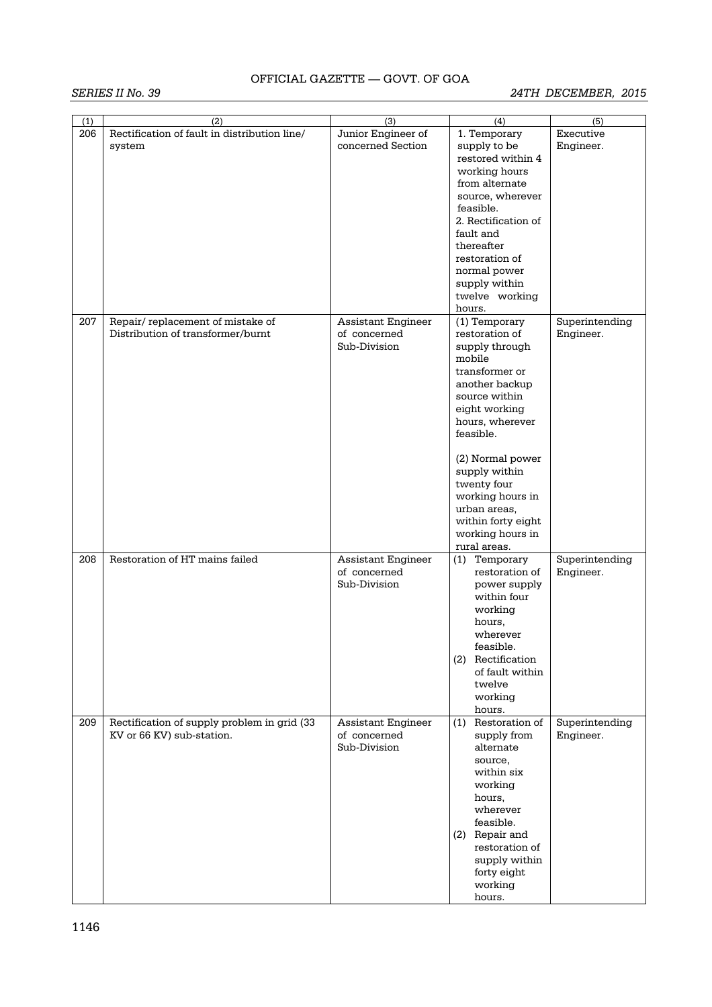| (1) | (2)                                          | (3)                       | (4)                  | (5)            |
|-----|----------------------------------------------|---------------------------|----------------------|----------------|
| 206 | Rectification of fault in distribution line/ | Junior Engineer of        | 1. Temporary         | Executive      |
|     | system                                       | concerned Section         | supply to be         | Engineer.      |
|     |                                              |                           | restored within 4    |                |
|     |                                              |                           | working hours        |                |
|     |                                              |                           | from alternate       |                |
|     |                                              |                           | source, wherever     |                |
|     |                                              |                           | feasible.            |                |
|     |                                              |                           | 2. Rectification of  |                |
|     |                                              |                           | fault and            |                |
|     |                                              |                           | thereafter           |                |
|     |                                              |                           | restoration of       |                |
|     |                                              |                           | normal power         |                |
|     |                                              |                           | supply within        |                |
|     |                                              |                           | twelve working       |                |
|     |                                              |                           | hours.               |                |
| 207 | Repair/replacement of mistake of             | Assistant Engineer        | (1) Temporary        | Superintending |
|     | Distribution of transformer/burnt            | of concerned              | restoration of       | Engineer.      |
|     |                                              | Sub-Division              | supply through       |                |
|     |                                              |                           | mobile               |                |
|     |                                              |                           | transformer or       |                |
|     |                                              |                           | another backup       |                |
|     |                                              |                           | source within        |                |
|     |                                              |                           | eight working        |                |
|     |                                              |                           | hours, wherever      |                |
|     |                                              |                           | feasible.            |                |
|     |                                              |                           |                      |                |
|     |                                              |                           |                      |                |
|     |                                              |                           | (2) Normal power     |                |
|     |                                              |                           | supply within        |                |
|     |                                              |                           | twenty four          |                |
|     |                                              |                           | working hours in     |                |
|     |                                              |                           | urban areas,         |                |
|     |                                              |                           | within forty eight   |                |
|     |                                              |                           | working hours in     |                |
|     |                                              |                           | rural areas.         |                |
| 208 | Restoration of HT mains failed               | <b>Assistant Engineer</b> | (1) Temporary        | Superintending |
|     |                                              | of concerned              | restoration of       | Engineer.      |
|     |                                              | Sub-Division              | power supply         |                |
|     |                                              |                           | within four          |                |
|     |                                              |                           | working              |                |
|     |                                              |                           | hours,               |                |
|     |                                              |                           | wherever             |                |
|     |                                              |                           | feasible.            |                |
|     |                                              |                           | Rectification<br>(2) |                |
|     |                                              |                           | of fault within      |                |
|     |                                              |                           | twelve               |                |
|     |                                              |                           | working              |                |
|     |                                              |                           | hours.               |                |
| 209 | Rectification of supply problem in grid (33  | <b>Assistant Engineer</b> | (1) Restoration of   | Superintending |
|     | KV or 66 KV) sub-station.                    | of concerned              | supply from          | Engineer.      |
|     |                                              | Sub-Division              | alternate            |                |
|     |                                              |                           | source,              |                |
|     |                                              |                           | within six           |                |
|     |                                              |                           | working              |                |
|     |                                              |                           | hours,               |                |
|     |                                              |                           | wherever             |                |
|     |                                              |                           | feasible.            |                |
|     |                                              |                           | (2) Repair and       |                |
|     |                                              |                           | restoration of       |                |
|     |                                              |                           | supply within        |                |
|     |                                              |                           | forty eight          |                |
|     |                                              |                           |                      |                |
|     |                                              |                           | working              |                |
|     |                                              |                           | hours.               |                |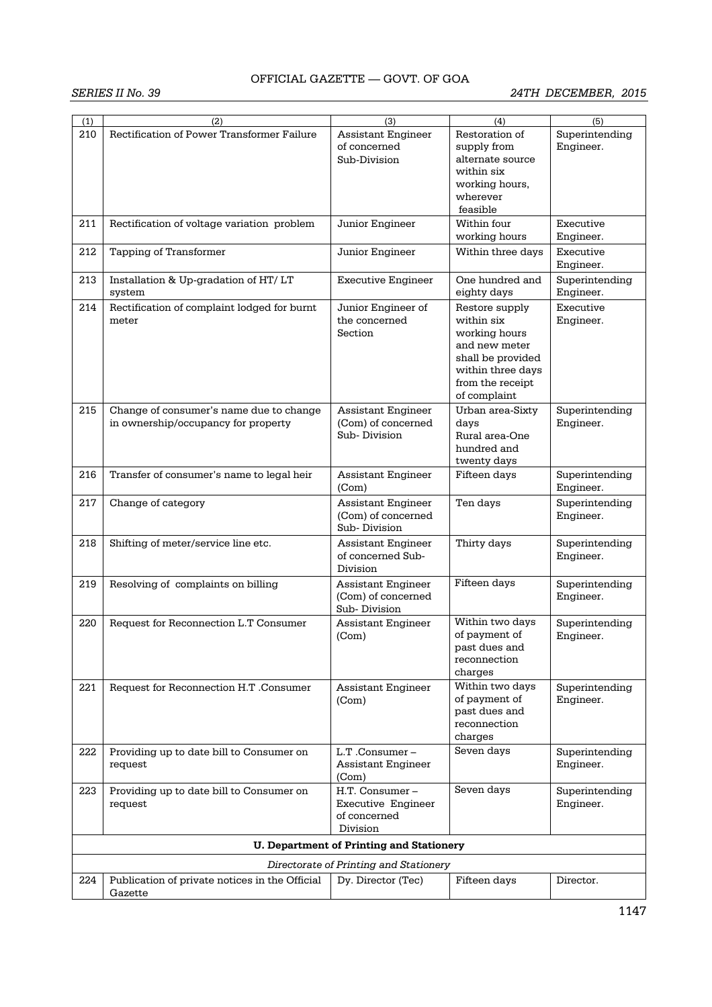| (1) | (2)                                            | (3)                                             | (4)                            | (5)            |
|-----|------------------------------------------------|-------------------------------------------------|--------------------------------|----------------|
| 210 | Rectification of Power Transformer Failure     | <b>Assistant Engineer</b>                       | Restoration of                 | Superintending |
|     |                                                | of concerned                                    | supply from                    | Engineer.      |
|     |                                                | Sub-Division                                    | alternate source               |                |
|     |                                                |                                                 | within six                     |                |
|     |                                                |                                                 | working hours,                 |                |
|     |                                                |                                                 | wherever                       |                |
|     |                                                |                                                 | feasible                       |                |
| 211 | Rectification of voltage variation problem     | Junior Engineer                                 | Within four                    | Executive      |
|     |                                                |                                                 | working hours                  | Engineer.      |
|     |                                                |                                                 |                                |                |
| 212 | Tapping of Transformer                         | Junior Engineer                                 | Within three days              | Executive      |
|     |                                                |                                                 |                                | Engineer.      |
| 213 | Installation & Up-gradation of HT/LT           | <b>Executive Engineer</b>                       | One hundred and                | Superintending |
|     | system                                         |                                                 | eighty days                    | Engineer.      |
| 214 | Rectification of complaint lodged for burnt    | Junior Engineer of                              | Restore supply                 | Executive      |
|     | meter                                          | the concerned                                   | within six                     | Engineer.      |
|     |                                                | Section                                         | working hours                  |                |
|     |                                                |                                                 | and new meter                  |                |
|     |                                                |                                                 | shall be provided              |                |
|     |                                                |                                                 | within three days              |                |
|     |                                                |                                                 | from the receipt               |                |
|     |                                                |                                                 | of complaint                   |                |
| 215 | Change of consumer's name due to change        | <b>Assistant Engineer</b>                       | Urban area-Sixty               | Superintending |
|     | in ownership/occupancy for property            | (Com) of concerned                              | days                           | Engineer.      |
|     |                                                | Sub-Division                                    | Rural area-One                 |                |
|     |                                                |                                                 | hundred and                    |                |
|     |                                                |                                                 | twenty days                    |                |
| 216 | Transfer of consumer's name to legal heir      | Assistant Engineer                              | Fifteen days                   | Superintending |
|     |                                                | (Com)                                           |                                | Engineer.      |
| 217 | Change of category                             | <b>Assistant Engineer</b>                       | Ten days                       | Superintending |
|     |                                                | (Com) of concerned                              |                                | Engineer.      |
|     |                                                | Sub-Division                                    |                                |                |
| 218 | Shifting of meter/service line etc.            | <b>Assistant Engineer</b>                       | Thirty days                    | Superintending |
|     |                                                | of concerned Sub-                               |                                | Engineer.      |
|     |                                                | Division                                        |                                |                |
| 219 | Resolving of complaints on billing             | <b>Assistant Engineer</b>                       | Fifteen days                   | Superintending |
|     |                                                | (Com) of concerned                              |                                | Engineer.      |
|     |                                                | Sub-Division                                    |                                |                |
| 220 | Request for Reconnection L.T Consumer          | Assistant Engineer                              | Within two days                | Superintending |
|     |                                                | (Com)                                           | of payment of                  | Engineer.      |
|     |                                                |                                                 | past dues and                  |                |
|     |                                                |                                                 | reconnection                   |                |
|     |                                                |                                                 | charges                        |                |
| 221 | Request for Reconnection H.T .Consumer         | <b>Assistant Engineer</b>                       | Within two days                | Superintending |
|     |                                                | (Com)                                           | of payment of<br>past dues and | Engineer.      |
|     |                                                |                                                 | reconnection                   |                |
|     |                                                |                                                 | charges                        |                |
|     |                                                |                                                 | Seven days                     |                |
| 222 | Providing up to date bill to Consumer on       | L.T.Consumer-                                   |                                | Superintending |
|     | request                                        | Assistant Engineer<br>(Com)                     |                                | Engineer.      |
|     |                                                |                                                 | Seven days                     |                |
| 223 | Providing up to date bill to Consumer on       | H.T. Consumer-                                  |                                | Superintending |
|     | request                                        | <b>Executive Engineer</b><br>of concerned       |                                | Engineer.      |
|     |                                                | Division                                        |                                |                |
|     |                                                |                                                 |                                |                |
|     |                                                | <b>U. Department of Printing and Stationery</b> |                                |                |
|     |                                                | Directorate of Printing and Stationery          |                                |                |
| 224 | Publication of private notices in the Official | Dy. Director (Tec)                              | Fifteen days                   | Director.      |
|     | Gazette                                        |                                                 |                                |                |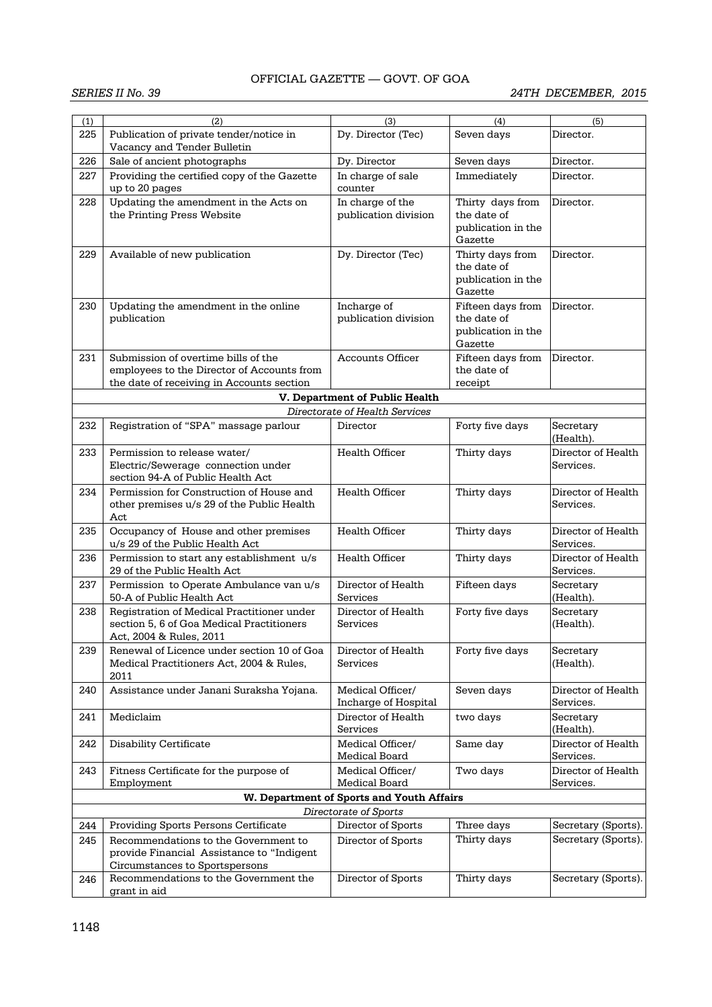| (1) | (2)                                                                                     | (3)                                       | (4)                           | (5)                             |  |  |
|-----|-----------------------------------------------------------------------------------------|-------------------------------------------|-------------------------------|---------------------------------|--|--|
| 225 | Publication of private tender/notice in                                                 | Dy. Director (Tec)                        | Seven days                    | Director.                       |  |  |
| 226 | Vacancy and Tender Bulletin<br>Sale of ancient photographs                              | Dy. Director                              | Seven days                    | Director.                       |  |  |
| 227 | Providing the certified copy of the Gazette                                             |                                           | Immediately                   | Director.                       |  |  |
|     | up to 20 pages                                                                          | In charge of sale<br>counter              |                               |                                 |  |  |
| 228 | Updating the amendment in the Acts on                                                   | In charge of the                          | Thirty days from              | Director.                       |  |  |
|     | the Printing Press Website                                                              | publication division                      | the date of                   |                                 |  |  |
|     |                                                                                         |                                           | publication in the<br>Gazette |                                 |  |  |
| 229 | Available of new publication                                                            | Dy. Director (Tec)                        | Thirty days from              | Director.                       |  |  |
|     |                                                                                         |                                           | the date of                   |                                 |  |  |
|     |                                                                                         |                                           | publication in the<br>Gazette |                                 |  |  |
| 230 | Updating the amendment in the online                                                    | Incharge of                               | Fifteen days from             | Director.                       |  |  |
|     | publication                                                                             | publication division                      | the date of                   |                                 |  |  |
|     |                                                                                         |                                           | publication in the            |                                 |  |  |
|     |                                                                                         |                                           | Gazette                       |                                 |  |  |
| 231 | Submission of overtime bills of the                                                     | Accounts Officer                          | Fifteen days from             | Director.                       |  |  |
|     | employees to the Director of Accounts from                                              |                                           | the date of                   |                                 |  |  |
|     | the date of receiving in Accounts section                                               |                                           | receipt                       |                                 |  |  |
|     |                                                                                         | V. Department of Public Health            |                               |                                 |  |  |
|     |                                                                                         | Directorate of Health Services            |                               |                                 |  |  |
| 232 | Registration of "SPA" massage parlour                                                   | Director                                  | Forty five days               | Secretary<br>(Health).          |  |  |
| 233 | Permission to release water/                                                            | Health Officer                            | Thirty days                   | Director of Health              |  |  |
|     | Electric/Sewerage connection under                                                      |                                           |                               | Services.                       |  |  |
|     | section 94-A of Public Health Act                                                       |                                           |                               |                                 |  |  |
| 234 | Permission for Construction of House and<br>other premises u/s 29 of the Public Health  | <b>Health Officer</b>                     | Thirty days                   | Director of Health<br>Services. |  |  |
|     | Act                                                                                     |                                           |                               |                                 |  |  |
| 235 | Occupancy of House and other premises                                                   | Health Officer                            | Thirty days                   | Director of Health              |  |  |
|     | u/s 29 of the Public Health Act                                                         |                                           |                               | Services.                       |  |  |
| 236 | Permission to start any establishment u/s                                               | <b>Health Officer</b>                     | Thirty days                   | Director of Health              |  |  |
|     | 29 of the Public Health Act                                                             |                                           |                               | Services.                       |  |  |
| 237 | Permission to Operate Ambulance van u/s                                                 | Director of Health                        | Fifteen days                  | Secretary                       |  |  |
|     | 50-A of Public Health Act                                                               | Services                                  |                               | (Health).                       |  |  |
| 238 | Registration of Medical Practitioner under<br>section 5, 6 of Goa Medical Practitioners | Director of Health                        | Forty five days               | Secretary                       |  |  |
|     | Act, 2004 & Rules, 2011                                                                 | Services                                  |                               | (Health).                       |  |  |
| 239 | Renewal of Licence under section 10 of Goa                                              | Director of Health                        | Forty five days               | Secretary                       |  |  |
|     | Medical Practitioners Act, 2004 & Rules,                                                | Services                                  |                               | (Health).                       |  |  |
|     | 2011                                                                                    |                                           |                               |                                 |  |  |
| 240 | Assistance under Janani Suraksha Yojana.                                                | Medical Officer/                          | Seven days                    | Director of Health              |  |  |
|     |                                                                                         | Incharge of Hospital                      |                               | Services.                       |  |  |
| 241 | Mediclaim                                                                               | Director of Health                        | two days                      | Secretary                       |  |  |
|     |                                                                                         | Services                                  |                               | (Health).                       |  |  |
| 242 | Disability Certificate                                                                  | Medical Officer/<br>Medical Board         | Same day                      | Director of Health<br>Services. |  |  |
| 243 | Fitness Certificate for the purpose of                                                  | Medical Officer/                          | Two days                      | Director of Health              |  |  |
|     | Employment                                                                              | Medical Board                             |                               | Services.                       |  |  |
|     |                                                                                         | W. Department of Sports and Youth Affairs |                               |                                 |  |  |
|     | Directorate of Sports                                                                   |                                           |                               |                                 |  |  |
| 244 | Providing Sports Persons Certificate                                                    | Director of Sports                        | Three days                    | Secretary (Sports).             |  |  |
| 245 | Recommendations to the Government to                                                    | Director of Sports                        | Thirty days                   | Secretary (Sports).             |  |  |
|     | provide Financial Assistance to "Indigent                                               |                                           |                               |                                 |  |  |
|     | Circumstances to Sportspersons                                                          |                                           |                               |                                 |  |  |
| 246 | Recommendations to the Government the                                                   | Director of Sports                        | Thirty days                   | Secretary (Sports).             |  |  |
|     | grant in aid                                                                            |                                           |                               |                                 |  |  |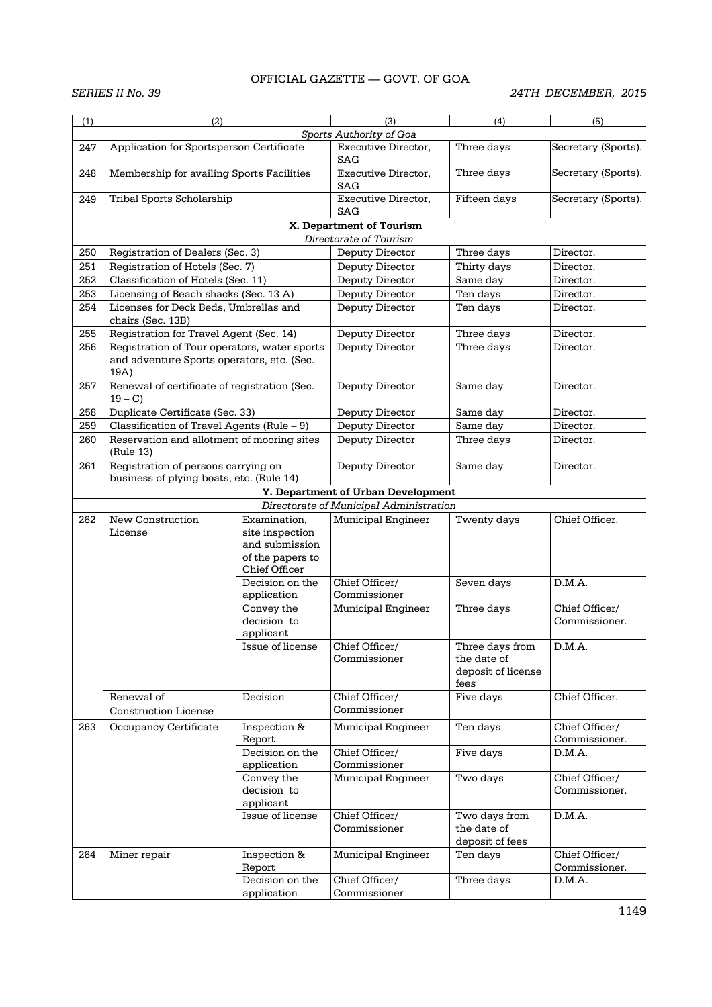| (1) | (2)                                                                             |                                                                                        | (3)                                     | (4)                                                          | (5)                             |  |  |
|-----|---------------------------------------------------------------------------------|----------------------------------------------------------------------------------------|-----------------------------------------|--------------------------------------------------------------|---------------------------------|--|--|
|     |                                                                                 |                                                                                        | Sports Authority of Goa                 |                                                              |                                 |  |  |
| 247 | Application for Sportsperson Certificate                                        |                                                                                        | Executive Director.<br>SAG              | Three days                                                   | Secretary (Sports).             |  |  |
| 248 | Membership for availing Sports Facilities                                       |                                                                                        | Executive Director,<br><b>SAG</b>       | Three days                                                   | Secretary (Sports).             |  |  |
| 249 | Tribal Sports Scholarship                                                       |                                                                                        | Executive Director,<br>SAG              | Fifteen days                                                 | Secretary (Sports).             |  |  |
|     |                                                                                 |                                                                                        | X. Department of Tourism                |                                                              |                                 |  |  |
|     |                                                                                 |                                                                                        | Directorate of Tourism                  |                                                              |                                 |  |  |
| 250 | Registration of Dealers (Sec. 3)                                                |                                                                                        | Deputy Director                         | Three days                                                   | Director.                       |  |  |
| 251 | Registration of Hotels (Sec. 7)                                                 |                                                                                        | Deputy Director                         | Thirty days                                                  | Director.                       |  |  |
| 252 | Classification of Hotels (Sec. 11)                                              |                                                                                        | Deputy Director                         | Same day                                                     | Director.                       |  |  |
| 253 | Licensing of Beach shacks (Sec. 13 A)                                           |                                                                                        | Deputy Director                         | Ten days                                                     | Director.                       |  |  |
| 254 | Licenses for Deck Beds, Umbrellas and<br>chairs (Sec. 13B)                      |                                                                                        | Deputy Director                         | Ten days                                                     | Director.                       |  |  |
| 255 | Registration for Travel Agent (Sec. 14)                                         |                                                                                        | Deputy Director                         | Three days                                                   | Director.                       |  |  |
| 256 | Registration of Tour operators, water sports                                    |                                                                                        | Deputy Director                         | Three days                                                   | Director.                       |  |  |
|     | and adventure Sports operators, etc. (Sec.<br>19A)                              |                                                                                        |                                         |                                                              |                                 |  |  |
| 257 | Renewal of certificate of registration (Sec.<br>$19 - C$                        |                                                                                        | Deputy Director                         | Same day                                                     | Director.                       |  |  |
| 258 | Duplicate Certificate (Sec. 33)                                                 |                                                                                        | Deputy Director                         | Same day                                                     | Director.                       |  |  |
| 259 | Classification of Travel Agents (Rule - 9)                                      |                                                                                        | Deputy Director                         | Same day                                                     | Director.                       |  |  |
| 260 | Reservation and allotment of mooring sites<br>(Rule 13)                         |                                                                                        | Deputy Director                         | Three days                                                   | Director.                       |  |  |
| 261 | Registration of persons carrying on<br>business of plying boats, etc. (Rule 14) |                                                                                        | Deputy Director                         | Same day                                                     | Director.                       |  |  |
|     | Y. Department of Urban Development                                              |                                                                                        |                                         |                                                              |                                 |  |  |
|     |                                                                                 |                                                                                        | Directorate of Municipal Administration |                                                              |                                 |  |  |
| 262 | New Construction<br>License                                                     | Examination,<br>site inspection<br>and submission<br>of the papers to<br>Chief Officer | Municipal Engineer                      | Twenty days                                                  | Chief Officer.                  |  |  |
|     |                                                                                 | Decision on the<br>application                                                         | Chief Officer/<br>Commissioner          | Seven days                                                   | D.M.A.                          |  |  |
|     |                                                                                 | Convey the<br>decision to<br>applicant                                                 | Municipal Engineer                      | Three days                                                   | Chief Officer/<br>Commissioner. |  |  |
|     |                                                                                 | Issue of license                                                                       | Chief Officer/<br>Commissioner          | Three days from<br>the date of<br>deposit of license<br>fees | D.M.A.                          |  |  |
|     | Renewal of<br><b>Construction License</b>                                       | Decision                                                                               | Chief Officer/<br>Commissioner          | Five days                                                    | Chief Officer.                  |  |  |
| 263 | Occupancy Certificate                                                           | Inspection &                                                                           | Municipal Engineer                      | Ten days                                                     | Chief Officer/                  |  |  |
|     |                                                                                 | Report                                                                                 |                                         |                                                              | Commissioner.                   |  |  |
|     |                                                                                 | Decision on the                                                                        | Chief Officer/                          | Five days                                                    | D.M.A.                          |  |  |
|     |                                                                                 | application                                                                            | Commissioner                            |                                                              |                                 |  |  |
|     |                                                                                 | Convey the<br>decision to<br>applicant                                                 | Municipal Engineer                      | Two days                                                     | Chief Officer/<br>Commissioner. |  |  |
|     |                                                                                 | Issue of license                                                                       | Chief Officer/<br>Commissioner          | Two days from<br>the date of<br>deposit of fees              | D.M.A.                          |  |  |
| 264 | Miner repair                                                                    | Inspection &                                                                           | Municipal Engineer                      | Ten days                                                     | Chief Officer/                  |  |  |
|     |                                                                                 | Report                                                                                 |                                         |                                                              | Commissioner.                   |  |  |
|     |                                                                                 | Decision on the                                                                        | Chief Officer/                          | Three days                                                   | D.M.A.                          |  |  |
|     |                                                                                 | application                                                                            | Commissioner                            |                                                              |                                 |  |  |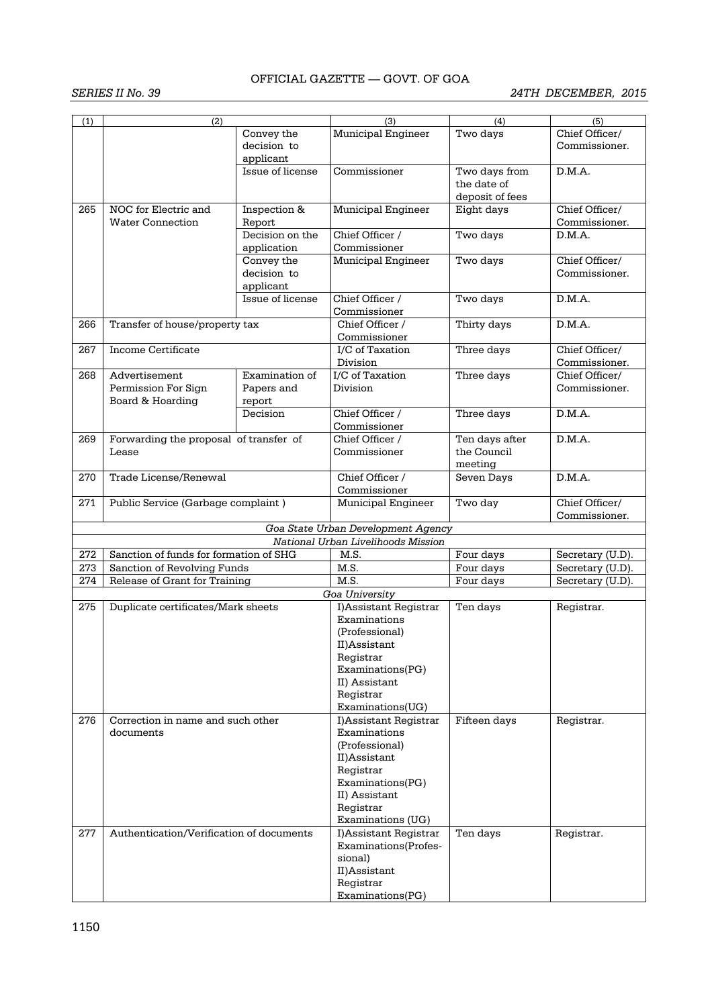| (1) | (2)                                      |                  | (3)                                | (4)             | (5)              |
|-----|------------------------------------------|------------------|------------------------------------|-----------------|------------------|
|     |                                          | Convey the       | Municipal Engineer                 | Two days        | Chief Officer/   |
|     |                                          | decision to      |                                    |                 | Commissioner.    |
|     |                                          | applicant        |                                    |                 |                  |
|     |                                          | Issue of license | Commissioner                       | Two days from   | D.M.A.           |
|     |                                          |                  |                                    | the date of     |                  |
|     |                                          |                  |                                    |                 |                  |
|     |                                          |                  |                                    | deposit of fees |                  |
| 265 | NOC for Electric and                     | Inspection &     | Municipal Engineer                 | Eight days      | Chief Officer/   |
|     | <b>Water Connection</b>                  | Report           |                                    |                 | Commissioner.    |
|     |                                          | Decision on the  | Chief Officer /                    | Two days        | D.M.A.           |
|     |                                          | application      | Commissioner                       |                 |                  |
|     |                                          | Convey the       | Municipal Engineer                 | Two days        | Chief Officer/   |
|     |                                          | decision to      |                                    |                 | Commissioner.    |
|     |                                          | applicant        |                                    |                 |                  |
|     |                                          | Issue of license | Chief Officer /                    | Two days        | D.M.A.           |
|     |                                          |                  | Commissioner                       |                 |                  |
|     |                                          |                  |                                    |                 |                  |
| 266 | Transfer of house/property tax           |                  | Chief Officer /                    | Thirty days     | D.M.A.           |
|     |                                          |                  | Commissioner                       |                 |                  |
| 267 | Income Certificate                       |                  | I/C of Taxation                    | Three days      | Chief Officer/   |
|     |                                          |                  | Division                           |                 | Commissioner.    |
| 268 | Advertisement                            | Examination of   | I/C of Taxation                    | Three days      | Chief Officer/   |
|     | Permission For Sign                      | Papers and       | Division                           |                 | Commissioner.    |
|     | Board & Hoarding                         | report           |                                    |                 |                  |
|     |                                          | Decision         | Chief Officer /                    | Three days      | D.M.A.           |
|     |                                          |                  | Commissioner                       |                 |                  |
| 269 | Forwarding the proposal of transfer of   |                  | Chief Officer /                    | Ten days after  | D.M.A.           |
|     | Lease                                    |                  |                                    | the Council     |                  |
|     |                                          |                  | Commissioner                       |                 |                  |
|     |                                          |                  |                                    | meeting         |                  |
| 270 | Trade License/Renewal                    |                  | Chief Officer /                    | Seven Days      | D.M.A.           |
|     |                                          |                  | Commissioner                       |                 |                  |
| 271 | Public Service (Garbage complaint)       |                  | Municipal Engineer                 | Two day         | Chief Officer/   |
|     |                                          |                  |                                    |                 | Commissioner.    |
|     |                                          |                  | Goa State Urban Development Agency |                 |                  |
|     |                                          |                  | National Urban Livelihoods Mission |                 |                  |
| 272 | Sanction of funds for formation of SHG   |                  | M.S.                               | Four days       | Secretary (U.D). |
| 273 | Sanction of Revolving Funds              |                  | M.S.                               | Four days       | Secretary (U.D). |
| 274 | Release of Grant for Training            |                  | M.S.                               | Four days       | Secretary (U.D). |
|     |                                          |                  | Goa University                     |                 |                  |
| 275 | Duplicate certificates/Mark sheets       |                  | I)Assistant Registrar              | Ten days        | Registrar.       |
|     |                                          |                  |                                    |                 |                  |
|     |                                          |                  | Examinations                       |                 |                  |
|     |                                          |                  | (Professional)                     |                 |                  |
|     |                                          |                  | II)Assistant                       |                 |                  |
|     |                                          |                  | Registrar                          |                 |                  |
|     |                                          |                  | Examinations(PG)                   |                 |                  |
|     |                                          |                  | II) Assistant                      |                 |                  |
|     |                                          |                  | Registrar                          |                 |                  |
|     |                                          |                  | Examinations(UG)                   |                 |                  |
| 276 | Correction in name and such other        |                  | I)Assistant Registrar              | Fifteen days    | Registrar.       |
|     | documents                                |                  | Examinations                       |                 |                  |
|     |                                          |                  | (Professional)                     |                 |                  |
|     |                                          |                  | II)Assistant                       |                 |                  |
|     |                                          |                  |                                    |                 |                  |
|     |                                          |                  | Registrar<br>Examinations(PG)      |                 |                  |
|     |                                          |                  |                                    |                 |                  |
|     |                                          |                  | II) Assistant                      |                 |                  |
|     |                                          |                  | Registrar                          |                 |                  |
|     |                                          |                  | Examinations (UG)                  |                 |                  |
| 277 | Authentication/Verification of documents |                  | I)Assistant Registrar              | Ten days        | Registrar.       |
|     |                                          |                  | Examinations(Profes-               |                 |                  |
|     |                                          |                  | sional)                            |                 |                  |
|     |                                          |                  | II)Assistant                       |                 |                  |
|     |                                          |                  | Registrar                          |                 |                  |
|     |                                          |                  | Examinations(PG)                   |                 |                  |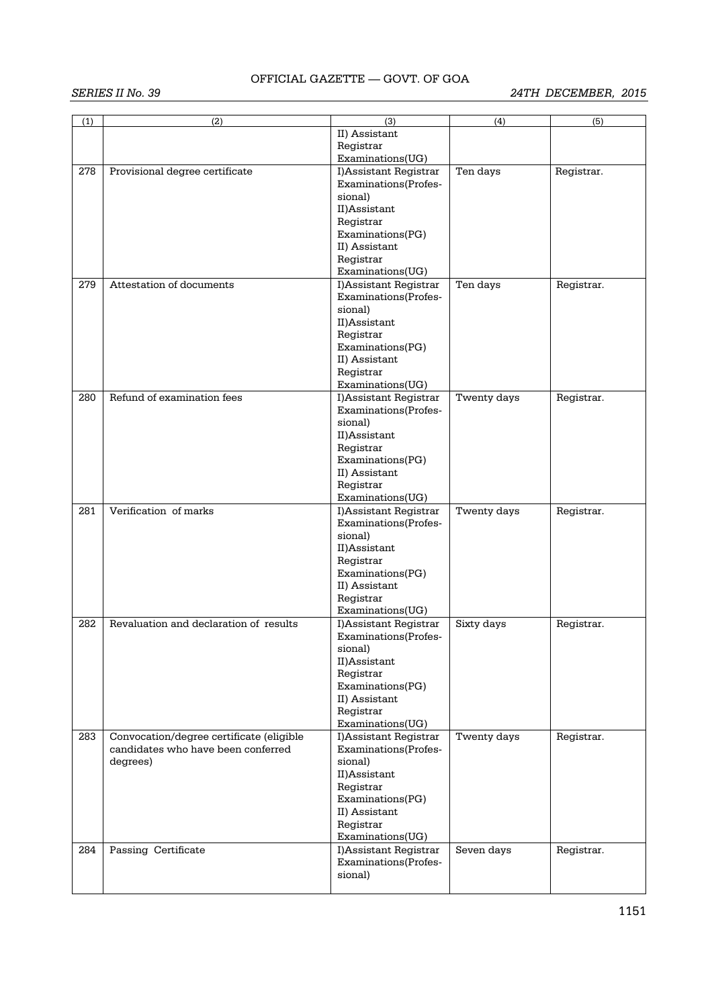|     |                                          | (3)                             | (4)         |            |
|-----|------------------------------------------|---------------------------------|-------------|------------|
| (1) | (2)                                      |                                 |             | (5)        |
|     |                                          | II) Assistant                   |             |            |
|     |                                          | Registrar                       |             |            |
|     |                                          | Examinations(UG)                |             |            |
| 278 | Provisional degree certificate           | I)Assistant Registrar           | Ten days    | Registrar. |
|     |                                          | Examinations(Profes-            |             |            |
|     |                                          | sional)                         |             |            |
|     |                                          | II)Assistant                    |             |            |
|     |                                          |                                 |             |            |
|     |                                          | Registrar                       |             |            |
|     |                                          | Examinations(PG)                |             |            |
|     |                                          | II) Assistant                   |             |            |
|     |                                          | Registrar                       |             |            |
|     |                                          | Examinations(UG)                |             |            |
| 279 | Attestation of documents                 | I)Assistant Registrar           | Ten days    | Registrar. |
|     |                                          | Examinations(Profes-            |             |            |
|     |                                          | sional)                         |             |            |
|     |                                          | II)Assistant                    |             |            |
|     |                                          | Registrar                       |             |            |
|     |                                          |                                 |             |            |
|     |                                          | Examinations(PG)                |             |            |
|     |                                          | II) Assistant                   |             |            |
|     |                                          | Registrar                       |             |            |
|     |                                          | Examinations(UG)                |             |            |
| 280 | Refund of examination fees               | I)Assistant Registrar           | Twenty days | Registrar. |
|     |                                          | Examinations(Profes-            |             |            |
|     |                                          | sional)                         |             |            |
|     |                                          | II)Assistant                    |             |            |
|     |                                          | Registrar                       |             |            |
|     |                                          | Examinations(PG)                |             |            |
|     |                                          | II) Assistant                   |             |            |
|     |                                          | Registrar                       |             |            |
|     |                                          | Examinations(UG)                |             |            |
| 281 | Verification of marks                    |                                 |             |            |
|     |                                          | I)Assistant Registrar           | Twenty days | Registrar. |
|     |                                          | Examinations(Profes-            |             |            |
|     |                                          | sional)                         |             |            |
|     |                                          |                                 |             |            |
|     |                                          | II)Assistant                    |             |            |
|     |                                          | Registrar                       |             |            |
|     |                                          | Examinations(PG)                |             |            |
|     |                                          | II) Assistant                   |             |            |
|     |                                          | Registrar                       |             |            |
|     |                                          | Examinations(UG)                |             |            |
| 282 | Revaluation and declaration of results   | I)Assistant Registrar           | Sixty days  | Registrar. |
|     |                                          | Examinations(Profes-            |             |            |
|     |                                          |                                 |             |            |
|     |                                          | sional)                         |             |            |
|     |                                          | II)Assistant                    |             |            |
|     |                                          | Registrar                       |             |            |
|     |                                          | Examinations(PG)                |             |            |
|     |                                          | II) Assistant                   |             |            |
|     |                                          | Registrar                       |             |            |
|     |                                          | Examinations(UG)                |             |            |
| 283 | Convocation/degree certificate (eligible | I)Assistant Registrar           | Twenty days | Registrar. |
|     | candidates who have been conferred       | Examinations(Profes-            |             |            |
|     | degrees)                                 | sional)                         |             |            |
|     |                                          | II)Assistant                    |             |            |
|     |                                          | Registrar                       |             |            |
|     |                                          | Examinations(PG)                |             |            |
|     |                                          |                                 |             |            |
|     |                                          | II) Assistant                   |             |            |
|     |                                          | Registrar                       |             |            |
|     |                                          | Examinations(UG)                |             |            |
| 284 | Passing Certificate                      | I)Assistant Registrar           | Seven days  | Registrar. |
|     |                                          | Examinations(Profes-<br>sional) |             |            |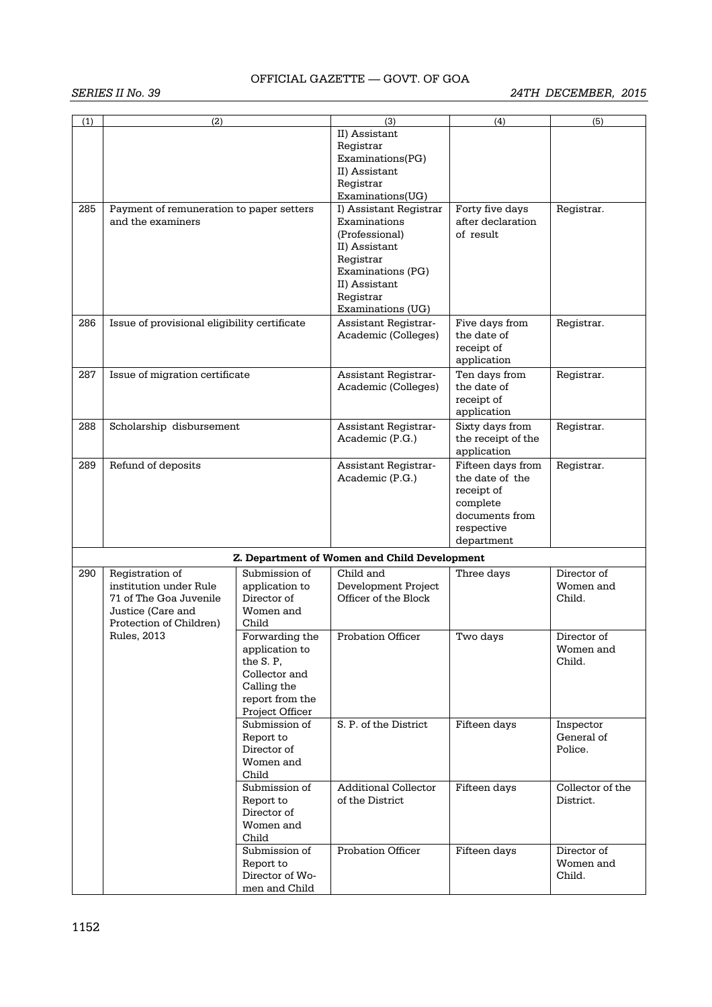| (1) | (2)                                                                                                                                                                                                                                                                                                                                                   |                                                                 | (3)<br>II) Assistant<br>Registrar                                                                                                                                                  | (4)                                                                                                          | (5)                                |
|-----|-------------------------------------------------------------------------------------------------------------------------------------------------------------------------------------------------------------------------------------------------------------------------------------------------------------------------------------------------------|-----------------------------------------------------------------|------------------------------------------------------------------------------------------------------------------------------------------------------------------------------------|--------------------------------------------------------------------------------------------------------------|------------------------------------|
|     |                                                                                                                                                                                                                                                                                                                                                       |                                                                 | Examinations(PG)<br>II) Assistant<br>Registrar                                                                                                                                     |                                                                                                              |                                    |
| 285 | Payment of remuneration to paper setters<br>and the examiners                                                                                                                                                                                                                                                                                         |                                                                 | Examinations(UG)<br>I) Assistant Registrar<br>Examinations<br>(Professional)<br>II) Assistant<br>Registrar<br>Examinations (PG)<br>II) Assistant<br>Registrar<br>Examinations (UG) | Forty five days<br>after declaration<br>of result                                                            | Registrar.                         |
| 286 | Issue of provisional eligibility certificate                                                                                                                                                                                                                                                                                                          |                                                                 | Assistant Registrar-<br>Academic (Colleges)                                                                                                                                        | Five days from<br>the date of<br>receipt of<br>application                                                   | Registrar.                         |
| 287 | Issue of migration certificate                                                                                                                                                                                                                                                                                                                        |                                                                 | Assistant Registrar-<br>Academic (Colleges)                                                                                                                                        | Ten days from<br>the date of<br>receipt of<br>application                                                    | Registrar.                         |
| 288 | Scholarship disbursement                                                                                                                                                                                                                                                                                                                              |                                                                 | Assistant Registrar-<br>Academic (P.G.)                                                                                                                                            | Sixty days from<br>the receipt of the<br>application                                                         | Registrar.                         |
| 289 | Refund of deposits                                                                                                                                                                                                                                                                                                                                    |                                                                 | Assistant Registrar-<br>Academic (P.G.)                                                                                                                                            | Fifteen days from<br>the date of the<br>receipt of<br>complete<br>documents from<br>respective<br>department | Registrar.                         |
|     |                                                                                                                                                                                                                                                                                                                                                       |                                                                 | Z. Department of Women and Child Development                                                                                                                                       |                                                                                                              |                                    |
| 290 | Submission of<br>Registration of<br>institution under Rule<br>application to<br>Director of<br>71 of The Goa Juvenile<br>Justice (Care and<br>Women and<br>Protection of Children)<br>Child<br>Rules, 2013<br>application to<br>the S.P,<br>Collector and<br>Calling the<br>Project Officer<br>Submission of<br>Report to<br>Director of<br>Women and |                                                                 | Child and<br>Development Project<br>Officer of the Block                                                                                                                           | Three days                                                                                                   | Director of<br>Women and<br>Child. |
|     |                                                                                                                                                                                                                                                                                                                                                       | Forwarding the<br>report from the                               | <b>Probation Officer</b>                                                                                                                                                           | Two days                                                                                                     | Director of<br>Women and<br>Child. |
|     |                                                                                                                                                                                                                                                                                                                                                       | Child                                                           | S. P. of the District                                                                                                                                                              | Fifteen days                                                                                                 | Inspector<br>General of<br>Police. |
|     |                                                                                                                                                                                                                                                                                                                                                       | Submission of<br>Report to<br>Director of<br>Women and<br>Child | <b>Additional Collector</b><br>of the District                                                                                                                                     | Fifteen days                                                                                                 | Collector of the<br>District.      |
|     |                                                                                                                                                                                                                                                                                                                                                       | Submission of<br>Report to<br>Director of Wo-<br>men and Child  | <b>Probation Officer</b>                                                                                                                                                           | Fifteen days                                                                                                 | Director of<br>Women and<br>Child. |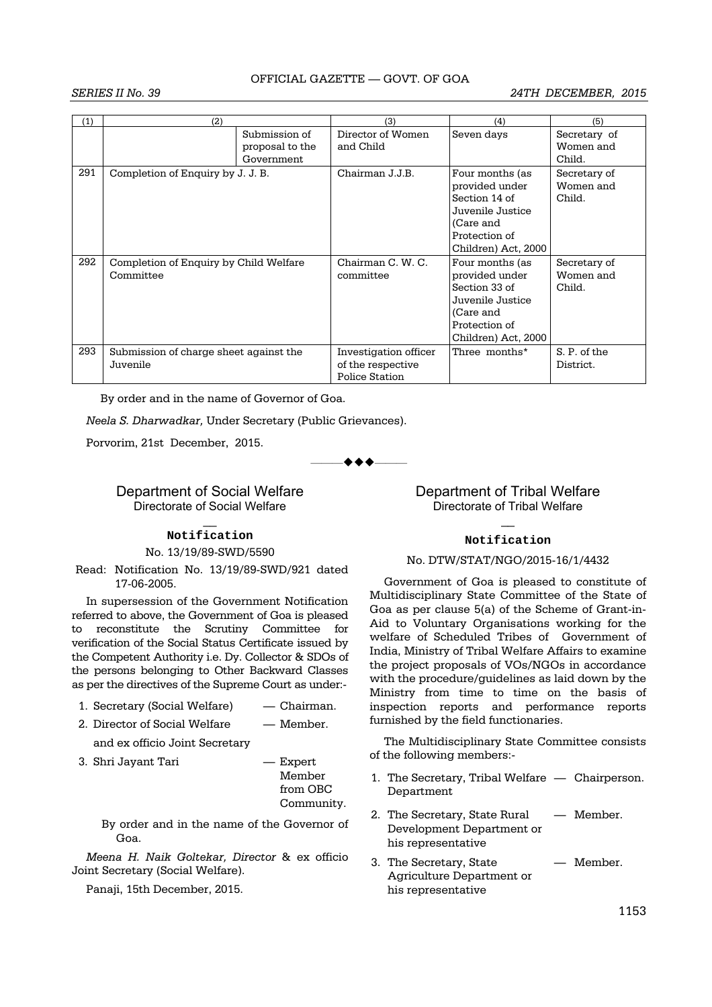#### *SERIES II No. 39 24TH DECEMBER, 2015*

| (1) | (2)                                                 |                                                | (3)                                                          | (4)                                                                                                                         | (5)                                 |
|-----|-----------------------------------------------------|------------------------------------------------|--------------------------------------------------------------|-----------------------------------------------------------------------------------------------------------------------------|-------------------------------------|
|     |                                                     | Submission of<br>proposal to the<br>Government | Director of Women<br>and Child                               | Seven days                                                                                                                  | Secretary of<br>Women and<br>Child. |
| 291 | Completion of Enquiry by J. J. B.                   |                                                | Chairman J.J.B.                                              | Four months (as<br>provided under<br>Section 14 of<br>Juvenile Justice<br>(Care and<br>Protection of<br>Children) Act, 2000 | Secretary of<br>Women and<br>Child. |
| 292 | Completion of Enquiry by Child Welfare<br>Committee |                                                | Chairman C. W. C.<br>committee                               | Four months (as<br>provided under<br>Section 33 of<br>Juvenile Justice<br>(Care and<br>Protection of<br>Children) Act, 2000 | Secretary of<br>Women and<br>Child. |
| 293 | Submission of charge sheet against the<br>Juvenile  |                                                | Investigation officer<br>of the respective<br>Police Station | Three months*                                                                                                               | S. P. of the<br>District.           |

By order and in the name of Governor of Goa.

*Neela S. Dharwadkar,* Under Secretary (Public Grievances).

Porvorim, 21st December, 2015.

 $\bullet\bullet\bullet$ 

### Department of Social Welfare Directorate of Social Welfare

## $\overline{\phantom{a}}$ **Notification**

No. 13/19/89-SWD/5590

 Read: Notification No. 13/19/89-SWD/921 dated 17-06-2005.

In supersession of the Government Notification referred to above, the Government of Goa is pleased to reconstitute the Scrutiny Committee for verification of the Social Status Certificate issued by the Competent Authority i.e. Dy. Collector & SDOs of the persons belonging to Other Backward Classes as per the directives of the Supreme Court as under:-

- 1. Secretary (Social Welfare) Chairman.
- 2. Director of Social Welfare Member.

and ex officio Joint Secretary

3. Shri Jayant Tari — Expert

 Member from OBC Community.

By order and in the name of the Governor of Goa.

*Meena H. Naik Goltekar, Director* & ex officio Joint Secretary (Social Welfare).

Panaji, 15th December, 2015.

### Department of Tribal Welfare Directorate of Tribal Welfare

## $\overline{\phantom{a}}$ **Notification**

#### No. DTW/STAT/NGO/2015-16/1/4432

Government of Goa is pleased to constitute of Multidisciplinary State Committee of the State of Goa as per clause 5(a) of the Scheme of Grant-in-Aid to Voluntary Organisations working for the welfare of Scheduled Tribes of Government of India, Ministry of Tribal Welfare Affairs to examine the project proposals of VOs/NGOs in accordance with the procedure/guidelines as laid down by the Ministry from time to time on the basis of inspection reports and performance reports furnished by the field functionaries.

The Multidisciplinary State Committee consists of the following members:-

- 1. The Secretary, Tribal Welfare Chairperson. Department
- 2. The Secretary, State Rural Member. Development Department or his representative
- 3. The Secretary, State Member. Agriculture Department or his representative